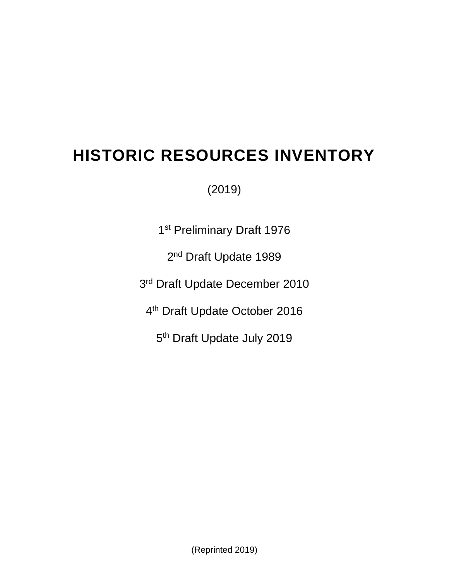# **HISTORIC RESOURCES INVENTORY**

(2019)

1<sup>st</sup> Preliminary Draft 1976

2<sup>nd</sup> Draft Update 1989

3<sup>rd</sup> Draft Update December 2010

4<sup>th</sup> Draft Update October 2016

5<sup>th</sup> Draft Update July 2019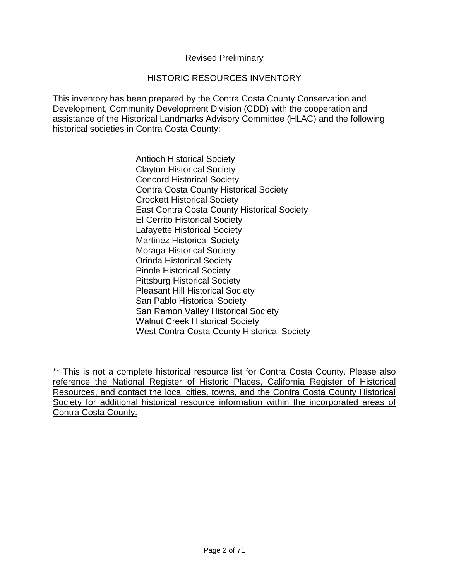#### Revised Preliminary

#### HISTORIC RESOURCES INVENTORY

This inventory has been prepared by the Contra Costa County Conservation and Development, Community Development Division (CDD) with the cooperation and assistance of the Historical Landmarks Advisory Committee (HLAC) and the following historical societies in Contra Costa County:

> Antioch Historical Society Clayton Historical Society Concord Historical Society Contra Costa County Historical Society Crockett Historical Society East Contra Costa County Historical Society El Cerrito Historical Society Lafayette Historical Society Martinez Historical Society Moraga Historical Society Orinda Historical Society Pinole Historical Society Pittsburg Historical Society Pleasant Hill Historical Society San Pablo Historical Society San Ramon Valley Historical Society Walnut Creek Historical Society West Contra Costa County Historical Society

\*\* This is not a complete historical resource list for Contra Costa County. Please also reference the National Register of Historic Places, California Register of Historical Resources, and contact the local cities, towns, and the Contra Costa County Historical Society for additional historical resource information within the incorporated areas of Contra Costa County.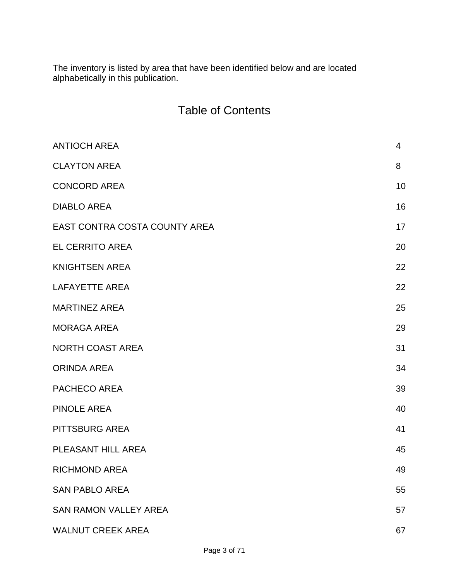The inventory is listed by area that have been identified below and are located alphabetically in this publication.

|  |  | <b>Table of Contents</b> |
|--|--|--------------------------|
|--|--|--------------------------|

| <b>ANTIOCH AREA</b>           | 4  |
|-------------------------------|----|
| <b>CLAYTON AREA</b>           | 8  |
| <b>CONCORD AREA</b>           | 10 |
| <b>DIABLO AREA</b>            | 16 |
| EAST CONTRA COSTA COUNTY AREA | 17 |
| <b>EL CERRITO AREA</b>        | 20 |
| <b>KNIGHTSEN AREA</b>         | 22 |
| <b>LAFAYETTE AREA</b>         | 22 |
| <b>MARTINEZ AREA</b>          | 25 |
| <b>MORAGA AREA</b>            | 29 |
| <b>NORTH COAST AREA</b>       | 31 |
| <b>ORINDA AREA</b>            | 34 |
| PACHECO AREA                  | 39 |
| <b>PINOLE AREA</b>            | 40 |
| PITTSBURG AREA                | 41 |
| PLEASANT HILL AREA            | 45 |
| <b>RICHMOND AREA</b>          | 49 |
| <b>SAN PABLO AREA</b>         | 55 |
| <b>SAN RAMON VALLEY AREA</b>  | 57 |
| <b>WALNUT CREEK AREA</b>      | 67 |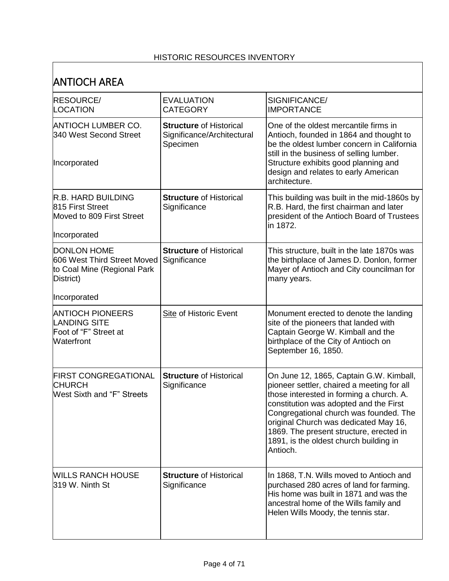#### HISTORIC RESOURCES INVENTORY

 $\Gamma$ 

| <b>ANTIOCH AREA</b>                                                                           |                                                                          |                                                                                                                                                                                                                                                                                                                                                                 |
|-----------------------------------------------------------------------------------------------|--------------------------------------------------------------------------|-----------------------------------------------------------------------------------------------------------------------------------------------------------------------------------------------------------------------------------------------------------------------------------------------------------------------------------------------------------------|
| <b>RESOURCE/</b><br>LOCATION                                                                  | <b>EVALUATION</b><br><b>CATEGORY</b>                                     | SIGNIFICANCE/<br><b>IMPORTANCE</b>                                                                                                                                                                                                                                                                                                                              |
| <b>ANTIOCH LUMBER CO.</b><br>340 West Second Street<br>Incorporated                           | <b>Structure of Historical</b><br>Significance/Architectural<br>Specimen | One of the oldest mercantile firms in<br>Antioch, founded in 1864 and thought to<br>be the oldest lumber concern in California<br>still in the business of selling lumber.<br>Structure exhibits good planning and<br>design and relates to early American                                                                                                      |
|                                                                                               |                                                                          | architecture.                                                                                                                                                                                                                                                                                                                                                   |
| <b>R.B. HARD BUILDING</b><br>815 First Street<br>Moved to 809 First Street<br>Incorporated    | <b>Structure of Historical</b><br>Significance                           | This building was built in the mid-1860s by<br>R.B. Hard, the first chairman and later<br>president of the Antioch Board of Trustees<br>in 1872.                                                                                                                                                                                                                |
| <b>DONLON HOME</b><br>606 West Third Street Moved<br>to Coal Mine (Regional Park<br>District) | <b>Structure of Historical</b><br>Significance                           | This structure, built in the late 1870s was<br>the birthplace of James D. Donlon, former<br>Mayer of Antioch and City councilman for<br>many years.                                                                                                                                                                                                             |
| Incorporated                                                                                  |                                                                          |                                                                                                                                                                                                                                                                                                                                                                 |
| <b>ANTIOCH PIONEERS</b><br><b>LANDING SITE</b><br>Foot of "F" Street at<br>Waterfront         | <b>Site of Historic Event</b>                                            | Monument erected to denote the landing<br>site of the pioneers that landed with<br>Captain George W. Kimball and the<br>birthplace of the City of Antioch on<br>September 16, 1850.                                                                                                                                                                             |
| <b>FIRST CONGREGATIONAL</b><br><b>CHURCH</b><br><b>West Sixth and "F" Streets</b>             | <b>Structure of Historical</b><br>Significance                           | On June 12, 1865, Captain G.W. Kimball,<br>pioneer settler, chaired a meeting for all<br>those interested in forming a church. A.<br>constitution was adopted and the First<br>Congregational church was founded. The<br>original Church was dedicated May 16,<br>1869. The present structure, erected in<br>1891, is the oldest church building in<br>Antioch. |
| <b>WILLS RANCH HOUSE</b><br>319 W. Ninth St                                                   | <b>Structure of Historical</b><br>Significance                           | In 1868, T.N. Wills moved to Antioch and<br>purchased 280 acres of land for farming.<br>His home was built in 1871 and was the<br>ancestral home of the Wills family and<br>Helen Wills Moody, the tennis star.                                                                                                                                                 |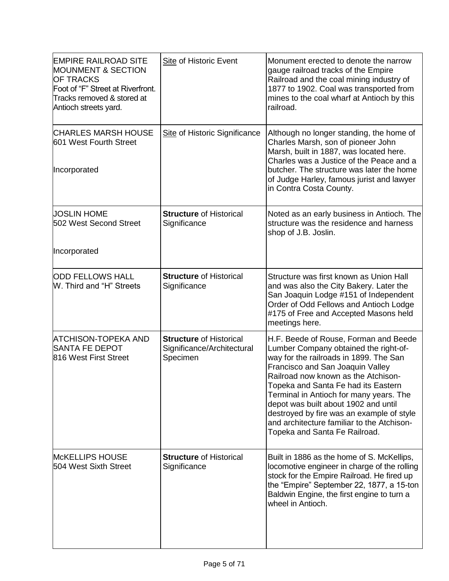| <b>EMPIRE RAILROAD SITE</b><br><b>MOUNMENT &amp; SECTION</b><br><b>OF TRACKS</b><br>Foot of "F" Street at Riverfront.<br>Tracks removed & stored at<br>Antioch streets yard. | <b>Site of Historic Event</b>                                            | Monument erected to denote the narrow<br>gauge railroad tracks of the Empire<br>Railroad and the coal mining industry of<br>1877 to 1902. Coal was transported from<br>mines to the coal wharf at Antioch by this<br>railroad.                                                                                                                                                                                                                            |
|------------------------------------------------------------------------------------------------------------------------------------------------------------------------------|--------------------------------------------------------------------------|-----------------------------------------------------------------------------------------------------------------------------------------------------------------------------------------------------------------------------------------------------------------------------------------------------------------------------------------------------------------------------------------------------------------------------------------------------------|
| <b>CHARLES MARSH HOUSE</b><br>601 West Fourth Street<br>Incorporated                                                                                                         | Site of Historic Significance                                            | Although no longer standing, the home of<br>Charles Marsh, son of pioneer John<br>Marsh, built in 1887, was located here.<br>Charles was a Justice of the Peace and a<br>butcher. The structure was later the home<br>of Judge Harley, famous jurist and lawyer<br>in Contra Costa County.                                                                                                                                                                |
| <b>JOSLIN HOME</b><br>502 West Second Street<br>Incorporated                                                                                                                 | <b>Structure of Historical</b><br>Significance                           | Noted as an early business in Antioch. The<br>structure was the residence and harness<br>shop of J.B. Joslin.                                                                                                                                                                                                                                                                                                                                             |
| <b>ODD FELLOWS HALL</b><br>W. Third and "H" Streets                                                                                                                          | <b>Structure of Historical</b><br>Significance                           | Structure was first known as Union Hall<br>and was also the City Bakery. Later the<br>San Joaquin Lodge #151 of Independent<br>Order of Odd Fellows and Antioch Lodge<br>#175 of Free and Accepted Masons held<br>meetings here.                                                                                                                                                                                                                          |
| ATCHISON-TOPEKA AND<br><b>SANTA FE DEPOT</b><br>816 West First Street                                                                                                        | <b>Structure of Historical</b><br>Significance/Architectural<br>Specimen | H.F. Beede of Rouse, Forman and Beede<br>Lumber Company obtained the right-of-<br>way for the railroads in 1899. The San<br>Francisco and San Joaquin Valley<br>Railroad now known as the Atchison-<br>Topeka and Santa Fe had its Eastern<br>Terminal in Antioch for many years. The<br>depot was built about 1902 and until<br>destroyed by fire was an example of style<br>and architecture familiar to the Atchison-<br>Topeka and Santa Fe Railroad. |
| <b>McKELLIPS HOUSE</b><br>504 West Sixth Street                                                                                                                              | <b>Structure of Historical</b><br>Significance                           | Built in 1886 as the home of S. McKellips,<br>locomotive engineer in charge of the rolling<br>stock for the Empire Railroad. He fired up<br>the "Empire" September 22, 1877, a 15-ton<br>Baldwin Engine, the first engine to turn a<br>wheel in Antioch.                                                                                                                                                                                                  |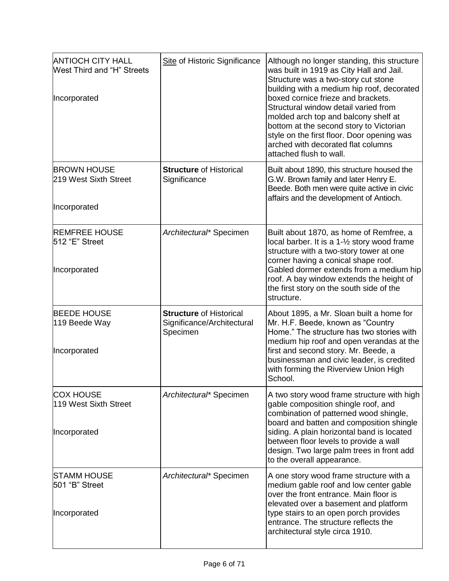| <b>ANTIOCH CITY HALL</b><br><b>West Third and "H" Streets</b><br>Incorporated | Site of Historic Significance                                            | Although no longer standing, this structure<br>was built in 1919 as City Hall and Jail.<br>Structure was a two-story cut stone<br>building with a medium hip roof, decorated<br>boxed cornice frieze and brackets.<br>Structural window detail varied from<br>molded arch top and balcony shelf at<br>bottom at the second story to Victorian<br>style on the first floor. Door opening was<br>arched with decorated flat columns<br>attached flush to wall. |
|-------------------------------------------------------------------------------|--------------------------------------------------------------------------|--------------------------------------------------------------------------------------------------------------------------------------------------------------------------------------------------------------------------------------------------------------------------------------------------------------------------------------------------------------------------------------------------------------------------------------------------------------|
| <b>BROWN HOUSE</b><br>219 West Sixth Street<br>Incorporated                   | <b>Structure of Historical</b><br>Significance                           | Built about 1890, this structure housed the<br>G.W. Brown family and later Henry E.<br>Beede. Both men were quite active in civic<br>affairs and the development of Antioch.                                                                                                                                                                                                                                                                                 |
| <b>REMFREE HOUSE</b><br>512 "E" Street<br>Incorporated                        | Architectural* Specimen                                                  | Built about 1870, as home of Remfree, a<br>local barber. It is a 1-1/2 story wood frame<br>structure with a two-story tower at one<br>corner having a conical shape roof.<br>Gabled dormer extends from a medium hip<br>roof. A bay window extends the height of<br>the first story on the south side of the<br>structure.                                                                                                                                   |
| <b>BEEDE HOUSE</b><br>119 Beede Way<br>Incorporated                           | <b>Structure of Historical</b><br>Significance/Architectural<br>Specimen | About 1895, a Mr. Sloan built a home for<br>Mr. H.F. Beede, known as "Country<br>Home." The structure has two stories with<br>medium hip roof and open verandas at the<br>first and second story. Mr. Beede, a<br>businessman and civic leader, is credited<br>with forming the Riverview Union High<br>School.                                                                                                                                              |
| <b>COX HOUSE</b><br>119 West Sixth Street<br>Incorporated                     | Architectural* Specimen                                                  | A two story wood frame structure with high<br>gable composition shingle roof, and<br>combination of patterned wood shingle,<br>board and batten and composition shingle<br>siding. A plain horizontal band is located<br>between floor levels to provide a wall<br>design. Two large palm trees in front add<br>to the overall appearance.                                                                                                                   |
| <b>STAMM HOUSE</b><br>501 "B" Street<br>Incorporated                          | Architectural* Specimen                                                  | A one story wood frame structure with a<br>medium gable roof and low center gable<br>over the front entrance. Main floor is<br>elevated over a basement and platform<br>type stairs to an open porch provides<br>entrance. The structure reflects the<br>architectural style circa 1910.                                                                                                                                                                     |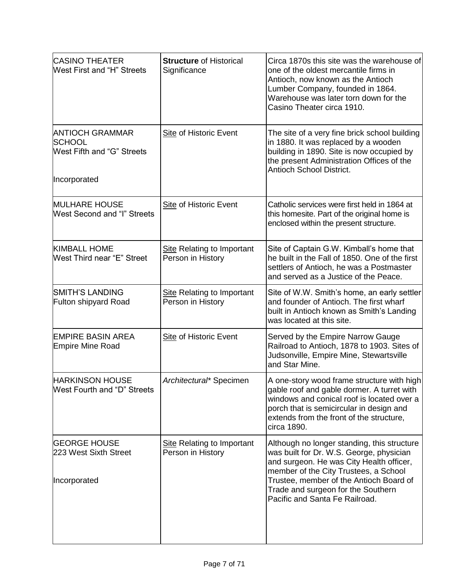| <b>CASINO THEATER</b><br><b>West First and "H" Streets</b>                            | <b>Structure of Historical</b><br>Significance         | Circa 1870s this site was the warehouse of<br>one of the oldest mercantile firms in<br>Antioch, now known as the Antioch<br>Lumber Company, founded in 1864.<br>Warehouse was later torn down for the<br>Casino Theater circa 1910.                                                             |
|---------------------------------------------------------------------------------------|--------------------------------------------------------|-------------------------------------------------------------------------------------------------------------------------------------------------------------------------------------------------------------------------------------------------------------------------------------------------|
| <b>ANTIOCH GRAMMAR</b><br><b>SCHOOL</b><br>West Fifth and "G" Streets<br>Incorporated | Site of Historic Event                                 | The site of a very fine brick school building<br>in 1880. It was replaced by a wooden<br>building in 1890. Site is now occupied by<br>the present Administration Offices of the<br>Antioch School District.                                                                                     |
| <b>MULHARE HOUSE</b><br><b>West Second and "I" Streets</b>                            | <b>Site of Historic Event</b>                          | Catholic services were first held in 1864 at<br>this homesite. Part of the original home is<br>enclosed within the present structure.                                                                                                                                                           |
| <b>KIMBALL HOME</b><br>West Third near "E" Street                                     | <b>Site Relating to Important</b><br>Person in History | Site of Captain G.W. Kimball's home that<br>he built in the Fall of 1850. One of the first<br>settlers of Antioch, he was a Postmaster<br>and served as a Justice of the Peace.                                                                                                                 |
| <b>SMITH'S LANDING</b><br>Fulton shipyard Road                                        | <b>Site Relating to Important</b><br>Person in History | Site of W.W. Smith's home, an early settler<br>and founder of Antioch. The first wharf<br>built in Antioch known as Smith's Landing<br>was located at this site.                                                                                                                                |
| <b>EMPIRE BASIN AREA</b><br><b>Empire Mine Road</b>                                   | <b>Site of Historic Event</b>                          | Served by the Empire Narrow Gauge<br>Railroad to Antioch, 1878 to 1903. Sites of<br>Judsonville, Empire Mine, Stewartsville<br>and Star Mine.                                                                                                                                                   |
| <b>HARKINSON HOUSE</b><br><b>West Fourth and "D" Streets</b>                          | Architectural* Specimen                                | A one-story wood frame structure with high<br>gable roof and gable dormer. A turret with<br>windows and conical roof is located over a<br>porch that is semicircular in design and<br>extends from the front of the structure,<br>circa 1890.                                                   |
| <b>GEORGE HOUSE</b><br>223 West Sixth Street<br>Incorporated                          | <b>Site Relating to Important</b><br>Person in History | Although no longer standing, this structure<br>was built for Dr. W.S. George, physician<br>and surgeon. He was City Health officer,<br>member of the City Trustees, a School<br>Trustee, member of the Antioch Board of<br>Trade and surgeon for the Southern<br>Pacific and Santa Fe Railroad. |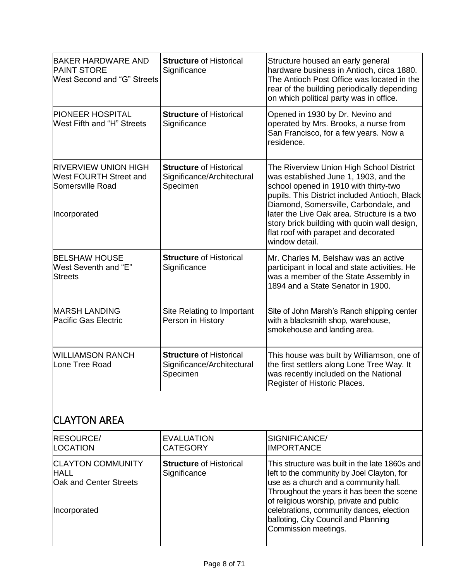| <b>BAKER HARDWARE AND</b><br><b>PAINT STORE</b><br>West Second and "G" Streets                   | <b>Structure of Historical</b><br>Significance                           | Structure housed an early general<br>hardware business in Antioch, circa 1880.<br>The Antioch Post Office was located in the<br>rear of the building periodically depending<br>on which political party was in office.                                                                                                                                                        |
|--------------------------------------------------------------------------------------------------|--------------------------------------------------------------------------|-------------------------------------------------------------------------------------------------------------------------------------------------------------------------------------------------------------------------------------------------------------------------------------------------------------------------------------------------------------------------------|
| <b>PIONEER HOSPITAL</b><br><b>West Fifth and "H" Streets</b>                                     | <b>Structure of Historical</b><br>Significance                           | Opened in 1930 by Dr. Nevino and<br>operated by Mrs. Brooks, a nurse from<br>San Francisco, for a few years. Now a<br>residence.                                                                                                                                                                                                                                              |
| <b>RIVERVIEW UNION HIGH</b><br><b>West FOURTH Street and</b><br>Somersville Road<br>Incorporated | <b>Structure of Historical</b><br>Significance/Architectural<br>Specimen | The Riverview Union High School District<br>was established June 1, 1903, and the<br>school opened in 1910 with thirty-two<br>pupils. This District included Antioch, Black<br>Diamond, Somersville, Carbondale, and<br>later the Live Oak area. Structure is a two<br>story brick building with quoin wall design,<br>flat roof with parapet and decorated<br>window detail. |
| <b>BELSHAW HOUSE</b><br>West Seventh and "E"<br><b>Streets</b>                                   | <b>Structure of Historical</b><br>Significance                           | Mr. Charles M. Belshaw was an active<br>participant in local and state activities. He<br>was a member of the State Assembly in<br>1894 and a State Senator in 1900.                                                                                                                                                                                                           |
| <b>MARSH LANDING</b><br><b>Pacific Gas Electric</b>                                              | <b>Site Relating to Important</b><br>Person in History                   | Site of John Marsh's Ranch shipping center<br>with a blacksmith shop, warehouse,<br>smokehouse and landing area.                                                                                                                                                                                                                                                              |
| <b>WILLIAMSON RANCH</b><br>Lone Tree Road                                                        | <b>Structure of Historical</b><br>Significance/Architectural<br>Specimen | This house was built by Williamson, one of<br>the first settlers along Lone Tree Way. It<br>was recently included on the National<br>Register of Historic Places.                                                                                                                                                                                                             |

## CLAYTON AREA

| <b>RESOURCE/</b>                                                                  | <b>EVALUATION</b>                              | SIGNIFICANCE/                                                                                                                                                                                                                                                                                                                               |
|-----------------------------------------------------------------------------------|------------------------------------------------|---------------------------------------------------------------------------------------------------------------------------------------------------------------------------------------------------------------------------------------------------------------------------------------------------------------------------------------------|
| <b>LOCATION</b>                                                                   | <b>CATEGORY</b>                                | <b>IMPORTANCE</b>                                                                                                                                                                                                                                                                                                                           |
| <b>CLAYTON COMMUNITY</b><br><b>HALL</b><br>Oak and Center Streets<br>Incorporated | <b>Structure of Historical</b><br>Significance | This structure was built in the late 1860s and<br>left to the community by Joel Clayton, for<br>use as a church and a community hall.<br>Throughout the years it has been the scene<br>of religious worship, private and public<br>celebrations, community dances, election<br>balloting, City Council and Planning<br>Commission meetings. |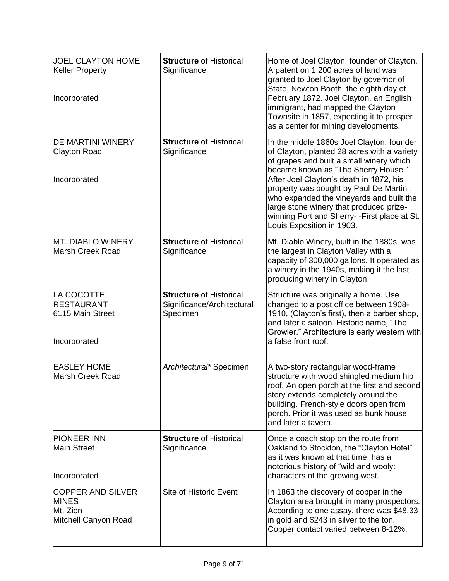| <b>JOEL CLAYTON HOME</b><br><b>Keller Property</b><br>Incorporated           | <b>Structure of Historical</b><br>Significance                           | Home of Joel Clayton, founder of Clayton.<br>A patent on 1,200 acres of land was<br>granted to Joel Clayton by governor of<br>State, Newton Booth, the eighth day of<br>February 1872. Joel Clayton, an English<br>immigrant, had mapped the Clayton<br>Townsite in 1857, expecting it to prosper<br>as a center for mining developments.                                                                                            |
|------------------------------------------------------------------------------|--------------------------------------------------------------------------|--------------------------------------------------------------------------------------------------------------------------------------------------------------------------------------------------------------------------------------------------------------------------------------------------------------------------------------------------------------------------------------------------------------------------------------|
| <b>DE MARTINI WINERY</b><br><b>Clayton Road</b><br>Incorporated              | <b>Structure of Historical</b><br>Significance                           | In the middle 1860s Joel Clayton, founder<br>of Clayton, planted 28 acres with a variety<br>of grapes and built a small winery which<br>became known as "The Sherry House."<br>After Joel Clayton's death in 1872, his<br>property was bought by Paul De Martini,<br>who expanded the vineyards and built the<br>large stone winery that produced prize-<br>winning Port and Sherry--First place at St.<br>Louis Exposition in 1903. |
| <b>MT. DIABLO WINERY</b><br>Marsh Creek Road                                 | <b>Structure of Historical</b><br>Significance                           | Mt. Diablo Winery, built in the 1880s, was<br>the largest in Clayton Valley with a<br>capacity of 300,000 gallons. It operated as<br>a winery in the 1940s, making it the last<br>producing winery in Clayton.                                                                                                                                                                                                                       |
| LA COCOTTE<br><b>RESTAURANT</b><br>6115 Main Street<br>Incorporated          | <b>Structure of Historical</b><br>Significance/Architectural<br>Specimen | Structure was originally a home. Use<br>changed to a post office between 1908-<br>1910, (Clayton's first), then a barber shop,<br>and later a saloon. Historic name, "The<br>Growler." Architecture is early western with<br>a false front roof.                                                                                                                                                                                     |
| <b>EASLEY HOME</b><br>Marsh Creek Road                                       | Architectural* Specimen                                                  | A two-story rectangular wood-frame<br>structure with wood shingled medium hip<br>roof. An open porch at the first and second<br>story extends completely around the<br>building. French-style doors open from<br>porch. Prior it was used as bunk house<br>and later a tavern.                                                                                                                                                       |
| <b>PIONEER INN</b><br><b>Main Street</b><br>Incorporated                     | <b>Structure of Historical</b><br>Significance                           | Once a coach stop on the route from<br>Oakland to Stockton, the "Clayton Hotel"<br>as it was known at that time, has a<br>notorious history of "wild and wooly:<br>characters of the growing west.                                                                                                                                                                                                                                   |
| <b>COPPER AND SILVER</b><br><b>MINES</b><br>Mt. Zion<br>Mitchell Canyon Road | <b>Site of Historic Event</b>                                            | In 1863 the discovery of copper in the<br>Clayton area brought in many prospectors.<br>According to one assay, there was \$48.33<br>in gold and \$243 in silver to the ton.<br>Copper contact varied between 8-12%.                                                                                                                                                                                                                  |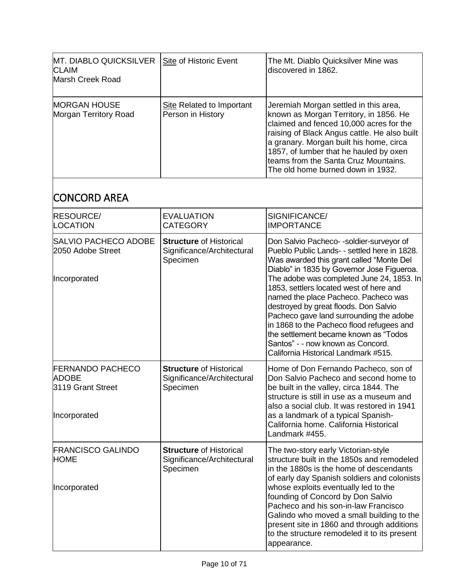| <b>MT. DIABLO QUICKSILVER</b><br><b>CLAIM</b><br>Marsh Creek Road | Site of Historic Event                         | The Mt. Diablo Quicksilver Mine was<br>discovered in 1862.                                                                                                                                                                                                                                                                                   |
|-------------------------------------------------------------------|------------------------------------------------|----------------------------------------------------------------------------------------------------------------------------------------------------------------------------------------------------------------------------------------------------------------------------------------------------------------------------------------------|
| <b>MORGAN HOUSE</b><br>Morgan Territory Road                      | Site Related to Important<br>Person in History | Jeremiah Morgan settled in this area,<br>known as Morgan Territory, in 1856. He<br>claimed and fenced 10,000 acres for the<br>raising of Black Angus cattle. He also built<br>a granary. Morgan built his home, circa<br>1857, of lumber that he hauled by oxen<br>teams from the Santa Cruz Mountains.<br>The old home burned down in 1932. |

# CONCORD AREA

| <b>RESOURCE/</b><br>LOCATION                                                 | <b>EVALUATION</b><br><b>CATEGORY</b>                                     | SIGNIFICANCE/<br><b>IMPORTANCE</b>                                                                                                                                                                                                                                                                                                                                                                                                                                                                                                                                       |
|------------------------------------------------------------------------------|--------------------------------------------------------------------------|--------------------------------------------------------------------------------------------------------------------------------------------------------------------------------------------------------------------------------------------------------------------------------------------------------------------------------------------------------------------------------------------------------------------------------------------------------------------------------------------------------------------------------------------------------------------------|
| SALVIO PACHECO ADOBE<br>2050 Adobe Street<br>Incorporated                    | <b>Structure of Historical</b><br>Significance/Architectural<br>Specimen | Don Salvio Pacheco--soldier-surveyor of<br>Pueblo Public Lands- - settled here in 1828.<br>Was awarded this grant called "Monte Del<br>Diablo" in 1835 by Governor Jose Figueroa.<br>The adobe was completed June 24, 1853. In<br>1853, settlers located west of here and<br>named the place Pacheco. Pacheco was<br>destroyed by great floods. Don Salvio<br>Pacheco gave land surrounding the adobe<br>in 1868 to the Pacheco flood refugees and<br>the settlement became known as "Todos<br>Santos" - - now known as Concord.<br>California Historical Landmark #515. |
| <b>FERNANDO PACHECO</b><br><b>ADOBE</b><br>3119 Grant Street<br>Incorporated | <b>Structure of Historical</b><br>Significance/Architectural<br>Specimen | Home of Don Fernando Pacheco, son of<br>Don Salvio Pacheco and second home to<br>be built in the valley, circa 1844. The<br>structure is still in use as a museum and<br>also a social club. It was restored in 1941<br>as a landmark of a typical Spanish-<br>California home. California Historical<br>Landmark #455.                                                                                                                                                                                                                                                  |
| <b>FRANCISCO GALINDO</b><br><b>HOME</b><br>Incorporated                      | <b>Structure of Historical</b><br>Significance/Architectural<br>Specimen | The two-story early Victorian-style<br>structure built in the 1850s and remodeled<br>in the 1880s is the home of descendants<br>of early day Spanish soldiers and colonists<br>whose exploits eventually led to the<br>founding of Concord by Don Salvio<br>Pacheco and his son-in-law Francisco<br>Galindo who moved a small building to the<br>present site in 1860 and through additions<br>to the structure remodeled it to its present<br>appearance.                                                                                                               |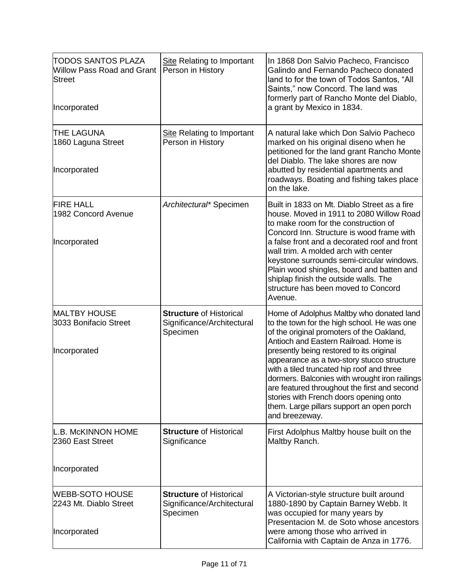| ITODOS SANTOS PLAZA<br><b>Willow Pass Road and Grant</b><br>Street<br><b>Incorporated</b> | Site Relating to Important<br>Person in History                          | In 1868 Don Salvio Pacheco, Francisco<br>Galindo and Fernando Pacheco donated<br>land to for the town of Todos Santos, "All<br>Saints," now Concord. The land was<br>formerly part of Rancho Monte del Diablo,<br>a grant by Mexico in 1834.                                                                                                                                                                                                                                                                                   |
|-------------------------------------------------------------------------------------------|--------------------------------------------------------------------------|--------------------------------------------------------------------------------------------------------------------------------------------------------------------------------------------------------------------------------------------------------------------------------------------------------------------------------------------------------------------------------------------------------------------------------------------------------------------------------------------------------------------------------|
| <b>THE LAGUNA</b><br>1860 Laguna Street<br>Incorporated                                   | <b>Site Relating to Important</b><br>Person in History                   | A natural lake which Don Salvio Pacheco<br>marked on his original diseno when he<br>petitioned for the land grant Rancho Monte<br>del Diablo. The lake shores are now<br>abutted by residential apartments and<br>roadways. Boating and fishing takes place<br>on the lake.                                                                                                                                                                                                                                                    |
| <b>FIRE HALL</b><br>1982 Concord Avenue<br>Incorporated                                   | Architectural* Specimen                                                  | Built in 1833 on Mt. Diablo Street as a fire<br>house. Moved in 1911 to 2080 Willow Road<br>to make room for the construction of<br>Concord Inn. Structure is wood frame with<br>a false front and a decorated roof and front<br>wall trim. A molded arch with center<br>keystone surrounds semi-circular windows.<br>Plain wood shingles, board and batten and<br>shiplap finish the outside walls. The<br>structure has been moved to Concord<br>Avenue.                                                                     |
| <b>MALTBY HOUSE</b><br>3033 Bonifacio Street<br>Incorporated                              | <b>Structure of Historical</b><br>Significance/Architectural<br>Specimen | Home of Adolphus Maltby who donated land<br>to the town for the high school. He was one<br>of the original promoters of the Oakland,<br>Antioch and Eastern Railroad. Home is<br>presently being restored to its original<br>appearance as a two-story stucco structure<br>with a tiled truncated hip roof and three<br>dormers. Balconies with wrought iron railings<br>are featured throughout the first and second<br>stories with French doors opening onto<br>them. Large pillars support an open porch<br>and breezeway. |
| L.B. McKINNON HOME<br>2360 East Street<br>Incorporated                                    | <b>Structure of Historical</b><br>Significance                           | First Adolphus Maltby house built on the<br>Maltby Ranch.                                                                                                                                                                                                                                                                                                                                                                                                                                                                      |
|                                                                                           |                                                                          |                                                                                                                                                                                                                                                                                                                                                                                                                                                                                                                                |
| <b>WEBB-SOTO HOUSE</b><br>2243 Mt. Diablo Street<br>Incorporated                          | <b>Structure of Historical</b><br>Significance/Architectural<br>Specimen | A Victorian-style structure built around<br>1880-1890 by Captain Barney Webb. It<br>was occupied for many years by<br>Presentacion M. de Soto whose ancestors<br>were among those who arrived in<br>California with Captain de Anza in 1776.                                                                                                                                                                                                                                                                                   |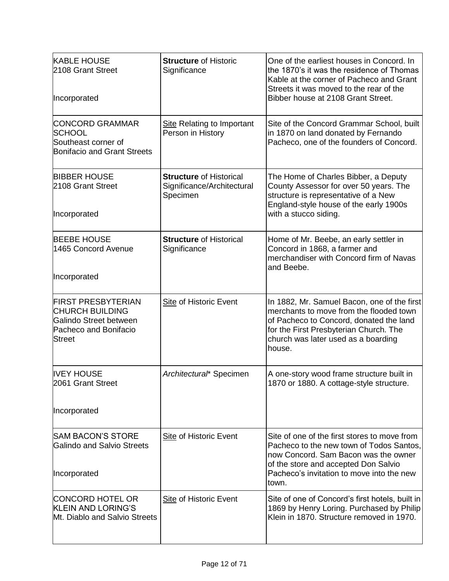| <b>KABLE HOUSE</b><br>2108 Grant Street<br>Incorporated                                                                 | <b>Structure of Historic</b><br>Significance                             | One of the earliest houses in Concord. In<br>the 1870's it was the residence of Thomas<br>Kable at the corner of Pacheco and Grant<br>Streets it was moved to the rear of the<br>Bibber house at 2108 Grant Street.            |
|-------------------------------------------------------------------------------------------------------------------------|--------------------------------------------------------------------------|--------------------------------------------------------------------------------------------------------------------------------------------------------------------------------------------------------------------------------|
| <b>CONCORD GRAMMAR</b><br><b>SCHOOL</b><br>Southeast corner of<br>Bonifacio and Grant Streets                           | <b>Site Relating to Important</b><br>Person in History                   | Site of the Concord Grammar School, built<br>in 1870 on land donated by Fernando<br>Pacheco, one of the founders of Concord.                                                                                                   |
| <b>BIBBER HOUSE</b><br>2108 Grant Street<br>Incorporated                                                                | <b>Structure of Historical</b><br>Significance/Architectural<br>Specimen | The Home of Charles Bibber, a Deputy<br>County Assessor for over 50 years. The<br>structure is representative of a New<br>England-style house of the early 1900s<br>with a stucco siding.                                      |
|                                                                                                                         |                                                                          |                                                                                                                                                                                                                                |
| <b>BEEBE HOUSE</b><br>1465 Concord Avenue                                                                               | <b>Structure of Historical</b><br>Significance                           | Home of Mr. Beebe, an early settler in<br>Concord in 1868, a farmer and<br>merchandiser with Concord firm of Navas<br>and Beebe.                                                                                               |
| Incorporated                                                                                                            |                                                                          |                                                                                                                                                                                                                                |
| <b>FIRST PRESBYTERIAN</b><br><b>CHURCH BUILDING</b><br>Galindo Street between<br>Pacheco and Bonifacio<br><b>Street</b> | <b>Site of Historic Event</b>                                            | In 1882, Mr. Samuel Bacon, one of the first<br>merchants to move from the flooded town<br>of Pacheco to Concord, donated the land<br>for the First Presbyterian Church. The<br>church was later used as a boarding<br>house.   |
| <b>IVEY HOUSE</b><br>2061 Grant Street                                                                                  | Architectural* Specimen                                                  | A one-story wood frame structure built in<br>1870 or 1880. A cottage-style structure.                                                                                                                                          |
| Incorporated                                                                                                            |                                                                          |                                                                                                                                                                                                                                |
| <b>SAM BACON'S STORE</b><br>Galindo and Salvio Streets<br><b>Incorporated</b>                                           | Site of Historic Event                                                   | Site of one of the first stores to move from<br>Pacheco to the new town of Todos Santos,<br>now Concord. Sam Bacon was the owner<br>of the store and accepted Don Salvio<br>Pacheco's invitation to move into the new<br>town. |
| <b>CONCORD HOTEL OR</b><br><b>KLEIN AND LORING'S</b><br>Mt. Diablo and Salvio Streets                                   | <b>Site of Historic Event</b>                                            | Site of one of Concord's first hotels, built in<br>1869 by Henry Loring. Purchased by Philip<br>Klein in 1870. Structure removed in 1970.                                                                                      |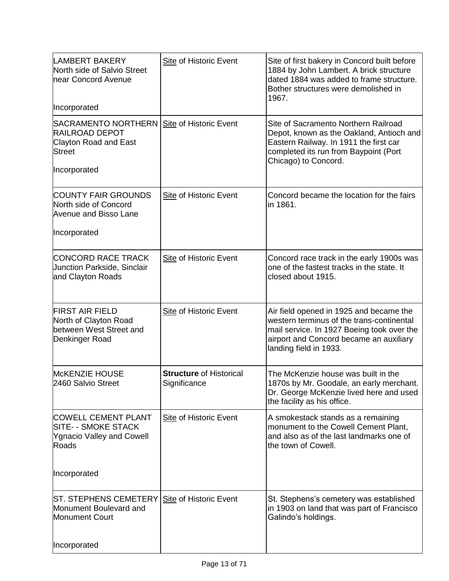| <b>LAMBERT BAKERY</b><br>North side of Salvio Street<br>near Concord Avenue                                                                     | Site of Historic Event                         | Site of first bakery in Concord built before<br>1884 by John Lambert. A brick structure<br>dated 1884 was added to frame structure.<br>Bother structures were demolished in<br>1967.                    |
|-------------------------------------------------------------------------------------------------------------------------------------------------|------------------------------------------------|---------------------------------------------------------------------------------------------------------------------------------------------------------------------------------------------------------|
| Incorporated<br>SACRAMENTO NORTHERN   Site of Historic Event<br><b>RAILROAD DEPOT</b><br>Clayton Road and East<br><b>Street</b><br>Incorporated |                                                | Site of Sacramento Northern Railroad<br>Depot, known as the Oakland, Antioch and<br>Eastern Railway. In 1911 the first car<br>completed its run from Baypoint (Port<br>Chicago) to Concord.             |
| <b>COUNTY FAIR GROUNDS</b><br>North side of Concord<br>Avenue and Bisso Lane<br>Incorporated                                                    | Site of Historic Event                         | Concord became the location for the fairs<br>in 1861.                                                                                                                                                   |
| <b>CONCORD RACE TRACK</b><br><b>Junction Parkside, Sinclair</b><br>and Clayton Roads                                                            | <b>Site of Historic Event</b>                  | Concord race track in the early 1900s was<br>one of the fastest tracks in the state. It<br>closed about 1915.                                                                                           |
| <b>FIRST AIR FIELD</b><br>North of Clayton Road<br>between West Street and<br>Denkinger Road                                                    | <b>Site of Historic Event</b>                  | Air field opened in 1925 and became the<br>western terminus of the trans-continental<br>mail service. In 1927 Boeing took over the<br>airport and Concord became an auxiliary<br>landing field in 1933. |
| McKENZIE HOUSE<br>2460 Salvio Street                                                                                                            | <b>Structure of Historical</b><br>Significance | The McKenzie house was built in the<br>1870s by Mr. Goodale, an early merchant.<br>Dr. George McKenzie lived here and used<br>the facility as his office.                                               |
| <b>COWELL CEMENT PLANT</b><br>SITE- - SMOKE STACK<br><b>Ygnacio Valley and Cowell</b><br>Roads                                                  | <b>Site of Historic Event</b>                  | A smokestack stands as a remaining<br>monument to the Cowell Cement Plant,<br>and also as of the last landmarks one of<br>the town of Cowell.                                                           |
| Incorporated                                                                                                                                    |                                                |                                                                                                                                                                                                         |
| ST. STEPHENS CEMETERY Site of Historic Event<br>Monument Boulevard and<br><b>Monument Court</b>                                                 |                                                | St. Stephens's cemetery was established<br>in 1903 on land that was part of Francisco<br>Galindo's holdings.                                                                                            |
| Incorporated                                                                                                                                    |                                                |                                                                                                                                                                                                         |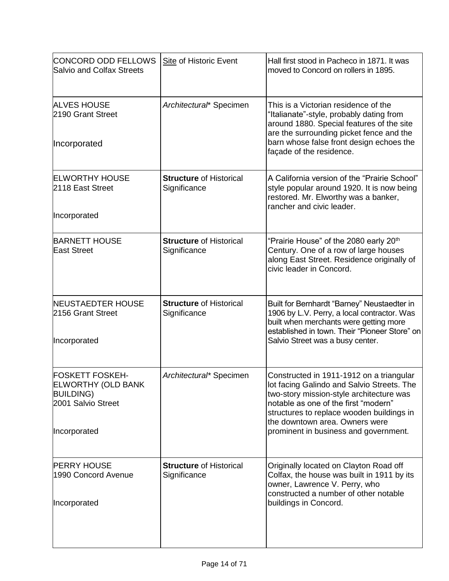| <b>CONCORD ODD FELLOWS</b><br>Salvio and Colfax Streets                                                       | <b>Site of Historic Event</b>                  | Hall first stood in Pacheco in 1871. It was<br>moved to Concord on rollers in 1895.                                                                                                                                                                                                                |
|---------------------------------------------------------------------------------------------------------------|------------------------------------------------|----------------------------------------------------------------------------------------------------------------------------------------------------------------------------------------------------------------------------------------------------------------------------------------------------|
| <b>ALVES HOUSE</b><br>2190 Grant Street<br>Incorporated                                                       | Architectural* Specimen                        | This is a Victorian residence of the<br>"Italianate"-style, probably dating from<br>around 1880. Special features of the site<br>are the surrounding picket fence and the<br>barn whose false front design echoes the                                                                              |
|                                                                                                               |                                                | façade of the residence.                                                                                                                                                                                                                                                                           |
| <b>ELWORTHY HOUSE</b><br>2118 East Street                                                                     | <b>Structure of Historical</b><br>Significance | A California version of the "Prairie School"<br>style popular around 1920. It is now being<br>restored. Mr. Elworthy was a banker,<br>rancher and civic leader.                                                                                                                                    |
| Incorporated                                                                                                  |                                                |                                                                                                                                                                                                                                                                                                    |
| <b>BARNETT HOUSE</b><br><b>East Street</b>                                                                    | <b>Structure of Historical</b><br>Significance | "Prairie House" of the 2080 early 20th<br>Century. One of a row of large houses<br>along East Street. Residence originally of<br>civic leader in Concord.                                                                                                                                          |
| <b>NEUSTAEDTER HOUSE</b><br>2156 Grant Street<br>Incorporated                                                 | <b>Structure of Historical</b><br>Significance | Built for Bernhardt "Barney" Neustaedter in<br>1906 by L.V. Perry, a local contractor. Was<br>built when merchants were getting more<br>established in town. Their "Pioneer Store" on<br>Salvio Street was a busy center.                                                                          |
| <b>FOSKETT FOSKEH-</b><br><b>ELWORTHY (OLD BANK</b><br><b>BUILDING)</b><br>2001 Salvio Street<br>Incorporated | Architectural* Specimen                        | Constructed in 1911-1912 on a triangular<br>lot facing Galindo and Salvio Streets. The<br>two-story mission-style architecture was<br>notable as one of the first "modern"<br>structures to replace wooden buildings in<br>the downtown area. Owners were<br>prominent in business and government. |
| <b>PERRY HOUSE</b><br>1990 Concord Avenue<br>Incorporated                                                     | <b>Structure of Historical</b><br>Significance | Originally located on Clayton Road off<br>Colfax, the house was built in 1911 by its<br>owner, Lawrence V. Perry, who<br>constructed a number of other notable<br>buildings in Concord.                                                                                                            |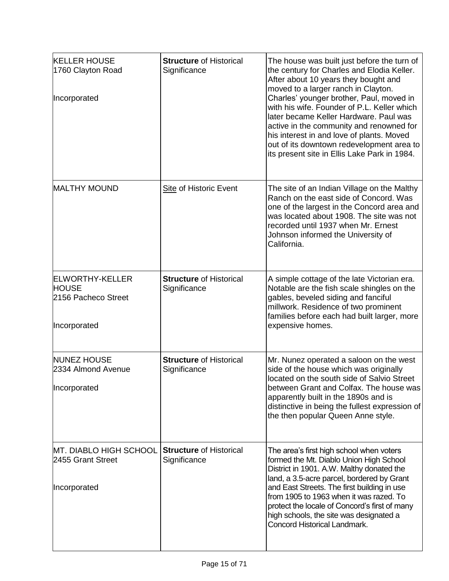| <b>KELLER HOUSE</b><br>1760 Clayton Road<br>Incorporated                      | <b>Structure of Historical</b><br>Significance | The house was built just before the turn of<br>the century for Charles and Elodia Keller.<br>After about 10 years they bought and<br>moved to a larger ranch in Clayton.<br>Charles' younger brother, Paul, moved in<br>with his wife. Founder of P.L. Keller which<br>later became Keller Hardware. Paul was<br>active in the community and renowned for<br>his interest in and love of plants. Moved<br>out of its downtown redevelopment area to<br>its present site in Ellis Lake Park in 1984. |
|-------------------------------------------------------------------------------|------------------------------------------------|-----------------------------------------------------------------------------------------------------------------------------------------------------------------------------------------------------------------------------------------------------------------------------------------------------------------------------------------------------------------------------------------------------------------------------------------------------------------------------------------------------|
| <b>MALTHY MOUND</b>                                                           | <b>Site of Historic Event</b>                  | The site of an Indian Village on the Malthy<br>Ranch on the east side of Concord. Was<br>one of the largest in the Concord area and<br>was located about 1908. The site was not<br>recorded until 1937 when Mr. Ernest<br>Johnson informed the University of<br>California.                                                                                                                                                                                                                         |
| <b>ELWORTHY-KELLER</b><br><b>HOUSE</b><br>2156 Pacheco Street<br>Incorporated | <b>Structure of Historical</b><br>Significance | A simple cottage of the late Victorian era.<br>Notable are the fish scale shingles on the<br>gables, beveled siding and fanciful<br>millwork. Residence of two prominent<br>families before each had built larger, more<br>expensive homes.                                                                                                                                                                                                                                                         |
| <b>NUNEZ HOUSE</b><br>2334 Almond Avenue<br>Incorporated                      | <b>Structure of Historical</b><br>Significance | Mr. Nunez operated a saloon on the west<br>side of the house which was originally<br>located on the south side of Salvio Street<br>between Grant and Colfax. The house was<br>apparently built in the 1890s and is<br>distinctive in being the fullest expression of<br>the then popular Queen Anne style.                                                                                                                                                                                          |
| MT. DIABLO HIGH SCHOOL<br>2455 Grant Street<br>Incorporated                   | <b>Structure of Historical</b><br>Significance | The area's first high school when voters<br>formed the Mt. Diablo Union High School<br>District in 1901. A.W. Malthy donated the<br>land, a 3.5-acre parcel, bordered by Grant<br>and East Streets. The first building in use<br>from 1905 to 1963 when it was razed. To<br>protect the locale of Concord's first of many<br>high schools, the site was designated a<br>Concord Historical Landmark.                                                                                                |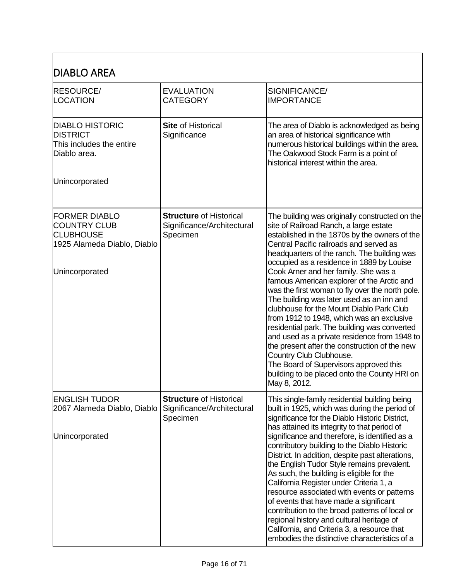| <b>DIABLO AREA</b>                                                                                               |                                                                          |                                                                                                                                                                                                                                                                                                                                                                                                                                                                                                                                                                                                                                                                                                                                                                                                                                                       |
|------------------------------------------------------------------------------------------------------------------|--------------------------------------------------------------------------|-------------------------------------------------------------------------------------------------------------------------------------------------------------------------------------------------------------------------------------------------------------------------------------------------------------------------------------------------------------------------------------------------------------------------------------------------------------------------------------------------------------------------------------------------------------------------------------------------------------------------------------------------------------------------------------------------------------------------------------------------------------------------------------------------------------------------------------------------------|
| <b>RESOURCE/</b><br>LOCATION                                                                                     | <b>EVALUATION</b><br><b>CATEGORY</b>                                     | SIGNIFICANCE/<br><b>IMPORTANCE</b>                                                                                                                                                                                                                                                                                                                                                                                                                                                                                                                                                                                                                                                                                                                                                                                                                    |
| <b>DIABLO HISTORIC</b><br><b>DISTRICT</b><br>This includes the entire<br>Diablo area.                            | <b>Site of Historical</b><br>Significance                                | The area of Diablo is acknowledged as being<br>an area of historical significance with<br>numerous historical buildings within the area.<br>The Oakwood Stock Farm is a point of<br>historical interest within the area.                                                                                                                                                                                                                                                                                                                                                                                                                                                                                                                                                                                                                              |
| Unincorporated                                                                                                   |                                                                          |                                                                                                                                                                                                                                                                                                                                                                                                                                                                                                                                                                                                                                                                                                                                                                                                                                                       |
| <b>FORMER DIABLO</b><br><b>COUNTRY CLUB</b><br><b>CLUBHOUSE</b><br>1925 Alameda Diablo, Diablo<br>Unincorporated | <b>Structure of Historical</b><br>Significance/Architectural<br>Specimen | The building was originally constructed on the<br>site of Railroad Ranch, a large estate<br>established in the 1870s by the owners of the<br>Central Pacific railroads and served as<br>headquarters of the ranch. The building was<br>occupied as a residence in 1889 by Louise<br>Cook Arner and her family. She was a<br>famous American explorer of the Arctic and<br>was the first woman to fly over the north pole.<br>The building was later used as an inn and<br>clubhouse for the Mount Diablo Park Club<br>from 1912 to 1948, which was an exclusive<br>residential park. The building was converted<br>and used as a private residence from 1948 to<br>the present after the construction of the new<br>Country Club Clubhouse.<br>The Board of Supervisors approved this<br>building to be placed onto the County HRI on<br>May 8, 2012. |
| <b>ENGLISH TUDOR</b><br>2067 Alameda Diablo, Diablo                                                              | <b>Structure of Historical</b><br>Significance/Architectural<br>Specimen | This single-family residential building being<br>built in 1925, which was during the period of<br>significance for the Diablo Historic District,<br>has attained its integrity to that period of                                                                                                                                                                                                                                                                                                                                                                                                                                                                                                                                                                                                                                                      |
| Unincorporated                                                                                                   |                                                                          | significance and therefore, is identified as a<br>contributory building to the Diablo Historic<br>District. In addition, despite past alterations,<br>the English Tudor Style remains prevalent.<br>As such, the building is eligible for the<br>California Register under Criteria 1, a<br>resource associated with events or patterns<br>of events that have made a significant<br>contribution to the broad patterns of local or<br>regional history and cultural heritage of<br>California, and Criteria 3, a resource that<br>embodies the distinctive characteristics of a                                                                                                                                                                                                                                                                      |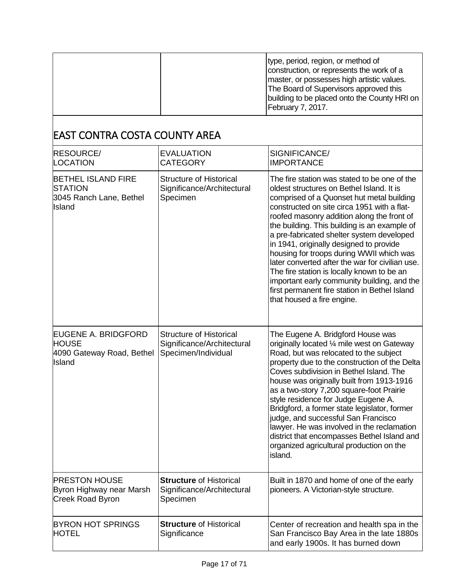|  | type, period, region, or method of<br>construction, or represents the work of a<br>master, or possesses high artistic values.<br>The Board of Supervisors approved this<br>building to be placed onto the County HRI on |
|--|-------------------------------------------------------------------------------------------------------------------------------------------------------------------------------------------------------------------------|
|  | February 7, 2017.                                                                                                                                                                                                       |

## EAST CONTRA COSTA COUNTY AREA

| <b>RESOURCE/</b><br><b>LOCATION</b>                                                      | <b>EVALUATION</b><br><b>CATEGORY</b>                                                | SIGNIFICANCE/<br><b>IMPORTANCE</b>                                                                                                                                                                                                                                                                                                                                                                                                                                                                                                                                                                                                                     |
|------------------------------------------------------------------------------------------|-------------------------------------------------------------------------------------|--------------------------------------------------------------------------------------------------------------------------------------------------------------------------------------------------------------------------------------------------------------------------------------------------------------------------------------------------------------------------------------------------------------------------------------------------------------------------------------------------------------------------------------------------------------------------------------------------------------------------------------------------------|
| <b>BETHEL ISLAND FIRE</b><br><b>STATION</b><br>3045 Ranch Lane, Bethel<br>Island         | <b>Structure of Historical</b><br>Significance/Architectural<br>Specimen            | The fire station was stated to be one of the<br>oldest structures on Bethel Island. It is<br>comprised of a Quonset hut metal building<br>constructed on site circa 1951 with a flat-<br>roofed masonry addition along the front of<br>the building. This building is an example of<br>a pre-fabricated shelter system developed<br>in 1941, originally designed to provide<br>housing for troops during WWII which was<br>later converted after the war for civilian use.<br>The fire station is locally known to be an<br>important early community building, and the<br>first permanent fire station in Bethel Island<br>that housed a fire engine. |
| <b>EUGENE A. BRIDGFORD</b><br><b>HOUSE</b><br>4090 Gateway Road, Bethel<br><b>Island</b> | <b>Structure of Historical</b><br>Significance/Architectural<br>Specimen/Individual | The Eugene A. Bridgford House was<br>originally located 1/4 mile west on Gateway<br>Road, but was relocated to the subject<br>property due to the construction of the Delta<br>Coves subdivision in Bethel Island. The<br>house was originally built from 1913-1916<br>as a two-story 7,200 square-foot Prairie<br>style residence for Judge Eugene A.<br>Bridgford, a former state legislator, former<br>judge, and successful San Francisco<br>lawyer. He was involved in the reclamation<br>district that encompasses Bethel Island and<br>organized agricultural production on the<br>island.                                                      |
| <b>PRESTON HOUSE</b><br>Byron Highway near Marsh<br><b>Creek Road Byron</b>              | <b>Structure of Historical</b><br>Significance/Architectural<br>Specimen            | Built in 1870 and home of one of the early<br>pioneers. A Victorian-style structure.                                                                                                                                                                                                                                                                                                                                                                                                                                                                                                                                                                   |
| <b>BYRON HOT SPRINGS</b><br><b>HOTEL</b>                                                 | <b>Structure of Historical</b><br>Significance                                      | Center of recreation and health spa in the<br>San Francisco Bay Area in the late 1880s<br>and early 1900s. It has burned down                                                                                                                                                                                                                                                                                                                                                                                                                                                                                                                          |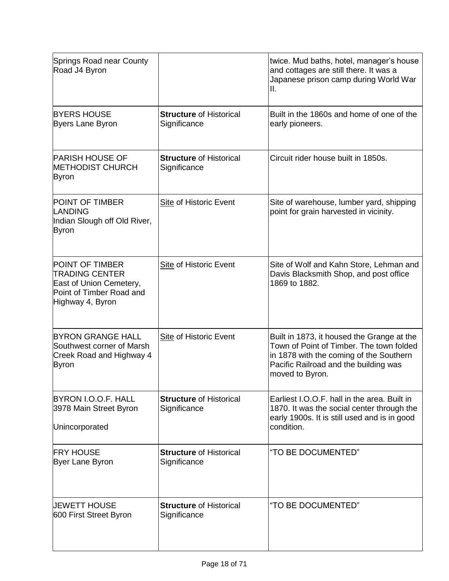| Springs Road near County<br>Road J4 Byron                                                                                  |                                                | twice. Mud baths, hotel, manager's house<br>and cottages are still there. It was a<br>Japanese prison camp during World War<br>Ш.                                                             |
|----------------------------------------------------------------------------------------------------------------------------|------------------------------------------------|-----------------------------------------------------------------------------------------------------------------------------------------------------------------------------------------------|
| <b>BYERS HOUSE</b><br><b>Byers Lane Byron</b>                                                                              | <b>Structure of Historical</b><br>Significance | Built in the 1860s and home of one of the<br>early pioneers.                                                                                                                                  |
| <b>PARISH HOUSE OF</b><br><b>METHODIST CHURCH</b><br><b>Byron</b>                                                          | <b>Structure of Historical</b><br>Significance | Circuit rider house built in 1850s.                                                                                                                                                           |
| <b>POINT OF TIMBER</b><br><b>LANDING</b><br>Indian Slough off Old River,<br><b>Byron</b>                                   | <b>Site of Historic Event</b>                  | Site of warehouse, lumber yard, shipping<br>point for grain harvested in vicinity.                                                                                                            |
| <b>POINT OF TIMBER</b><br><b>TRADING CENTER</b><br>East of Union Cemetery,<br>Point of Timber Road and<br>Highway 4, Byron | <b>Site of Historic Event</b>                  | Site of Wolf and Kahn Store, Lehman and<br>Davis Blacksmith Shop, and post office<br>1869 to 1882.                                                                                            |
| <b>BYRON GRANGE HALL</b><br>Southwest corner of Marsh<br>Creek Road and Highway 4<br><b>Byron</b>                          | <b>Site of Historic Event</b>                  | Built in 1873, it housed the Grange at the<br>Town of Point of Timber. The town folded<br>in 1878 with the coming of the Southern<br>Pacific Railroad and the building was<br>moved to Byron. |
| BYRON I.O.O.F. HALL<br>3978 Main Street Byron<br>Unincorporated                                                            | <b>Structure of Historical</b><br>Significance | Earliest I.O.O.F. hall in the area. Built in<br>1870. It was the social center through the<br>early 1900s. It is still used and is in good<br>condition.                                      |
| <b>FRY HOUSE</b><br><b>Byer Lane Byron</b>                                                                                 | <b>Structure of Historical</b><br>Significance | "TO BE DOCUMENTED"                                                                                                                                                                            |
| UEWETT HOUSE<br>600 First Street Byron                                                                                     | <b>Structure of Historical</b><br>Significance | "TO BE DOCUMENTED"                                                                                                                                                                            |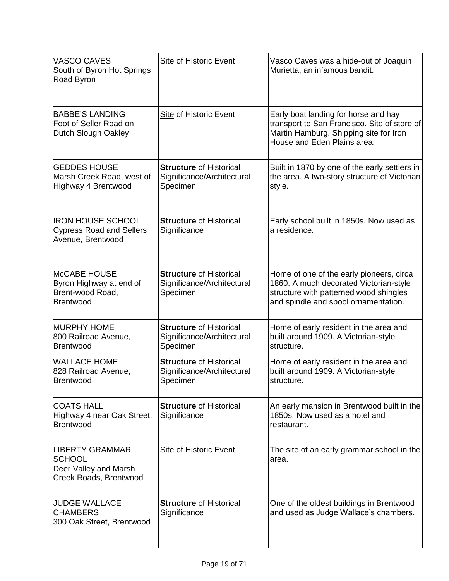| <b>VASCO CAVES</b><br>South of Byron Hot Springs<br>Road Byron                             | <b>Site of Historic Event</b>                                            | Vasco Caves was a hide-out of Joaquin<br>Murietta, an infamous bandit.                                                                                               |
|--------------------------------------------------------------------------------------------|--------------------------------------------------------------------------|----------------------------------------------------------------------------------------------------------------------------------------------------------------------|
| <b>BABBE'S LANDING</b><br>Foot of Seller Road on<br>Dutch Slough Oakley                    | <b>Site of Historic Event</b>                                            | Early boat landing for horse and hay<br>transport to San Francisco. Site of store of<br>Martin Hamburg. Shipping site for Iron<br>House and Eden Plains area.        |
| <b>GEDDES HOUSE</b><br>Marsh Creek Road, west of<br>Highway 4 Brentwood                    | <b>Structure of Historical</b><br>Significance/Architectural<br>Specimen | Built in 1870 by one of the early settlers in<br>the area. A two-story structure of Victorian<br>style.                                                              |
| <b>IRON HOUSE SCHOOL</b><br><b>Cypress Road and Sellers</b><br>Avenue, Brentwood           | <b>Structure of Historical</b><br>Significance                           | Early school built in 1850s. Now used as<br>a residence.                                                                                                             |
| <b>McCABE HOUSE</b><br>Byron Highway at end of<br>Brent-wood Road,<br>Brentwood            | <b>Structure of Historical</b><br>Significance/Architectural<br>Specimen | Home of one of the early pioneers, circa<br>1860. A much decorated Victorian-style<br>structure with patterned wood shingles<br>and spindle and spool ornamentation. |
| <b>MURPHY HOME</b><br>800 Railroad Avenue,<br>Brentwood                                    | <b>Structure of Historical</b><br>Significance/Architectural<br>Specimen | Home of early resident in the area and<br>built around 1909. A Victorian-style<br>structure.                                                                         |
| <b><i>WALLACE HOME</i></b><br>828 Railroad Avenue,<br>Brentwood                            | <b>Structure of Historical</b><br>Significance/Architectural<br>Specimen | Home of early resident in the area and<br>built around 1909. A Victorian-style<br>structure.                                                                         |
| <b>COATS HALL</b><br>Highway 4 near Oak Street,<br>Brentwood                               | <b>Structure of Historical</b><br>Significance                           | An early mansion in Brentwood built in the<br>1850s. Now used as a hotel and<br>restaurant.                                                                          |
| <b>LIBERTY GRAMMAR</b><br><b>SCHOOL</b><br>Deer Valley and Marsh<br>Creek Roads, Brentwood | <b>Site of Historic Event</b>                                            | The site of an early grammar school in the<br>area.                                                                                                                  |
| <b>JUDGE WALLACE</b><br><b>CHAMBERS</b><br>300 Oak Street, Brentwood                       | <b>Structure of Historical</b><br>Significance                           | One of the oldest buildings in Brentwood<br>and used as Judge Wallace's chambers.                                                                                    |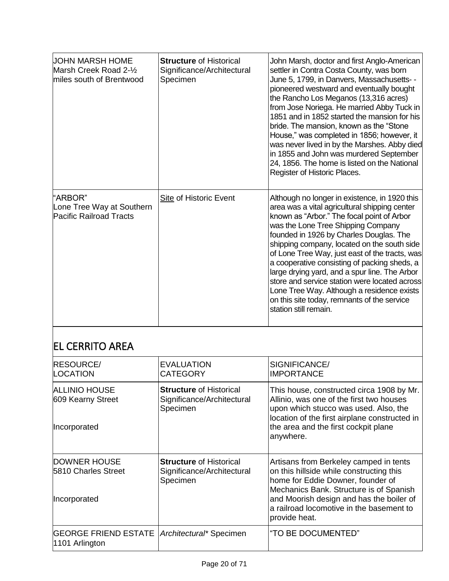| UOHN MARSH HOME<br>Marsh Creek Road 2-½<br>miles south of Brentwood    | <b>Structure of Historical</b><br>Significance/Architectural<br>Specimen | John Marsh, doctor and first Anglo-American<br>settler in Contra Costa County, was born<br>June 5, 1799, in Danvers, Massachusetts- -<br>pioneered westward and eventually bought<br>the Rancho Los Meganos (13,316 acres)<br>from Jose Noriega. He married Abby Tuck in<br>1851 and in 1852 started the mansion for his<br>bride. The mansion, known as the "Stone<br>House," was completed in 1856; however, it<br>was never lived in by the Marshes. Abby died<br>in 1855 and John was murdered September<br>24, 1856. The home is listed on the National<br>Register of Historic Places.           |
|------------------------------------------------------------------------|--------------------------------------------------------------------------|--------------------------------------------------------------------------------------------------------------------------------------------------------------------------------------------------------------------------------------------------------------------------------------------------------------------------------------------------------------------------------------------------------------------------------------------------------------------------------------------------------------------------------------------------------------------------------------------------------|
| "ARBOR"<br>Lone Tree Way at Southern<br><b>Pacific Railroad Tracts</b> | <b>Site of Historic Event</b>                                            | Although no longer in existence, in 1920 this<br>area was a vital agricultural shipping center<br>known as "Arbor." The focal point of Arbor<br>was the Lone Tree Shipping Company<br>founded in 1926 by Charles Douglas. The<br>shipping company, located on the south side<br>of Lone Tree Way, just east of the tracts, was<br>a cooperative consisting of packing sheds, a<br>large drying yard, and a spur line. The Arbor<br>store and service station were located across<br>Lone Tree Way. Although a residence exists<br>on this site today, remnants of the service<br>station still remain. |

## EL CERRITO AREA

| <b>RESOURCE/</b><br>LOCATION                                     | <b>EVALUATION</b><br><b>CATEGORY</b>                                     | SIGNIFICANCE/<br><b>IMPORTANCE</b>                                                                                                                                                                                                                                          |
|------------------------------------------------------------------|--------------------------------------------------------------------------|-----------------------------------------------------------------------------------------------------------------------------------------------------------------------------------------------------------------------------------------------------------------------------|
| <b>ALLINIO HOUSE</b><br>609 Kearny Street<br>Incorporated        | <b>Structure of Historical</b><br>Significance/Architectural<br>Specimen | This house, constructed circa 1908 by Mr.<br>Allinio, was one of the first two houses<br>upon which stucco was used. Also, the<br>location of the first airplane constructed in<br>the area and the first cockpit plane<br>anywhere.                                        |
| DOWNER HOUSE<br>5810 Charles Street<br>Incorporated              | <b>Structure of Historical</b><br>Significance/Architectural<br>Specimen | Artisans from Berkeley camped in tents<br>on this hillside while constructing this<br>home for Eddie Downer, founder of<br>Mechanics Bank. Structure is of Spanish<br>and Moorish design and has the boiler of<br>a railroad locomotive in the basement to<br>provide heat. |
| GEORGE FRIEND ESTATE   Architectural* Specimen<br>1101 Arlington |                                                                          | "TO BE DOCUMENTED"                                                                                                                                                                                                                                                          |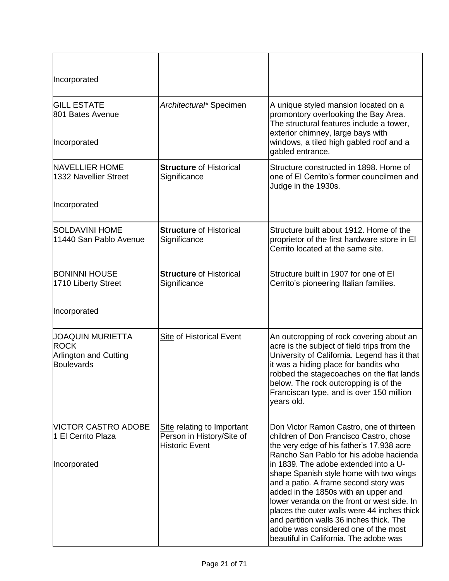| Incorporated                                                                         |                                                                                  |                                                                                                                                                                                                                                                                                                                                                                                                                                                                                                                                                                              |
|--------------------------------------------------------------------------------------|----------------------------------------------------------------------------------|------------------------------------------------------------------------------------------------------------------------------------------------------------------------------------------------------------------------------------------------------------------------------------------------------------------------------------------------------------------------------------------------------------------------------------------------------------------------------------------------------------------------------------------------------------------------------|
| <b>GILL ESTATE</b><br>801 Bates Avenue<br>Incorporated                               | Architectural* Specimen                                                          | A unique styled mansion located on a<br>promontory overlooking the Bay Area.<br>The structural features include a tower,<br>exterior chimney, large bays with<br>windows, a tiled high gabled roof and a<br>gabled entrance.                                                                                                                                                                                                                                                                                                                                                 |
| <b>NAVELLIER HOME</b><br>1332 Navellier Street<br>Incorporated                       | <b>Structure of Historical</b><br>Significance                                   | Structure constructed in 1898. Home of<br>one of El Cerrito's former councilmen and<br>Judge in the 1930s.                                                                                                                                                                                                                                                                                                                                                                                                                                                                   |
|                                                                                      |                                                                                  |                                                                                                                                                                                                                                                                                                                                                                                                                                                                                                                                                                              |
| <b>SOLDAVINI HOME</b><br>11440 San Pablo Avenue                                      | <b>Structure of Historical</b><br>Significance                                   | Structure built about 1912. Home of the<br>proprietor of the first hardware store in El<br>Cerrito located at the same site.                                                                                                                                                                                                                                                                                                                                                                                                                                                 |
| <b>BONINNI HOUSE</b><br>1710 Liberty Street                                          | <b>Structure of Historical</b><br>Significance                                   | Structure built in 1907 for one of El<br>Cerrito's pioneering Italian families.                                                                                                                                                                                                                                                                                                                                                                                                                                                                                              |
| Incorporated                                                                         |                                                                                  |                                                                                                                                                                                                                                                                                                                                                                                                                                                                                                                                                                              |
| <b>JOAQUIN MURIETTA</b><br><b>ROCK</b><br><b>Arlington and Cutting</b><br>Boulevards | <b>Site of Historical Event</b>                                                  | An outcropping of rock covering about an<br>acre is the subject of field trips from the<br>University of California. Legend has it that<br>it was a hiding place for bandits who<br>robbed the stagecoaches on the flat lands<br>below. The rock outcropping is of the<br>Franciscan type, and is over 150 million<br>years old.                                                                                                                                                                                                                                             |
| <b>NICTOR CASTRO ADOBE</b><br>1 El Cerrito Plaza<br>Incorporated                     | Site relating to Important<br>Person in History/Site of<br><b>Historic Event</b> | Don Victor Ramon Castro, one of thirteen<br>children of Don Francisco Castro, chose<br>the very edge of his father's 17,938 acre<br>Rancho San Pablo for his adobe hacienda<br>in 1839. The adobe extended into a U-<br>shape Spanish style home with two wings<br>and a patio. A frame second story was<br>added in the 1850s with an upper and<br>lower veranda on the front or west side. In<br>places the outer walls were 44 inches thick<br>and partition walls 36 inches thick. The<br>adobe was considered one of the most<br>beautiful in California. The adobe was |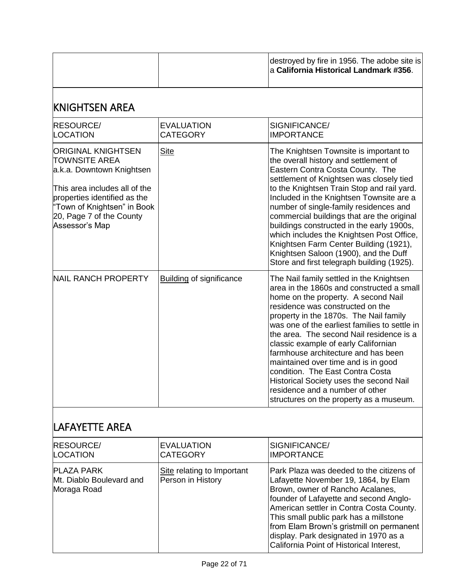|                                                                                                                                                                                                                              |                                      | destroyed by fire in 1956. The adobe site is<br>a California Historical Landmark #356.                                                                                                                                                                                                                                                                                                                                                                                                                                                                                                     |
|------------------------------------------------------------------------------------------------------------------------------------------------------------------------------------------------------------------------------|--------------------------------------|--------------------------------------------------------------------------------------------------------------------------------------------------------------------------------------------------------------------------------------------------------------------------------------------------------------------------------------------------------------------------------------------------------------------------------------------------------------------------------------------------------------------------------------------------------------------------------------------|
| <b>KNIGHTSEN AREA</b>                                                                                                                                                                                                        |                                      |                                                                                                                                                                                                                                                                                                                                                                                                                                                                                                                                                                                            |
| <b>RESOURCE/</b><br>LOCATION                                                                                                                                                                                                 | <b>EVALUATION</b><br><b>CATEGORY</b> | SIGNIFICANCE/<br><b>IMPORTANCE</b>                                                                                                                                                                                                                                                                                                                                                                                                                                                                                                                                                         |
| <b>ORIGINAL KNIGHTSEN</b><br><b>TOWNSITE AREA</b><br>a.k.a. Downtown Knightsen<br>This area includes all of the<br>properties identified as the<br>"Town of Knightsen" in Book<br>20, Page 7 of the County<br>Assessor's Map | <b>Site</b>                          | The Knightsen Townsite is important to<br>the overall history and settlement of<br>Eastern Contra Costa County. The<br>settlement of Knightsen was closely tied<br>to the Knightsen Train Stop and rail yard.<br>Included in the Knightsen Townsite are a<br>number of single-family residences and<br>commercial buildings that are the original<br>buildings constructed in the early 1900s,<br>which includes the Knightsen Post Office,<br>Knightsen Farm Center Building (1921),<br>Knightsen Saloon (1900), and the Duff<br>Store and first telegraph building (1925).               |
| <b>NAIL RANCH PROPERTY</b>                                                                                                                                                                                                   | <b>Building of significance</b>      | The Nail family settled in the Knightsen<br>area in the 1860s and constructed a small<br>home on the property. A second Nail<br>residence was constructed on the<br>property in the 1870s. The Nail family<br>was one of the earliest families to settle in<br>the area. The second Nail residence is a<br>classic example of early Californian<br>farmhouse architecture and has been<br>maintained over time and is in good<br>condition. The East Contra Costa<br>Historical Society uses the second Nail<br>residence and a number of other<br>structures on the property as a museum. |

## LAFAYETTE AREA

| <b>RESOURCE/</b>                                             | <b>EVALUATION</b>                               | SIGNIFICANCE/                                                                                                                                                                                                                                                                                                                                                                         |
|--------------------------------------------------------------|-------------------------------------------------|---------------------------------------------------------------------------------------------------------------------------------------------------------------------------------------------------------------------------------------------------------------------------------------------------------------------------------------------------------------------------------------|
| <b>LOCATION</b>                                              | <b>CATEGORY</b>                                 | <b>IMPORTANCE</b>                                                                                                                                                                                                                                                                                                                                                                     |
| <b>PLAZA PARK</b><br>Mt. Diablo Boulevard and<br>Moraga Road | Site relating to Important<br>Person in History | Park Plaza was deeded to the citizens of<br>Lafayette November 19, 1864, by Elam<br>Brown, owner of Rancho Acalanes,<br>founder of Lafayette and second Anglo-<br>American settler in Contra Costa County.<br>This small public park has a millstone<br>from Elam Brown's gristmill on permanent<br>display. Park designated in 1970 as a<br>California Point of Historical Interest, |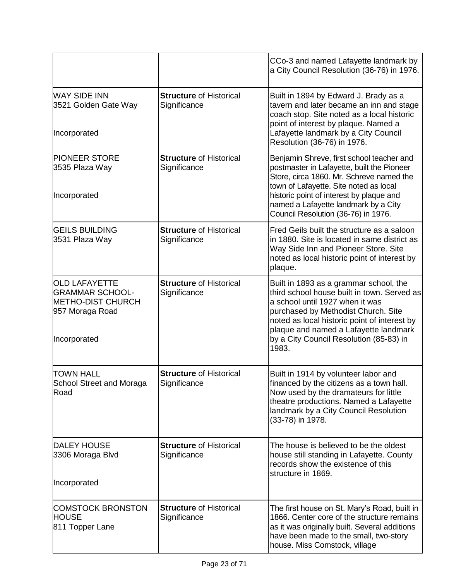|                                                                                                               |                                                | CCo-3 and named Lafayette landmark by<br>a City Council Resolution (36-76) in 1976.                                                                                                                                                                                                                          |
|---------------------------------------------------------------------------------------------------------------|------------------------------------------------|--------------------------------------------------------------------------------------------------------------------------------------------------------------------------------------------------------------------------------------------------------------------------------------------------------------|
| <b>WAY SIDE INN</b><br>3521 Golden Gate Way<br>Incorporated                                                   | <b>Structure of Historical</b><br>Significance | Built in 1894 by Edward J. Brady as a<br>tavern and later became an inn and stage<br>coach stop. Site noted as a local historic<br>point of interest by plaque. Named a<br>Lafayette landmark by a City Council<br>Resolution (36-76) in 1976.                                                               |
| <b>PIONEER STORE</b><br>3535 Plaza Way<br>Incorporated                                                        | <b>Structure of Historical</b><br>Significance | Benjamin Shreve, first school teacher and<br>postmaster in Lafayette, built the Pioneer<br>Store, circa 1860. Mr. Schreve named the<br>town of Lafayette. Site noted as local<br>historic point of interest by plaque and<br>named a Lafayette landmark by a City<br>Council Resolution (36-76) in 1976.     |
| <b>GEILS BUILDING</b><br>3531 Plaza Way                                                                       | <b>Structure of Historical</b><br>Significance | Fred Geils built the structure as a saloon<br>in 1880. Site is located in same district as<br>Way Side Inn and Pioneer Store. Site<br>noted as local historic point of interest by<br>plaque.                                                                                                                |
| <b>OLD LAFAYETTE</b><br><b>GRAMMAR SCHOOL-</b><br><b>METHO-DIST CHURCH</b><br>957 Moraga Road<br>Incorporated | <b>Structure of Historical</b><br>Significance | Built in 1893 as a grammar school, the<br>third school house built in town. Served as<br>a school until 1927 when it was<br>purchased by Methodist Church. Site<br>noted as local historic point of interest by<br>plaque and named a Lafayette landmark<br>by a City Council Resolution (85-83) in<br>1983. |
| <b>TOWN HALL</b><br>School Street and Moraga<br>Road                                                          | <b>Structure of Historical</b><br>Significance | Built in 1914 by volunteer labor and<br>financed by the citizens as a town hall.<br>Now used by the dramateurs for little<br>theatre productions. Named a Lafayette<br>landmark by a City Council Resolution<br>(33-78) in 1978.                                                                             |
| <b>DALEY HOUSE</b><br>3306 Moraga Blvd<br>Incorporated                                                        | <b>Structure of Historical</b><br>Significance | The house is believed to be the oldest<br>house still standing in Lafayette. County<br>records show the existence of this<br>structure in 1869.                                                                                                                                                              |
| <b>COMSTOCK BRONSTON</b><br><b>HOUSE</b><br>811 Topper Lane                                                   | <b>Structure of Historical</b><br>Significance | The first house on St. Mary's Road, built in<br>1866. Center core of the structure remains<br>as it was originally built. Several additions<br>have been made to the small, two-story<br>house. Miss Comstock, village                                                                                       |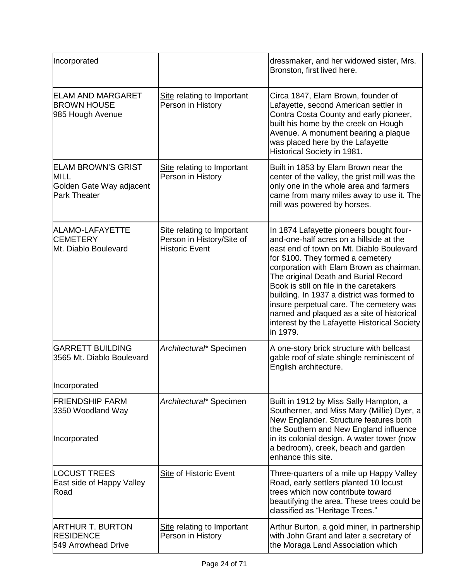| Incorporated                                                                                |                                                                                  | dressmaker, and her widowed sister, Mrs.<br>Bronston, first lived here.                                                                                                                                                                                                                                                                                                                                                                                                                              |
|---------------------------------------------------------------------------------------------|----------------------------------------------------------------------------------|------------------------------------------------------------------------------------------------------------------------------------------------------------------------------------------------------------------------------------------------------------------------------------------------------------------------------------------------------------------------------------------------------------------------------------------------------------------------------------------------------|
| <b>ELAM AND MARGARET</b><br><b>BROWN HOUSE</b><br>985 Hough Avenue                          | Site relating to Important<br>Person in History                                  | Circa 1847, Elam Brown, founder of<br>Lafayette, second American settler in<br>Contra Costa County and early pioneer,<br>built his home by the creek on Hough<br>Avenue. A monument bearing a plaque<br>was placed here by the Lafayette<br>Historical Society in 1981.                                                                                                                                                                                                                              |
| <b>ELAM BROWN'S GRIST</b><br><b>MILL</b><br>Golden Gate Way adjacent<br><b>Park Theater</b> | Site relating to Important<br>Person in History                                  | Built in 1853 by Elam Brown near the<br>center of the valley, the grist mill was the<br>only one in the whole area and farmers<br>came from many miles away to use it. The<br>mill was powered by horses.                                                                                                                                                                                                                                                                                            |
| ALAMO-LAFAYETTE<br><b>CEMETERY</b><br>Mt. Diablo Boulevard                                  | Site relating to Important<br>Person in History/Site of<br><b>Historic Event</b> | In 1874 Lafayette pioneers bought four-<br>and-one-half acres on a hillside at the<br>east end of town on Mt. Diablo Boulevard<br>for \$100. They formed a cemetery<br>corporation with Elam Brown as chairman.<br>The original Death and Burial Record<br>Book is still on file in the caretakers<br>building. In 1937 a district was formed to<br>insure perpetual care. The cemetery was<br>named and plaqued as a site of historical<br>interest by the Lafayette Historical Society<br>in 1979. |
| <b>GARRETT BUILDING</b><br>3565 Mt. Diablo Boulevard                                        | Architectural* Specimen                                                          | A one-story brick structure with bellcast<br>gable roof of slate shingle reminiscent of<br>English architecture.                                                                                                                                                                                                                                                                                                                                                                                     |
| Incorporated<br><b>FRIENDSHIP FARM</b>                                                      | Architectural* Specimen                                                          | Built in 1912 by Miss Sally Hampton, a                                                                                                                                                                                                                                                                                                                                                                                                                                                               |
| 3350 Woodland Way<br>Incorporated                                                           |                                                                                  | Southerner, and Miss Mary (Millie) Dyer, a<br>New Englander. Structure features both<br>the Southern and New England influence<br>in its colonial design. A water tower (now<br>a bedroom), creek, beach and garden<br>enhance this site.                                                                                                                                                                                                                                                            |
| <b>LOCUST TREES</b><br>East side of Happy Valley<br>Road                                    | Site of Historic Event                                                           | Three-quarters of a mile up Happy Valley<br>Road, early settlers planted 10 locust<br>trees which now contribute toward<br>beautifying the area. These trees could be<br>classified as "Heritage Trees."                                                                                                                                                                                                                                                                                             |
| <b>ARTHUR T. BURTON</b><br><b>RESIDENCE</b><br>549 Arrowhead Drive                          | Site relating to Important<br>Person in History                                  | Arthur Burton, a gold miner, in partnership<br>with John Grant and later a secretary of<br>the Moraga Land Association which                                                                                                                                                                                                                                                                                                                                                                         |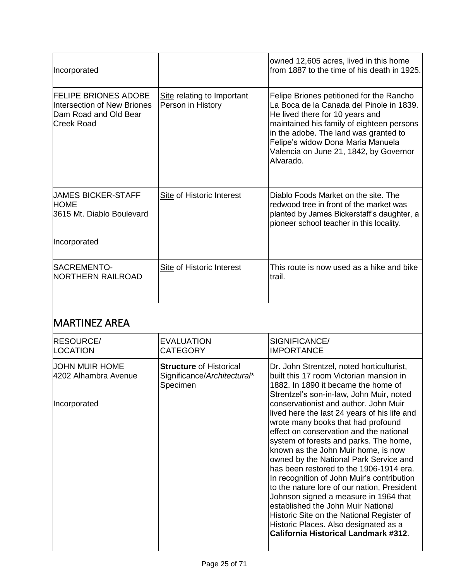| Incorporated                                                                                      |                                                 | owned 12,605 acres, lived in this home<br>from 1887 to the time of his death in 1925.                                                                                                                                                                                                                     |
|---------------------------------------------------------------------------------------------------|-------------------------------------------------|-----------------------------------------------------------------------------------------------------------------------------------------------------------------------------------------------------------------------------------------------------------------------------------------------------------|
| <b>FELIPE BRIONES ADOBE</b><br>Intersection of New Briones<br>Dam Road and Old Bear<br>Creek Road | Site relating to Important<br>Person in History | Felipe Briones petitioned for the Rancho<br>La Boca de la Canada del Pinole in 1839.<br>He lived there for 10 years and<br>maintained his family of eighteen persons<br>in the adobe. The land was granted to<br>Felipe's widow Dona Maria Manuela<br>Valencia on June 21, 1842, by Governor<br>Alvarado. |
| <b>JAMES BICKER-STAFF</b><br>HOME<br>3615 Mt. Diablo Boulevard                                    | Site of Historic Interest                       | Diablo Foods Market on the site. The<br>redwood tree in front of the market was<br>planted by James Bickerstaff's daughter, a<br>pioneer school teacher in this locality.                                                                                                                                 |
| Incorporated                                                                                      |                                                 |                                                                                                                                                                                                                                                                                                           |
| ISACREMENTO-<br>NORTHERN RAILROAD                                                                 | Site of Historic Interest                       | This route is now used as a hike and bike<br>trail.                                                                                                                                                                                                                                                       |

## MARTINEZ AREA

| <b>RESOURCE/</b><br>LOCATION                                         | <b>EVALUATION</b><br><b>CATEGORY</b>                                      | SIGNIFICANCE/<br><b>IMPORTANCE</b>                                                                                                                                                                                                                                                                                                                                                                                                                                                                                                                                                                                                                                                                                                                                                                                                |
|----------------------------------------------------------------------|---------------------------------------------------------------------------|-----------------------------------------------------------------------------------------------------------------------------------------------------------------------------------------------------------------------------------------------------------------------------------------------------------------------------------------------------------------------------------------------------------------------------------------------------------------------------------------------------------------------------------------------------------------------------------------------------------------------------------------------------------------------------------------------------------------------------------------------------------------------------------------------------------------------------------|
| <b>JOHN MUIR HOME</b><br>4202 Alhambra Avenue<br><b>Incorporated</b> | <b>Structure of Historical</b><br>Significance/Architectural*<br>Specimen | Dr. John Strentzel, noted horticulturist,<br>built this 17 room Victorian mansion in<br>1882. In 1890 it became the home of<br>Strentzel's son-in-law, John Muir, noted<br>conservationist and author, John Muir<br>lived here the last 24 years of his life and<br>wrote many books that had profound<br>effect on conservation and the national<br>system of forests and parks. The home,<br>known as the John Muir home, is now<br>owned by the National Park Service and<br>has been restored to the 1906-1914 era.<br>In recognition of John Muir's contribution<br>to the nature lore of our nation, President<br>Johnson signed a measure in 1964 that<br>established the John Muir National<br>Historic Site on the National Register of<br>Historic Places. Also designated as a<br>California Historical Landmark #312. |
|                                                                      |                                                                           |                                                                                                                                                                                                                                                                                                                                                                                                                                                                                                                                                                                                                                                                                                                                                                                                                                   |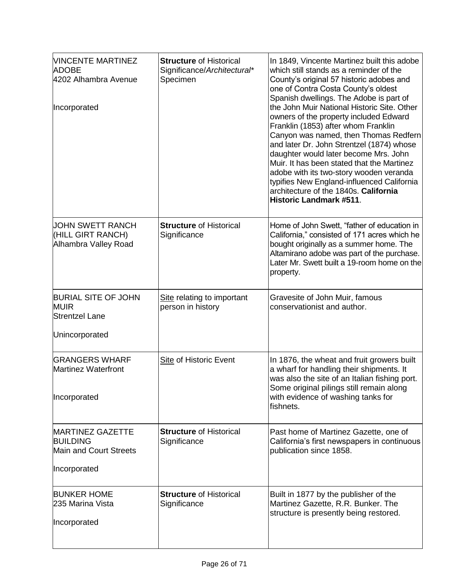| <b><i>NINCENTE MARTINEZ</i></b><br><b>ADOBE</b><br>4202 Alhambra Avenue<br>Incorporated     | <b>Structure of Historical</b><br>Significance/Architectural*<br>Specimen | In 1849, Vincente Martinez built this adobe<br>which still stands as a reminder of the<br>County's original 57 historic adobes and<br>one of Contra Costa County's oldest<br>Spanish dwellings. The Adobe is part of<br>the John Muir National Historic Site. Other<br>owners of the property included Edward<br>Franklin (1853) after whom Franklin<br>Canyon was named, then Thomas Redfern<br>and later Dr. John Strentzel (1874) whose<br>daughter would later become Mrs. John<br>Muir. It has been stated that the Martinez<br>adobe with its two-story wooden veranda<br>typifies New England-influenced California<br>architecture of the 1840s. California<br>Historic Landmark #511. |
|---------------------------------------------------------------------------------------------|---------------------------------------------------------------------------|------------------------------------------------------------------------------------------------------------------------------------------------------------------------------------------------------------------------------------------------------------------------------------------------------------------------------------------------------------------------------------------------------------------------------------------------------------------------------------------------------------------------------------------------------------------------------------------------------------------------------------------------------------------------------------------------|
| UOHN SWETT RANCH<br>(HILL GIRT RANCH)<br>Alhambra Valley Road                               | <b>Structure of Historical</b><br>Significance                            | Home of John Swett, "father of education in<br>California," consisted of 171 acres which he<br>bought originally as a summer home. The<br>Altamirano adobe was part of the purchase.<br>Later Mr. Swett built a 19-room home on the<br>property.                                                                                                                                                                                                                                                                                                                                                                                                                                               |
| <b>BURIAL SITE OF JOHN</b><br><b>MUIR</b><br><b>Strentzel Lane</b><br>Unincorporated        | Site relating to important<br>person in history                           | Gravesite of John Muir, famous<br>conservationist and author.                                                                                                                                                                                                                                                                                                                                                                                                                                                                                                                                                                                                                                  |
| <b>GRANGERS WHARF</b><br><b>Martinez Waterfront</b><br>Incorporated                         | <b>Site of Historic Event</b>                                             | In 1876, the wheat and fruit growers built<br>a wharf for handling their shipments. It<br>was also the site of an Italian fishing port.<br>Some original pilings still remain along<br>with evidence of washing tanks for<br>fishnets.                                                                                                                                                                                                                                                                                                                                                                                                                                                         |
| <b>MARTINEZ GAZETTE</b><br><b>BUILDING</b><br><b>Main and Court Streets</b><br>Incorporated | <b>Structure of Historical</b><br>Significance                            | Past home of Martinez Gazette, one of<br>California's first newspapers in continuous<br>publication since 1858.                                                                                                                                                                                                                                                                                                                                                                                                                                                                                                                                                                                |
| <b>BUNKER HOME</b><br>235 Marina Vista<br>Incorporated                                      | <b>Structure of Historical</b><br>Significance                            | Built in 1877 by the publisher of the<br>Martinez Gazette, R.R. Bunker. The<br>structure is presently being restored.                                                                                                                                                                                                                                                                                                                                                                                                                                                                                                                                                                          |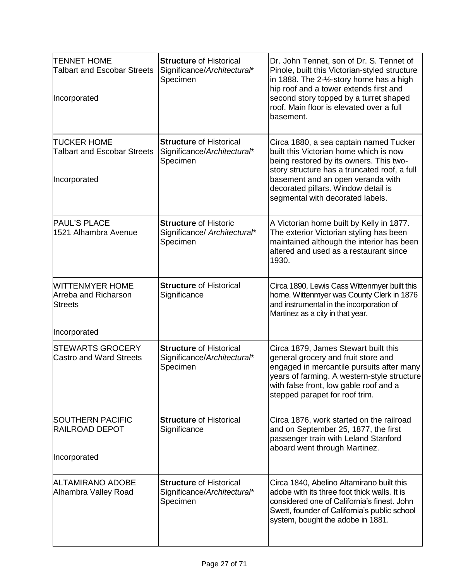| <b>TENNET HOME</b><br>Talbart and Escobar Streets<br>Incorporated                | <b>Structure of Historical</b><br>Significance/Architectural*<br>Specimen | Dr. John Tennet, son of Dr. S. Tennet of<br>Pinole, built this Victorian-styled structure<br>in 1888. The 2-1/2-story home has a high<br>hip roof and a tower extends first and<br>second story topped by a turret shaped<br>roof. Main floor is elevated over a full<br>basement.          |
|----------------------------------------------------------------------------------|---------------------------------------------------------------------------|---------------------------------------------------------------------------------------------------------------------------------------------------------------------------------------------------------------------------------------------------------------------------------------------|
| <b>TUCKER HOME</b><br>Talbart and Escobar Streets<br>Incorporated                | <b>Structure of Historical</b><br>Significance/Architectural*<br>Specimen | Circa 1880, a sea captain named Tucker<br>built this Victorian home which is now<br>being restored by its owners. This two-<br>story structure has a truncated roof, a full<br>basement and an open veranda with<br>decorated pillars. Window detail is<br>segmental with decorated labels. |
| <b>PAUL'S PLACE</b><br>1521 Alhambra Avenue                                      | <b>Structure of Historic</b><br>Significance/ Architectural*<br>Specimen  | A Victorian home built by Kelly in 1877.<br>The exterior Victorian styling has been<br>maintained although the interior has been<br>altered and used as a restaurant since<br>1930.                                                                                                         |
| <b>WITTENMYER HOME</b><br>Arreba and Richarson<br><b>Streets</b><br>Incorporated | <b>Structure of Historical</b><br>Significance                            | Circa 1890, Lewis Cass Wittenmyer built this<br>home. Wittenmyer was County Clerk in 1876<br>and instrumental in the incorporation of<br>Martinez as a city in that year.                                                                                                                   |
| STEWARTS GROCERY<br><b>Castro and Ward Streets</b>                               | <b>Structure of Historical</b><br>Significance/Architectural*<br>Specimen | Circa 1879, James Stewart built this<br>general grocery and fruit store and<br>engaged in mercantile pursuits after many<br>years of farming. A western-style structure<br>with false front, low gable roof and a<br>stepped parapet for roof trim.                                         |
| <b>SOUTHERN PACIFIC</b><br><b>RAILROAD DEPOT</b><br>Incorporated                 | <b>Structure of Historical</b><br>Significance                            | Circa 1876, work started on the railroad<br>and on September 25, 1877, the first<br>passenger train with Leland Stanford<br>aboard went through Martinez.                                                                                                                                   |
|                                                                                  |                                                                           |                                                                                                                                                                                                                                                                                             |
| <b>ALTAMIRANO ADOBE</b><br>Alhambra Valley Road                                  | <b>Structure of Historical</b><br>Significance/Architectural*<br>Specimen | Circa 1840, Abelino Altamirano built this<br>adobe with its three foot thick walls. It is<br>considered one of California's finest. John<br>Swett, founder of California's public school<br>system, bought the adobe in 1881.                                                               |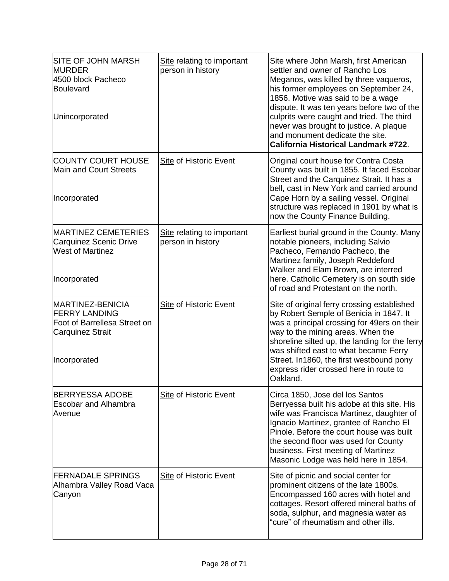| <b>SITE OF JOHN MARSH</b><br><b>MURDER</b><br>4500 block Pacheco<br>Boulevard<br>Unincorporated                     | Site relating to important<br>person in history | Site where John Marsh, first American<br>settler and owner of Rancho Los<br>Meganos, was killed by three vaqueros,<br>his former employees on September 24,<br>1856. Motive was said to be a wage<br>dispute. It was ten years before two of the<br>culprits were caught and tried. The third<br>never was brought to justice. A plaque<br>and monument dedicate the site.<br><b>California Historical Landmark #722.</b> |
|---------------------------------------------------------------------------------------------------------------------|-------------------------------------------------|---------------------------------------------------------------------------------------------------------------------------------------------------------------------------------------------------------------------------------------------------------------------------------------------------------------------------------------------------------------------------------------------------------------------------|
| <b>COUNTY COURT HOUSE</b><br><b>Main and Court Streets</b><br>Incorporated                                          | Site of Historic Event                          | Original court house for Contra Costa<br>County was built in 1855. It faced Escobar<br>Street and the Carquinez Strait. It has a<br>bell, cast in New York and carried around<br>Cape Horn by a sailing vessel. Original<br>structure was replaced in 1901 by what is<br>now the County Finance Building.                                                                                                                 |
| <b>MARTINEZ CEMETERIES</b><br>Carquinez Scenic Drive<br><b>West of Martinez</b><br>Incorporated                     | Site relating to important<br>person in history | Earliest burial ground in the County. Many<br>notable pioneers, including Salvio<br>Pacheco, Fernando Pacheco, the<br>Martinez family, Joseph Reddeford<br>Walker and Elam Brown, are interred<br>here. Catholic Cemetery is on south side<br>of road and Protestant on the north.                                                                                                                                        |
| MARTINEZ-BENICIA<br><b>FERRY LANDING</b><br>Foot of Barrellesa Street on<br><b>Carquinez Strait</b><br>Incorporated | <b>Site of Historic Event</b>                   | Site of original ferry crossing established<br>by Robert Semple of Benicia in 1847. It<br>was a principal crossing for 49ers on their<br>way to the mining areas. When the<br>shoreline silted up, the landing for the ferry<br>was shifted east to what became Ferry<br>Street. In1860, the first westbound pony<br>express rider crossed here in route to<br>Oakland.                                                   |
| <b>BERRYESSA ADOBE</b><br><b>Escobar and Alhambra</b><br>Avenue                                                     | <b>Site of Historic Event</b>                   | Circa 1850, Jose del los Santos<br>Berryessa built his adobe at this site. His<br>wife was Francisca Martinez, daughter of<br>Ignacio Martinez, grantee of Rancho El<br>Pinole. Before the court house was built<br>the second floor was used for County<br>business. First meeting of Martinez<br>Masonic Lodge was held here in 1854.                                                                                   |
| <b>FERNADALE SPRINGS</b><br>Alhambra Valley Road Vaca<br>Canyon                                                     | <b>Site of Historic Event</b>                   | Site of picnic and social center for<br>prominent citizens of the late 1800s.<br>Encompassed 160 acres with hotel and<br>cottages. Resort offered mineral baths of<br>soda, sulphur, and magnesia water as<br>"cure" of rheumatism and other ills.                                                                                                                                                                        |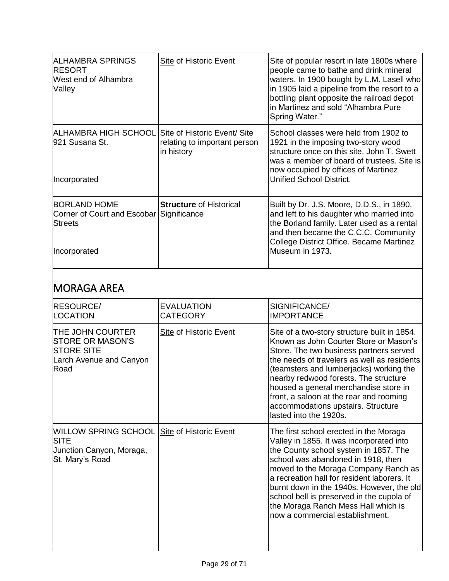| ALHAMBRA SPRINGS<br><b>RESORT</b><br>West end of Alhambra<br>Valley                               | Site of Historic Event                     | Site of popular resort in late 1800s where<br>people came to bathe and drink mineral<br>waters. In 1900 bought by L.M. Lasell who<br>in 1905 laid a pipeline from the resort to a<br>bottling plant opposite the railroad depot<br>in Martinez and sold "Alhambra Pure<br>Spring Water." |
|---------------------------------------------------------------------------------------------------|--------------------------------------------|------------------------------------------------------------------------------------------------------------------------------------------------------------------------------------------------------------------------------------------------------------------------------------------|
| ALHAMBRA HIGH SCHOOL Site of Historic Event/ Site<br>921 Susana St.<br>Incorporated               | relating to important person<br>in history | School classes were held from 1902 to<br>1921 in the imposing two-story wood<br>structure once on this site, John T. Swett<br>was a member of board of trustees. Site is<br>now occupied by offices of Martinez<br>Unified School District.                                              |
| <b>BORLAND HOME</b><br>Corner of Court and Escobar Significance<br><b>Streets</b><br>Incorporated | <b>Structure of Historical</b>             | Built by Dr. J.S. Moore, D.D.S., in 1890,<br>and left to his daughter who married into<br>the Borland family. Later used as a rental<br>and then became the C.C.C. Community<br>College District Office. Became Martinez<br>Museum in 1973.                                              |
|                                                                                                   |                                            |                                                                                                                                                                                                                                                                                          |

# MORAGA AREA

| <b>RESOURCE/</b><br>LOCATION                                                                                     | <b>EVALUATION</b><br><b>CATEGORY</b> | SIGNIFICANCE/<br><b>IMPORTANCE</b>                                                                                                                                                                                                                                                                                                                                                                                           |
|------------------------------------------------------------------------------------------------------------------|--------------------------------------|------------------------------------------------------------------------------------------------------------------------------------------------------------------------------------------------------------------------------------------------------------------------------------------------------------------------------------------------------------------------------------------------------------------------------|
| <b>THE JOHN COURTER</b><br><b>STORE OR MASON'S</b><br><b>STORE SITE</b><br>Larch Avenue and Canyon<br>Road       | Site of Historic Event               | Site of a two-story structure built in 1854.<br>Known as John Courter Store or Mason's<br>Store. The two business partners served<br>the needs of travelers as well as residents<br>(teamsters and lumberjacks) working the<br>nearby redwood forests. The structure<br>housed a general merchandise store in<br>front, a saloon at the rear and rooming<br>accommodations upstairs. Structure<br>lasted into the 1920s.     |
| <b>WILLOW SPRING SCHOOL Site of Historic Event</b><br><b>SITE</b><br>Junction Canyon, Moraga,<br>St. Mary's Road |                                      | The first school erected in the Moraga<br>Valley in 1855. It was incorporated into<br>the County school system in 1857. The<br>school was abandoned in 1918, then<br>moved to the Moraga Company Ranch as<br>a recreation hall for resident laborers. It<br>burnt down in the 1940s. However, the old<br>school bell is preserved in the cupola of<br>the Moraga Ranch Mess Hall which is<br>now a commercial establishment. |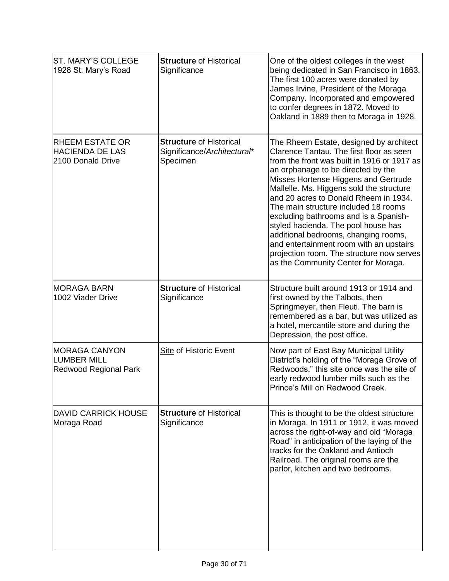| ST. MARY'S COLLEGE<br>1928 St. Mary's Road                            | <b>Structure of Historical</b><br>Significance                            | One of the oldest colleges in the west<br>being dedicated in San Francisco in 1863.<br>The first 100 acres were donated by<br>James Irvine, President of the Moraga<br>Company. Incorporated and empowered<br>to confer degrees in 1872. Moved to<br>Oakland in 1889 then to Moraga in 1928.                                                                                                                                                                                                                                                                                                         |
|-----------------------------------------------------------------------|---------------------------------------------------------------------------|------------------------------------------------------------------------------------------------------------------------------------------------------------------------------------------------------------------------------------------------------------------------------------------------------------------------------------------------------------------------------------------------------------------------------------------------------------------------------------------------------------------------------------------------------------------------------------------------------|
| <b>RHEEM ESTATE OR</b><br><b>HACIENDA DE LAS</b><br>2100 Donald Drive | <b>Structure of Historical</b><br>Significance/Architectural*<br>Specimen | The Rheem Estate, designed by architect<br>Clarence Tantau. The first floor as seen<br>from the front was built in 1916 or 1917 as<br>an orphanage to be directed by the<br>Misses Hortense Higgens and Gertrude<br>Mallelle. Ms. Higgens sold the structure<br>and 20 acres to Donald Rheem in 1934.<br>The main structure included 18 rooms<br>excluding bathrooms and is a Spanish-<br>styled hacienda. The pool house has<br>additional bedrooms, changing rooms,<br>and entertainment room with an upstairs<br>projection room. The structure now serves<br>as the Community Center for Moraga. |
| <b>MORAGA BARN</b><br>1002 Viader Drive                               | <b>Structure of Historical</b><br>Significance                            | Structure built around 1913 or 1914 and<br>first owned by the Talbots, then<br>Springmeyer, then Fleuti. The barn is<br>remembered as a bar, but was utilized as<br>a hotel, mercantile store and during the<br>Depression, the post office.                                                                                                                                                                                                                                                                                                                                                         |
| <b>MORAGA CANYON</b><br>LUMBER MILL<br>Redwood Regional Park          | <b>Site of Historic Event</b>                                             | Now part of East Bay Municipal Utility<br>District's holding of the "Moraga Grove of<br>Redwoods," this site once was the site of<br>early redwood lumber mills such as the<br>Prince's Mill on Redwood Creek.                                                                                                                                                                                                                                                                                                                                                                                       |
| <b>DAVID CARRICK HOUSE</b><br>Moraga Road                             | <b>Structure of Historical</b><br>Significance                            | This is thought to be the oldest structure<br>in Moraga. In 1911 or 1912, it was moved<br>across the right-of-way and old "Moraga<br>Road" in anticipation of the laying of the<br>tracks for the Oakland and Antioch<br>Railroad. The original rooms are the<br>parlor, kitchen and two bedrooms.                                                                                                                                                                                                                                                                                                   |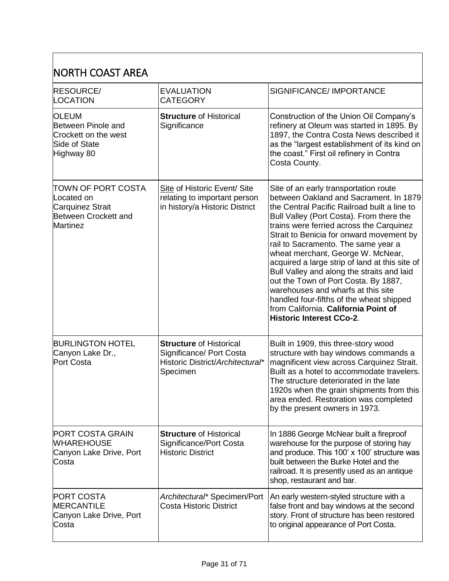#### NORTH COAST AREA RESOURCE/ LOCATION EVALUATION CATEGORY SIGNIFICANCE/ IMPORTANCE OLEUM Between Pinole and Crockett on the west Side of State Highway 80 **Structure** of Historical **Significance** Construction of the Union Oil Company's refinery at Oleum was started in 1895. By 1897, the Contra Costa News described it as the "largest establishment of its kind on the coast." First oil refinery in Contra Costa County. TOWN OF PORT COSTA Located on Carquinez Strait Between Crockett and Martinez Site of Historic Event/ Site relating to important person in history/a Historic District Site of an early transportation route between Oakland and Sacrament. In 1879 the Central Pacific Railroad built a line to Bull Valley (Port Costa). From there the trains were ferried across the Carquinez Strait to Benicia for onward movement by rail to Sacramento. The same year a wheat merchant, George W. McNear, acquired a large strip of land at this site of Bull Valley and along the straits and laid out the Town of Port Costa. By 1887, warehouses and wharfs at this site handled four-fifths of the wheat shipped from California. **California Point of Historic Interest CCo-2**. BURLINGTON HOTEL Canyon Lake Dr., Port Costa **Structure** of Historical Significance/ Port Costa Historic District/*Architectural\** Specimen Built in 1909, this three-story wood structure with bay windows commands a magnificent view across Carquinez Strait. Built as a hotel to accommodate travelers. The structure deteriorated in the late 1920s when the grain shipments from this area ended. Restoration was completed by the present owners in 1973. PORT COSTA GRAIN WHAREHOUSE Canyon Lake Drive, Port Costa **Structure** of Historical Significance/Port Costa Historic District In 1886 George McNear built a fireproof warehouse for the purpose of storing hay and produce. This 100' x 100' structure was built between the Burke Hotel and the railroad. It is presently used as an antique shop, restaurant and bar. PORT COSTA **MERCANTILE** Canyon Lake Drive, Port **Costa** *Architectural\** Specimen/Port Costa Historic District An early western-styled structure with a false front and bay windows at the second story. Front of structure has been restored to original appearance of Port Costa.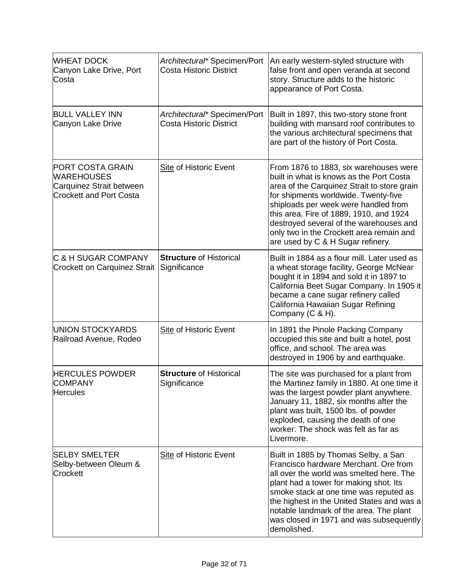| <b>WHEAT DOCK</b><br>Canyon Lake Drive, Port<br>Costa                                                      | Architectural* Specimen/Port<br><b>Costa Historic District</b> | An early western-styled structure with<br>false front and open veranda at second<br>story. Structure adds to the historic<br>appearance of Port Costa.                                                                                                                                                                                                                                   |
|------------------------------------------------------------------------------------------------------------|----------------------------------------------------------------|------------------------------------------------------------------------------------------------------------------------------------------------------------------------------------------------------------------------------------------------------------------------------------------------------------------------------------------------------------------------------------------|
| <b>BULL VALLEY INN</b><br>Canyon Lake Drive                                                                | Architectural* Specimen/Port<br><b>Costa Historic District</b> | Built in 1897, this two-story stone front<br>building with mansard roof contributes to<br>the various architectural specimens that<br>are part of the history of Port Costa.                                                                                                                                                                                                             |
| <b>PORT COSTA GRAIN</b><br><b>WAREHOUSES</b><br>Carquinez Strait between<br><b>Crockett and Port Costa</b> | Site of Historic Event                                         | From 1876 to 1883, six warehouses were<br>built in what is knows as the Port Costa<br>area of the Carquinez Strait to store grain<br>for shipments worldwide. Twenty-five<br>shiploads per week were handled from<br>this area. Fire of 1889, 1910, and 1924<br>destroyed several of the warehouses and<br>only two in the Crockett area remain and<br>are used by C & H Sugar refinery. |
| <b>C &amp; H SUGAR COMPANY</b><br><b>Crockett on Carquinez Strait</b>                                      | <b>Structure of Historical</b><br>Significance                 | Built in 1884 as a flour mill. Later used as<br>a wheat storage facility, George McNear<br>bought it in 1894 and sold it in 1897 to<br>California Beet Sugar Company. In 1905 it<br>became a cane sugar refinery called<br>California Hawaiian Sugar Refining<br>Company (C & H).                                                                                                        |
| UNION STOCKYARDS<br>Railroad Avenue, Rodeo                                                                 | <b>Site of Historic Event</b>                                  | In 1891 the Pinole Packing Company<br>occupied this site and built a hotel, post<br>office, and school. The area was<br>destroyed in 1906 by and earthquake.                                                                                                                                                                                                                             |
| <b>HERCULES POWDER</b><br><b>COMPANY</b><br><b>Hercules</b>                                                | <b>Structure of Historical</b><br>Significance                 | The site was purchased for a plant from<br>the Martinez family in 1880. At one time it<br>was the largest powder plant anywhere.<br>January 11, 1882, six months after the<br>plant was built, 1500 lbs. of powder<br>exploded, causing the death of one<br>worker. The shock was felt as far as<br>Livermore.                                                                           |
| <b>SELBY SMELTER</b><br>Selby-between Oleum &<br>Crockett                                                  | <b>Site of Historic Event</b>                                  | Built in 1885 by Thomas Selby, a San<br>Francisco hardware Merchant. Ore from<br>all over the world was smelted here. The<br>plant had a tower for making shot. Its<br>smoke stack at one time was reputed as<br>the highest in the United States and was a<br>notable landmark of the area. The plant<br>was closed in 1971 and was subsequently<br>demolished.                         |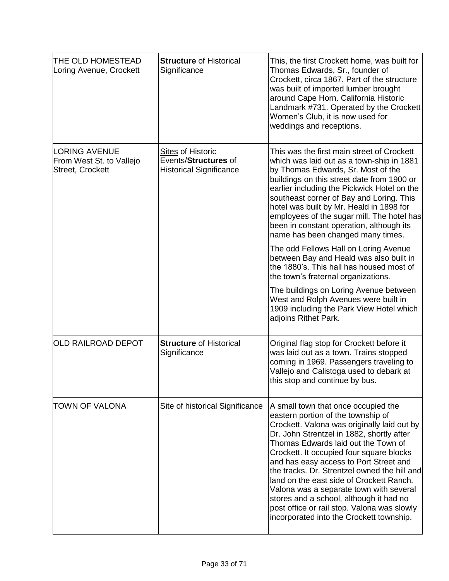| THE OLD HOMESTEAD<br>Loring Avenue, Crockett                  | <b>Structure of Historical</b><br>Significance                                     | This, the first Crockett home, was built for<br>Thomas Edwards, Sr., founder of<br>Crockett, circa 1867. Part of the structure<br>was built of imported lumber brought<br>around Cape Horn. California Historic<br>Landmark #731. Operated by the Crockett<br>Women's Club, it is now used for<br>weddings and receptions.                                                                                                                                                                                                                                                      |
|---------------------------------------------------------------|------------------------------------------------------------------------------------|---------------------------------------------------------------------------------------------------------------------------------------------------------------------------------------------------------------------------------------------------------------------------------------------------------------------------------------------------------------------------------------------------------------------------------------------------------------------------------------------------------------------------------------------------------------------------------|
| LORING AVENUE<br>From West St. to Vallejo<br>Street, Crockett | <b>Sites of Historic</b><br>Events/Structures of<br><b>Historical Significance</b> | This was the first main street of Crockett<br>which was laid out as a town-ship in 1881<br>by Thomas Edwards, Sr. Most of the<br>buildings on this street date from 1900 or<br>earlier including the Pickwick Hotel on the<br>southeast corner of Bay and Loring. This<br>hotel was built by Mr. Heald in 1898 for<br>employees of the sugar mill. The hotel has<br>been in constant operation, although its<br>name has been changed many times.                                                                                                                               |
|                                                               |                                                                                    | The odd Fellows Hall on Loring Avenue<br>between Bay and Heald was also built in<br>the 1880's. This hall has housed most of<br>the town's fraternal organizations.                                                                                                                                                                                                                                                                                                                                                                                                             |
|                                                               |                                                                                    | The buildings on Loring Avenue between<br>West and Rolph Avenues were built in<br>1909 including the Park View Hotel which<br>adjoins Rithet Park.                                                                                                                                                                                                                                                                                                                                                                                                                              |
| OLD RAILROAD DEPOT                                            | <b>Structure of Historical</b><br>Significance                                     | Original flag stop for Crockett before it<br>was laid out as a town. Trains stopped<br>coming in 1969. Passengers traveling to<br>Vallejo and Calistoga used to debark at<br>this stop and continue by bus.                                                                                                                                                                                                                                                                                                                                                                     |
| TOWN OF VALONA                                                | Site of historical Significance                                                    | A small town that once occupied the<br>eastern portion of the township of<br>Crockett. Valona was originally laid out by<br>Dr. John Strentzel in 1882, shortly after<br>Thomas Edwards laid out the Town of<br>Crockett. It occupied four square blocks<br>and has easy access to Port Street and<br>the tracks. Dr. Strentzel owned the hill and<br>land on the east side of Crockett Ranch.<br>Valona was a separate town with several<br>stores and a school, although it had no<br>post office or rail stop. Valona was slowly<br>incorporated into the Crockett township. |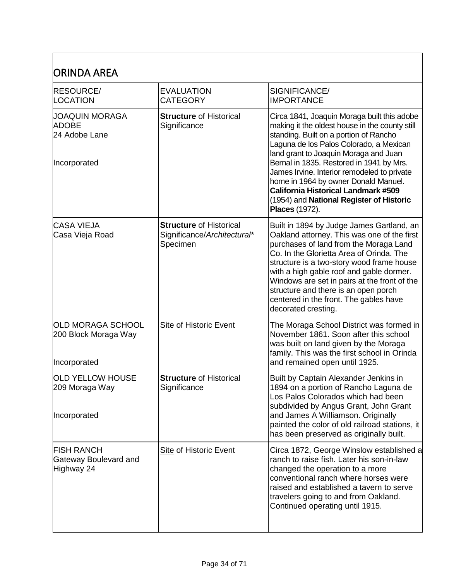| ORINDA AREA                                                     |                                                                           |                                                                                                                                                                                                                                                                                                                                                                                                                                                                                   |
|-----------------------------------------------------------------|---------------------------------------------------------------------------|-----------------------------------------------------------------------------------------------------------------------------------------------------------------------------------------------------------------------------------------------------------------------------------------------------------------------------------------------------------------------------------------------------------------------------------------------------------------------------------|
| <b>RESOURCE/</b><br><b>LOCATION</b>                             | <b>EVALUATION</b><br><b>CATEGORY</b>                                      | SIGNIFICANCE/<br><b>IMPORTANCE</b>                                                                                                                                                                                                                                                                                                                                                                                                                                                |
| JOAQUIN MORAGA<br><b>ADOBE</b><br>24 Adobe Lane<br>Incorporated | <b>Structure of Historical</b><br>Significance                            | Circa 1841, Joaquin Moraga built this adobe<br>making it the oldest house in the county still<br>standing. Built on a portion of Rancho<br>Laguna de los Palos Colorado, a Mexican<br>land grant to Joaquin Moraga and Juan<br>Bernal in 1835. Restored in 1941 by Mrs.<br>James Irvine. Interior remodeled to private<br>home in 1964 by owner Donald Manuel.<br><b>California Historical Landmark #509</b><br>(1954) and National Register of Historic<br><b>Places (1972).</b> |
| <b>CASA VIEJA</b><br>Casa Vieja Road                            | <b>Structure of Historical</b><br>Significance/Architectural*<br>Specimen | Built in 1894 by Judge James Gartland, an<br>Oakland attorney. This was one of the first<br>purchases of land from the Moraga Land<br>Co. In the Glorietta Area of Orinda. The<br>structure is a two-story wood frame house<br>with a high gable roof and gable dormer.<br>Windows are set in pairs at the front of the<br>structure and there is an open porch<br>centered in the front. The gables have<br>decorated cresting.                                                  |
| OLD MORAGA SCHOOL<br>200 Block Moraga Way<br>Incorporated       | <b>Site of Historic Event</b>                                             | The Moraga School District was formed in<br>November 1861. Soon after this school<br>was built on land given by the Moraga<br>family. This was the first school in Orinda<br>and remained open until 1925.                                                                                                                                                                                                                                                                        |
| OLD YELLOW HOUSE<br>209 Moraga Way<br>Incorporated              | <b>Structure of Historical</b><br>Significance                            | Built by Captain Alexander Jenkins in<br>1894 on a portion of Rancho Laguna de<br>Los Palos Colorados which had been<br>subdivided by Angus Grant, John Grant<br>and James A Williamson. Originally<br>painted the color of old railroad stations, it<br>has been preserved as originally built.                                                                                                                                                                                  |
| <b>FISH RANCH</b><br>Gateway Boulevard and<br>Highway 24        | <b>Site of Historic Event</b>                                             | Circa 1872, George Winslow established a<br>ranch to raise fish. Later his son-in-law<br>changed the operation to a more<br>conventional ranch where horses were<br>raised and established a tavern to serve<br>travelers going to and from Oakland.<br>Continued operating until 1915.                                                                                                                                                                                           |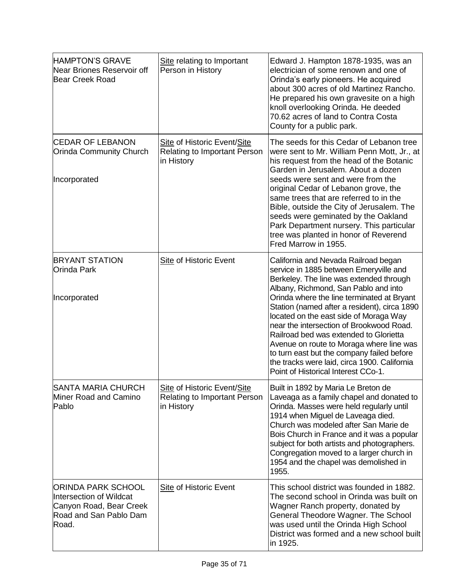| <b>HAMPTON'S GRAVE</b><br>Near Briones Reservoir off<br>Bear Creek Road                                            | Site relating to Important<br>Person in History                                  | Edward J. Hampton 1878-1935, was an<br>electrician of some renown and one of<br>Orinda's early pioneers. He acquired<br>about 300 acres of old Martinez Rancho.<br>He prepared his own gravesite on a high<br>knoll overlooking Orinda. He deeded<br>70.62 acres of land to Contra Costa<br>County for a public park.                                                                                                                                                                                                                                                            |
|--------------------------------------------------------------------------------------------------------------------|----------------------------------------------------------------------------------|----------------------------------------------------------------------------------------------------------------------------------------------------------------------------------------------------------------------------------------------------------------------------------------------------------------------------------------------------------------------------------------------------------------------------------------------------------------------------------------------------------------------------------------------------------------------------------|
| <b>CEDAR OF LEBANON</b><br><b>Orinda Community Church</b><br>Incorporated                                          | Site of Historic Event/Site<br><b>Relating to Important Person</b><br>in History | The seeds for this Cedar of Lebanon tree<br>were sent to Mr. William Penn Mott, Jr., at<br>his request from the head of the Botanic<br>Garden in Jerusalem. About a dozen<br>seeds were sent and were from the<br>original Cedar of Lebanon grove, the<br>same trees that are referred to in the<br>Bible, outside the City of Jerusalem. The<br>seeds were geminated by the Oakland<br>Park Department nursery. This particular<br>tree was planted in honor of Reverend<br>Fred Marrow in 1955.                                                                                |
| <b>BRYANT STATION</b><br><b>Orinda Park</b><br>Incorporated                                                        | <b>Site of Historic Event</b>                                                    | California and Nevada Railroad began<br>service in 1885 between Emeryville and<br>Berkeley. The line was extended through<br>Albany, Richmond, San Pablo and into<br>Orinda where the line terminated at Bryant<br>Station (named after a resident), circa 1890<br>located on the east side of Moraga Way<br>near the intersection of Brookwood Road.<br>Railroad bed was extended to Glorietta<br>Avenue on route to Moraga where line was<br>to turn east but the company failed before<br>the tracks were laid, circa 1900. California<br>Point of Historical Interest CCo-1. |
| <b>SANTA MARIA CHURCH</b><br>Miner Road and Camino<br>Pablo                                                        | Site of Historic Event/Site<br><b>Relating to Important Person</b><br>in History | Built in 1892 by Maria Le Breton de<br>Laveaga as a family chapel and donated to<br>Orinda. Masses were held regularly until<br>1914 when Miguel de Laveaga died.<br>Church was modeled after San Marie de<br>Bois Church in France and it was a popular<br>subject for both artists and photographers.<br>Congregation moved to a larger church in<br>1954 and the chapel was demolished in<br>1955.                                                                                                                                                                            |
| <b>ORINDA PARK SCHOOL</b><br>Intersection of Wildcat<br>Canyon Road, Bear Creek<br>Road and San Pablo Dam<br>Road. | <b>Site of Historic Event</b>                                                    | This school district was founded in 1882.<br>The second school in Orinda was built on<br>Wagner Ranch property, donated by<br>General Theodore Wagner. The School<br>was used until the Orinda High School<br>District was formed and a new school built<br>in 1925.                                                                                                                                                                                                                                                                                                             |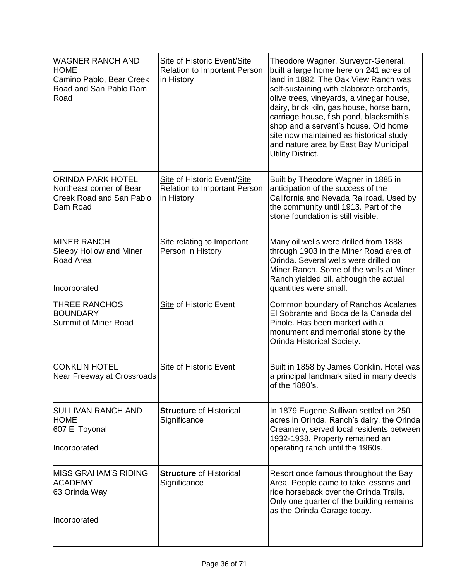| <b>WAGNER RANCH AND</b><br><b>HOME</b><br>Camino Pablo, Bear Creek<br>Road and San Pablo Dam<br>Road | Site of Historic Event/Site<br><b>Relation to Important Person</b><br>in History | Theodore Wagner, Surveyor-General,<br>built a large home here on 241 acres of<br>land in 1882. The Oak View Ranch was<br>self-sustaining with elaborate orchards,<br>olive trees, vineyards, a vinegar house,<br>dairy, brick kiln, gas house, horse barn,<br>carriage house, fish pond, blacksmith's<br>shop and a servant's house. Old home<br>site now maintained as historical study<br>and nature area by East Bay Municipal<br>Utility District. |
|------------------------------------------------------------------------------------------------------|----------------------------------------------------------------------------------|--------------------------------------------------------------------------------------------------------------------------------------------------------------------------------------------------------------------------------------------------------------------------------------------------------------------------------------------------------------------------------------------------------------------------------------------------------|
| <b>ORINDA PARK HOTEL</b><br>Northeast corner of Bear<br><b>Creek Road and San Pablo</b><br>Dam Road  | Site of Historic Event/Site<br><b>Relation to Important Person</b><br>in History | Built by Theodore Wagner in 1885 in<br>anticipation of the success of the<br>California and Nevada Railroad. Used by<br>the community until 1913. Part of the<br>stone foundation is still visible.                                                                                                                                                                                                                                                    |
| <b>MINER RANCH</b><br><b>Sleepy Hollow and Miner</b><br><b>Road Area</b><br>Incorporated             | Site relating to Important<br>Person in History                                  | Many oil wells were drilled from 1888<br>through 1903 in the Miner Road area of<br>Orinda. Several wells were drilled on<br>Miner Ranch. Some of the wells at Miner<br>Ranch yielded oil, although the actual<br>quantities were small.                                                                                                                                                                                                                |
| <b>THREE RANCHOS</b><br><b>BOUNDARY</b><br>Summit of Miner Road                                      | <b>Site of Historic Event</b>                                                    | Common boundary of Ranchos Acalanes<br>El Sobrante and Boca de la Canada del<br>Pinole. Has been marked with a<br>monument and memorial stone by the<br>Orinda Historical Society.                                                                                                                                                                                                                                                                     |
| <b>CONKLIN HOTEL</b><br>Near Freeway at Crossroads                                                   | <b>Site of Historic Event</b>                                                    | Built in 1858 by James Conklin. Hotel was<br>a principal landmark sited in many deeds<br>of the 1880's.                                                                                                                                                                                                                                                                                                                                                |
| <b>SULLIVAN RANCH AND</b><br><b>HOME</b><br>607 El Toyonal<br>Incorporated                           | <b>Structure of Historical</b><br>Significance                                   | In 1879 Eugene Sullivan settled on 250<br>acres in Orinda. Ranch's dairy, the Orinda<br>Creamery, served local residents between<br>1932-1938. Property remained an<br>operating ranch until the 1960s.                                                                                                                                                                                                                                                |
| <b>MISS GRAHAM'S RIDING</b><br><b>ACADEMY</b><br>63 Orinda Way<br>Incorporated                       | <b>Structure of Historical</b><br>Significance                                   | Resort once famous throughout the Bay<br>Area. People came to take lessons and<br>ride horseback over the Orinda Trails.<br>Only one quarter of the building remains<br>as the Orinda Garage today.                                                                                                                                                                                                                                                    |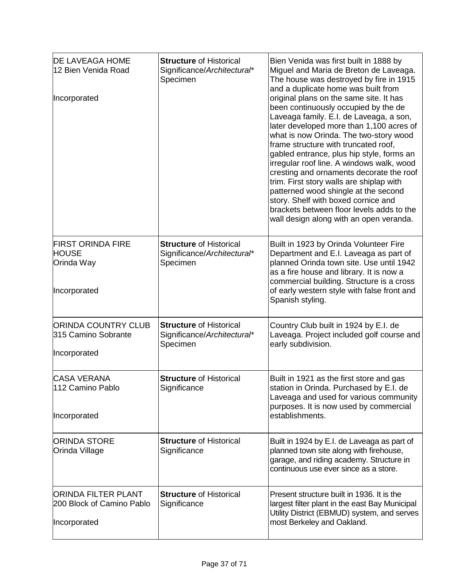| <b>DE LAVEAGA HOME</b><br>12 Bien Venida Road<br>Incorporated           | <b>Structure of Historical</b><br>Significance/Architectural*<br>Specimen | Bien Venida was first built in 1888 by<br>Miguel and Maria de Breton de Laveaga.<br>The house was destroyed by fire in 1915<br>and a duplicate home was built from<br>original plans on the same site. It has<br>been continuously occupied by the de<br>Laveaga family. E.I. de Laveaga, a son,<br>later developed more than 1,100 acres of<br>what is now Orinda. The two-story wood<br>frame structure with truncated roof,<br>gabled entrance, plus hip style, forms an<br>irregular roof line. A windows walk, wood<br>cresting and ornaments decorate the roof<br>trim. First story walls are shiplap with<br>patterned wood shingle at the second<br>story. Shelf with boxed cornice and<br>brackets between floor levels adds to the<br>wall design along with an open veranda. |
|-------------------------------------------------------------------------|---------------------------------------------------------------------------|-----------------------------------------------------------------------------------------------------------------------------------------------------------------------------------------------------------------------------------------------------------------------------------------------------------------------------------------------------------------------------------------------------------------------------------------------------------------------------------------------------------------------------------------------------------------------------------------------------------------------------------------------------------------------------------------------------------------------------------------------------------------------------------------|
| <b>FIRST ORINDA FIRE</b><br><b>HOUSE</b><br>Orinda Way<br>Incorporated  | <b>Structure of Historical</b><br>Significance/Architectural*<br>Specimen | Built in 1923 by Orinda Volunteer Fire<br>Department and E.I. Laveaga as part of<br>planned Orinda town site. Use until 1942<br>as a fire house and library. It is now a<br>commercial building. Structure is a cross<br>of early western style with false front and<br>Spanish styling.                                                                                                                                                                                                                                                                                                                                                                                                                                                                                                |
| <b>ORINDA COUNTRY CLUB</b><br>315 Camino Sobrante<br>Incorporated       | <b>Structure of Historical</b><br>Significance/Architectural*<br>Specimen | Country Club built in 1924 by E.I. de<br>Laveaga. Project included golf course and<br>early subdivision.                                                                                                                                                                                                                                                                                                                                                                                                                                                                                                                                                                                                                                                                                |
| <b>CASA VERANA</b><br>112 Camino Pablo<br>Incorporated                  | <b>Structure of Historical</b><br>Significance                            | Built in 1921 as the first store and gas<br>station in Orinda. Purchased by E.I. de<br>Laveaga and used for various community<br>purposes. It is now used by commercial<br>establishments.                                                                                                                                                                                                                                                                                                                                                                                                                                                                                                                                                                                              |
| <b>ORINDA STORE</b><br>Orinda Village                                   | <b>Structure of Historical</b><br>Significance                            | Built in 1924 by E.I. de Laveaga as part of<br>planned town site along with firehouse,<br>garage, and riding academy. Structure in<br>continuous use ever since as a store.                                                                                                                                                                                                                                                                                                                                                                                                                                                                                                                                                                                                             |
| <b>ORINDA FILTER PLANT</b><br>200 Block of Camino Pablo<br>Incorporated | <b>Structure of Historical</b><br>Significance                            | Present structure built in 1936. It is the<br>largest filter plant in the east Bay Municipal<br>Utility District (EBMUD) system, and serves<br>most Berkeley and Oakland.                                                                                                                                                                                                                                                                                                                                                                                                                                                                                                                                                                                                               |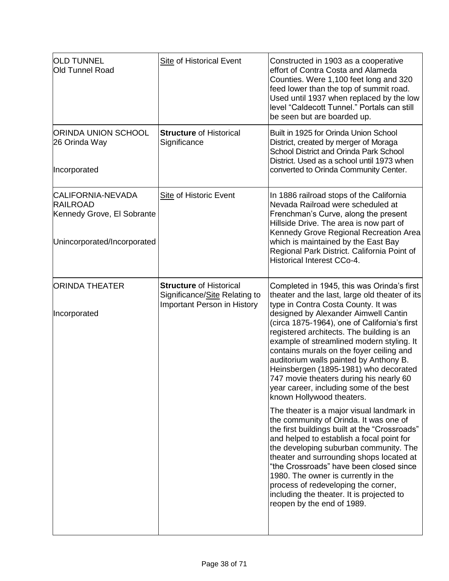| <b>OLD TUNNEL</b><br><b>Old Tunnel Road</b>                                                              | <b>Site of Historical Event</b>                                                                | Constructed in 1903 as a cooperative<br>effort of Contra Costa and Alameda<br>Counties. Were 1,100 feet long and 320<br>feed lower than the top of summit road.<br>Used until 1937 when replaced by the low<br>level "Caldecott Tunnel." Portals can still<br>be seen but are boarded up.                                                                                                                                                                                                                                                                                                                                                                                                                                                                                                                                                                                                                                                                                                                                                              |
|----------------------------------------------------------------------------------------------------------|------------------------------------------------------------------------------------------------|--------------------------------------------------------------------------------------------------------------------------------------------------------------------------------------------------------------------------------------------------------------------------------------------------------------------------------------------------------------------------------------------------------------------------------------------------------------------------------------------------------------------------------------------------------------------------------------------------------------------------------------------------------------------------------------------------------------------------------------------------------------------------------------------------------------------------------------------------------------------------------------------------------------------------------------------------------------------------------------------------------------------------------------------------------|
| <b>ORINDA UNION SCHOOL</b><br>26 Orinda Way<br>Incorporated                                              | <b>Structure of Historical</b><br>Significance                                                 | Built in 1925 for Orinda Union School<br>District, created by merger of Moraga<br><b>School District and Orinda Park School</b><br>District. Used as a school until 1973 when<br>converted to Orinda Community Center.                                                                                                                                                                                                                                                                                                                                                                                                                                                                                                                                                                                                                                                                                                                                                                                                                                 |
| <b>CALIFORNIA-NEVADA</b><br><b>RAILROAD</b><br>Kennedy Grove, El Sobrante<br>Unincorporated/Incorporated | Site of Historic Event                                                                         | In 1886 railroad stops of the California<br>Nevada Railroad were scheduled at<br>Frenchman's Curve, along the present<br>Hillside Drive. The area is now part of<br>Kennedy Grove Regional Recreation Area<br>which is maintained by the East Bay<br>Regional Park District. California Point of<br><b>Historical Interest CCo-4.</b>                                                                                                                                                                                                                                                                                                                                                                                                                                                                                                                                                                                                                                                                                                                  |
| <b>ORINDA THEATER</b><br>Incorporated                                                                    | <b>Structure of Historical</b><br>Significance/Site Relating to<br>Important Person in History | Completed in 1945, this was Orinda's first<br>theater and the last, large old theater of its<br>type in Contra Costa County. It was<br>designed by Alexander Aimwell Cantin<br>(circa 1875-1964), one of California's first<br>registered architects. The building is an<br>example of streamlined modern styling. It<br>contains murals on the foyer ceiling and<br>auditorium walls painted by Anthony B.<br>Heinsbergen (1895-1981) who decorated<br>747 movie theaters during his nearly 60<br>year career, including some of the best<br>known Hollywood theaters.<br>The theater is a major visual landmark in<br>the community of Orinda. It was one of<br>the first buildings built at the "Crossroads"<br>and helped to establish a focal point for<br>the developing suburban community. The<br>theater and surrounding shops located at<br>"the Crossroads" have been closed since<br>1980. The owner is currently in the<br>process of redeveloping the corner,<br>including the theater. It is projected to<br>reopen by the end of 1989. |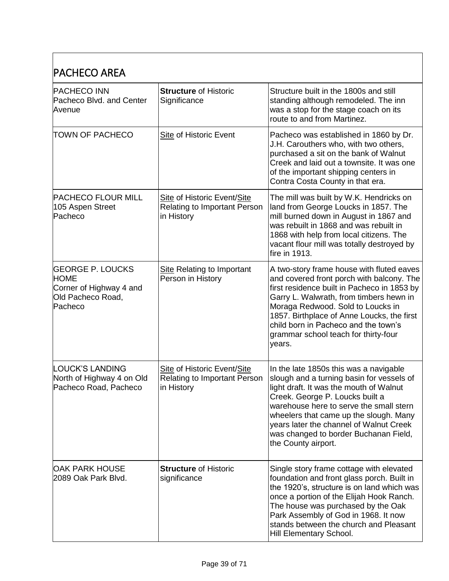| <b>PACHECO AREA</b>                                                                               |                                                                                  |                                                                                                                                                                                                                                                                                                                                                                   |
|---------------------------------------------------------------------------------------------------|----------------------------------------------------------------------------------|-------------------------------------------------------------------------------------------------------------------------------------------------------------------------------------------------------------------------------------------------------------------------------------------------------------------------------------------------------------------|
| <b>PACHECO INN</b><br>Pacheco Blvd. and Center<br>Avenue                                          | <b>Structure of Historic</b><br>Significance                                     | Structure built in the 1800s and still<br>standing although remodeled. The inn<br>was a stop for the stage coach on its<br>route to and from Martinez.                                                                                                                                                                                                            |
| TOWN OF PACHECO                                                                                   | <b>Site of Historic Event</b>                                                    | Pacheco was established in 1860 by Dr.<br>J.H. Carouthers who, with two others,<br>purchased a sit on the bank of Walnut<br>Creek and laid out a townsite. It was one<br>of the important shipping centers in<br>Contra Costa County in that era.                                                                                                                 |
| <b>PACHECO FLOUR MILL</b><br>105 Aspen Street<br>Pacheco                                          | Site of Historic Event/Site<br><b>Relating to Important Person</b><br>in History | The mill was built by W.K. Hendricks on<br>land from George Loucks in 1857. The<br>mill burned down in August in 1867 and<br>was rebuilt in 1868 and was rebuilt in<br>1868 with help from local citizens. The<br>vacant flour mill was totally destroyed by<br>fire in 1913.                                                                                     |
| <b>GEORGE P. LOUCKS</b><br><b>HOME</b><br>Corner of Highway 4 and<br>Old Pacheco Road,<br>Pacheco | <b>Site Relating to Important</b><br>Person in History                           | A two-story frame house with fluted eaves<br>and covered front porch with balcony. The<br>first residence built in Pacheco in 1853 by<br>Garry L. Walwrath, from timbers hewn in<br>Moraga Redwood. Sold to Loucks in<br>1857. Birthplace of Anne Loucks, the first<br>child born in Pacheco and the town's<br>grammar school teach for thirty-four<br>years.     |
| <b>LOUCK'S LANDING</b><br>North of Highway 4 on Old<br>Pacheco Road, Pacheco                      | Site of Historic Event/Site<br><b>Relating to Important Person</b><br>in History | In the late 1850s this was a navigable<br>slough and a turning basin for vessels of<br>light draft. It was the mouth of Walnut<br>Creek. George P. Loucks built a<br>warehouse here to serve the small stern<br>wheelers that came up the slough. Many<br>years later the channel of Walnut Creek<br>was changed to border Buchanan Field,<br>the County airport. |
| <b>OAK PARK HOUSE</b><br>2089 Oak Park Blvd.                                                      | <b>Structure of Historic</b><br>significance                                     | Single story frame cottage with elevated<br>foundation and front glass porch. Built in<br>the 1920's, structure is on land which was<br>once a portion of the Elijah Hook Ranch.<br>The house was purchased by the Oak<br>Park Assembly of God in 1968. It now<br>stands between the church and Pleasant<br>Hill Elementary School.                               |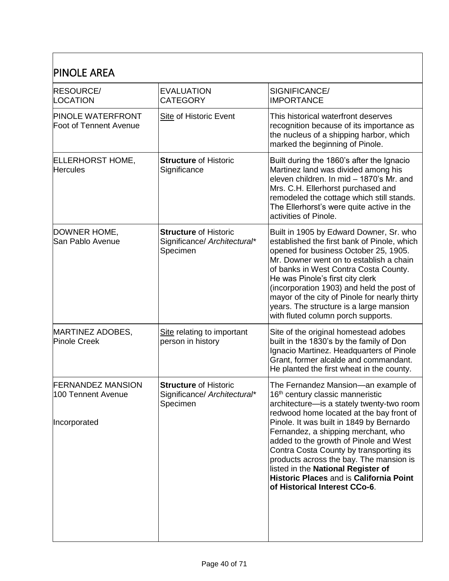| <b>PINOLE AREA</b>                                             |                                                                          |                                                                                                                                                                                                                                                                                                                                                                                                                                                                                                                          |
|----------------------------------------------------------------|--------------------------------------------------------------------------|--------------------------------------------------------------------------------------------------------------------------------------------------------------------------------------------------------------------------------------------------------------------------------------------------------------------------------------------------------------------------------------------------------------------------------------------------------------------------------------------------------------------------|
| <b>RESOURCE/</b><br>LOCATION                                   | <b>EVALUATION</b><br><b>CATEGORY</b>                                     | SIGNIFICANCE/<br><b>IMPORTANCE</b>                                                                                                                                                                                                                                                                                                                                                                                                                                                                                       |
| <b>PINOLE WATERFRONT</b><br>Foot of Tennent Avenue             | Site of Historic Event                                                   | This historical waterfront deserves<br>recognition because of its importance as<br>the nucleus of a shipping harbor, which<br>marked the beginning of Pinole.                                                                                                                                                                                                                                                                                                                                                            |
| <b>ELLERHORST HOME,</b><br><b>Hercules</b>                     | <b>Structure of Historic</b><br>Significance                             | Built during the 1860's after the Ignacio<br>Martinez land was divided among his<br>eleven children. In mid - 1870's Mr. and<br>Mrs. C.H. Ellerhorst purchased and<br>remodeled the cottage which still stands.<br>The Ellerhorst's were quite active in the<br>activities of Pinole.                                                                                                                                                                                                                                    |
| DOWNER HOME,<br>San Pablo Avenue                               | <b>Structure of Historic</b><br>Significance/ Architectural*<br>Specimen | Built in 1905 by Edward Downer, Sr. who<br>established the first bank of Pinole, which<br>opened for business October 25, 1905.<br>Mr. Downer went on to establish a chain<br>of banks in West Contra Costa County.<br>He was Pinole's first city clerk<br>(incorporation 1903) and held the post of<br>mayor of the city of Pinole for nearly thirty<br>years. The structure is a large mansion<br>with fluted column porch supports.                                                                                   |
| <b>MARTINEZ ADOBES,</b><br><b>Pinole Creek</b>                 | Site relating to important<br>person in history                          | Site of the original homestead adobes<br>built in the 1830's by the family of Don<br>Ignacio Martinez. Headquarters of Pinole<br>Grant, former alcalde and commandant.<br>He planted the first wheat in the county.                                                                                                                                                                                                                                                                                                      |
| <b>FERNANDEZ MANSION</b><br>100 Tennent Avenue<br>Incorporated | <b>Structure of Historic</b><br>Significance/ Architectural*<br>Specimen | The Fernandez Mansion—an example of<br>16 <sup>th</sup> century classic manneristic<br>architecture-is a stately twenty-two room<br>redwood home located at the bay front of<br>Pinole. It was built in 1849 by Bernardo<br>Fernandez, a shipping merchant, who<br>added to the growth of Pinole and West<br>Contra Costa County by transporting its<br>products across the bay. The mansion is<br>listed in the National Register of<br><b>Historic Places and is California Point</b><br>of Historical Interest CCo-6. |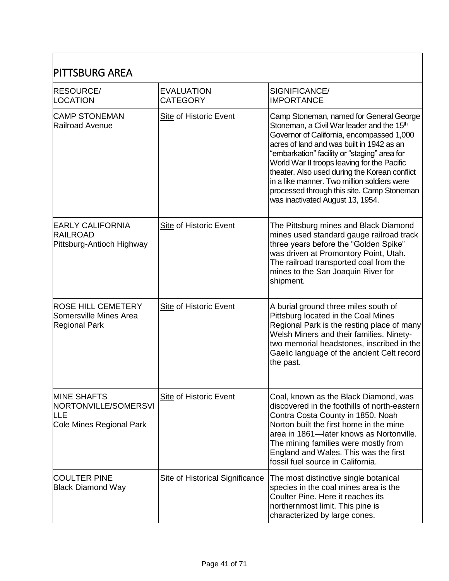| <b>PITTSBURG AREA</b>                                                         |                                        |                                                                                                                                                                                                                                                                                                                                                                                                                                                                             |
|-------------------------------------------------------------------------------|----------------------------------------|-----------------------------------------------------------------------------------------------------------------------------------------------------------------------------------------------------------------------------------------------------------------------------------------------------------------------------------------------------------------------------------------------------------------------------------------------------------------------------|
| <b>RESOURCE/</b><br>LOCATION                                                  | <b>EVALUATION</b><br><b>CATEGORY</b>   | SIGNIFICANCE/<br><b>IMPORTANCE</b>                                                                                                                                                                                                                                                                                                                                                                                                                                          |
| <b>CAMP STONEMAN</b><br>Railroad Avenue                                       | <b>Site of Historic Event</b>          | Camp Stoneman, named for General George<br>Stoneman, a Civil War leader and the 15 <sup>th</sup><br>Governor of California, encompassed 1,000<br>acres of land and was built in 1942 as an<br>"embarkation" facility or "staging" area for<br>World War II troops leaving for the Pacific<br>theater. Also used during the Korean conflict<br>in a like manner. Two million soldiers were<br>processed through this site. Camp Stoneman<br>was inactivated August 13, 1954. |
| <b>EARLY CALIFORNIA</b><br><b>RAILROAD</b><br>Pittsburg-Antioch Highway       | <b>Site of Historic Event</b>          | The Pittsburg mines and Black Diamond<br>mines used standard gauge railroad track<br>three years before the "Golden Spike"<br>was driven at Promontory Point, Utah.<br>The railroad transported coal from the<br>mines to the San Joaquin River for<br>shipment.                                                                                                                                                                                                            |
| <b>ROSE HILL CEMETERY</b><br>Somersville Mines Area<br><b>Regional Park</b>   | <b>Site of Historic Event</b>          | A burial ground three miles south of<br>Pittsburg located in the Coal Mines<br>Regional Park is the resting place of many<br>Welsh Miners and their families. Ninety-<br>two memorial headstones, inscribed in the<br>Gaelic language of the ancient Celt record<br>the past.                                                                                                                                                                                               |
| <b>MINE SHAFTS</b><br>NORTONVILLE/SOMERSVI<br>LLE<br>Cole Mines Regional Park | Site of Historic Event                 | Coal, known as the Black Diamond, was<br>discovered in the foothills of north-eastern<br>Contra Costa County in 1850. Noah<br>Norton built the first home in the mine<br>area in 1861-later knows as Nortonville.<br>The mining families were mostly from<br>England and Wales. This was the first<br>fossil fuel source in California.                                                                                                                                     |
| <b>COULTER PINE</b><br><b>Black Diamond Way</b>                               | <b>Site of Historical Significance</b> | The most distinctive single botanical<br>species in the coal mines area is the<br>Coulter Pine. Here it reaches its<br>northernmost limit. This pine is<br>characterized by large cones.                                                                                                                                                                                                                                                                                    |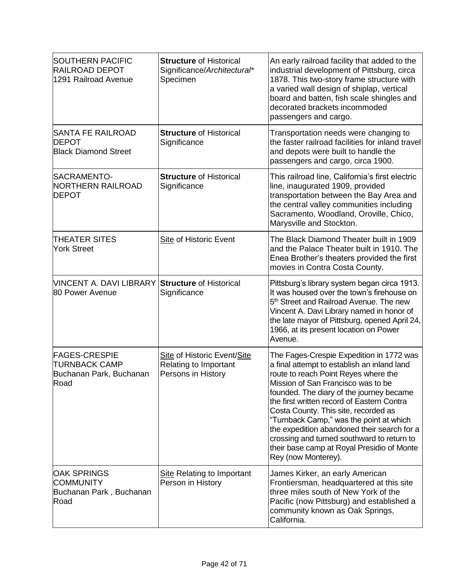| <b>SOUTHERN PACIFIC</b><br><b>RAILROAD DEPOT</b><br>1291 Railroad Avenue        | <b>Structure of Historical</b><br>Significance/Architectural*<br>Specimen  | An early railroad facility that added to the<br>industrial development of Pittsburg, circa<br>1878. This two-story frame structure with<br>a varied wall design of shiplap, vertical<br>board and batten, fish scale shingles and<br>decorated brackets incommoded<br>passengers and cargo.                                                                                                                                                                                                                          |
|---------------------------------------------------------------------------------|----------------------------------------------------------------------------|----------------------------------------------------------------------------------------------------------------------------------------------------------------------------------------------------------------------------------------------------------------------------------------------------------------------------------------------------------------------------------------------------------------------------------------------------------------------------------------------------------------------|
| <b>SANTA FE RAILROAD</b><br><b>DEPOT</b><br><b>Black Diamond Street</b>         | <b>Structure of Historical</b><br>Significance                             | Transportation needs were changing to<br>the faster railroad facilities for inland travel<br>and depots were built to handle the<br>passengers and cargo, circa 1900.                                                                                                                                                                                                                                                                                                                                                |
| SACRAMENTO-<br><b>NORTHERN RAILROAD</b><br><b>DEPOT</b>                         | <b>Structure of Historical</b><br>Significance                             | This railroad line, California's first electric<br>line, inaugurated 1909, provided<br>transportation between the Bay Area and<br>the central valley communities including<br>Sacramento, Woodland, Oroville, Chico,<br>Marysville and Stockton.                                                                                                                                                                                                                                                                     |
| <b>THEATER SITES</b><br><b>York Street</b>                                      | <b>Site of Historic Event</b>                                              | The Black Diamond Theater built in 1909<br>and the Palace Theater built in 1910. The<br>Enea Brother's theaters provided the first<br>movies in Contra Costa County.                                                                                                                                                                                                                                                                                                                                                 |
| VINCENT A. DAVI LIBRARY Structure of Historical<br>80 Power Avenue              | Significance                                                               | Pittsburg's library system began circa 1913.<br>It was housed over the town's firehouse on<br>5 <sup>th</sup> Street and Railroad Avenue. The new<br>Vincent A. Davi Library named in honor of<br>the late mayor of Pittsburg, opened April 24,<br>1966, at its present location on Power<br>Avenue.                                                                                                                                                                                                                 |
| <b>FAGES-CRESPIE</b><br><b>TURNBACK CAMP</b><br>Buchanan Park, Buchanan<br>Road | Site of Historic Event/Site<br>Relating to Important<br>Persons in History | The Fages-Crespie Expedition in 1772 was<br>a final attempt to establish an inland land<br>route to reach Point Reyes where the<br>Mission of San Francisco was to be<br>founded. The diary of the journey became<br>the first written record of Eastern Contra<br>Costa County. This site, recorded as<br>"Turnback Camp," was the point at which<br>the expedition abandoned their search for a<br>crossing and turned southward to return to<br>their base camp at Royal Presidio of Monte<br>Rey (now Monterey). |
| <b>OAK SPRINGS</b><br><b>COMMUNITY</b><br>Buchanan Park, Buchanan<br>Road       | <b>Site Relating to Important</b><br>Person in History                     | James Kirker, an early American<br>Frontiersman, headquartered at this site<br>three miles south of New York of the<br>Pacific (now Pittsburg) and established a<br>community known as Oak Springs,<br>California.                                                                                                                                                                                                                                                                                                   |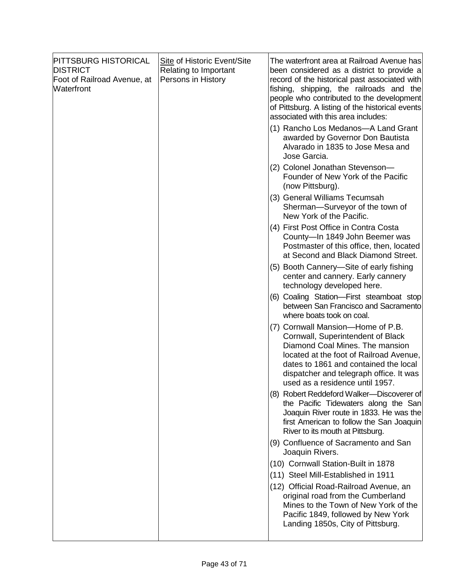| <b>PITTSBURG HISTORICAL</b><br><b>DISTRICT</b><br>Foot of Railroad Avenue, at<br><b>Waterfront</b> | Site of Historic Event/Site<br>Relating to Important<br>Persons in History | The waterfront area at Railroad Avenue has<br>been considered as a district to provide a<br>record of the historical past associated with<br>fishing, shipping, the railroads and the<br>people who contributed to the development<br>of Pittsburg. A listing of the historical events<br>associated with this area includes: |
|----------------------------------------------------------------------------------------------------|----------------------------------------------------------------------------|-------------------------------------------------------------------------------------------------------------------------------------------------------------------------------------------------------------------------------------------------------------------------------------------------------------------------------|
|                                                                                                    |                                                                            | (1) Rancho Los Medanos-A Land Grant<br>awarded by Governor Don Bautista<br>Alvarado in 1835 to Jose Mesa and<br>Jose Garcia.                                                                                                                                                                                                  |
|                                                                                                    |                                                                            | (2) Colonel Jonathan Stevenson-<br>Founder of New York of the Pacific<br>(now Pittsburg).                                                                                                                                                                                                                                     |
|                                                                                                    |                                                                            | (3) General Williams Tecumsah<br>Sherman-Surveyor of the town of<br>New York of the Pacific.                                                                                                                                                                                                                                  |
|                                                                                                    |                                                                            | (4) First Post Office in Contra Costa<br>County-In 1849 John Beemer was<br>Postmaster of this office, then, located<br>at Second and Black Diamond Street.                                                                                                                                                                    |
|                                                                                                    |                                                                            | (5) Booth Cannery—Site of early fishing<br>center and cannery. Early cannery<br>technology developed here.                                                                                                                                                                                                                    |
|                                                                                                    |                                                                            | (6) Coaling Station-First steamboat stop<br>between San Francisco and Sacramento<br>where boats took on coal.                                                                                                                                                                                                                 |
|                                                                                                    |                                                                            | (7) Cornwall Mansion-Home of P.B.<br>Cornwall, Superintendent of Black<br>Diamond Coal Mines. The mansion<br>located at the foot of Railroad Avenue,<br>dates to 1861 and contained the local<br>dispatcher and telegraph office. It was<br>used as a residence until 1957.                                                   |
|                                                                                                    |                                                                            | (8) Robert Reddeford Walker--Discoverer of<br>the Pacific Tidewaters along the San<br>Joaquin River route in 1833. He was the<br>first American to follow the San Joaquin<br>River to its mouth at Pittsburg.                                                                                                                 |
|                                                                                                    |                                                                            | (9) Confluence of Sacramento and San<br>Joaquin Rivers.                                                                                                                                                                                                                                                                       |
|                                                                                                    |                                                                            | (10) Cornwall Station-Built in 1878                                                                                                                                                                                                                                                                                           |
|                                                                                                    |                                                                            | (11) Steel Mill-Established in 1911<br>(12) Official Road-Railroad Avenue, an<br>original road from the Cumberland<br>Mines to the Town of New York of the<br>Pacific 1849, followed by New York                                                                                                                              |
|                                                                                                    |                                                                            | Landing 1850s, City of Pittsburg.                                                                                                                                                                                                                                                                                             |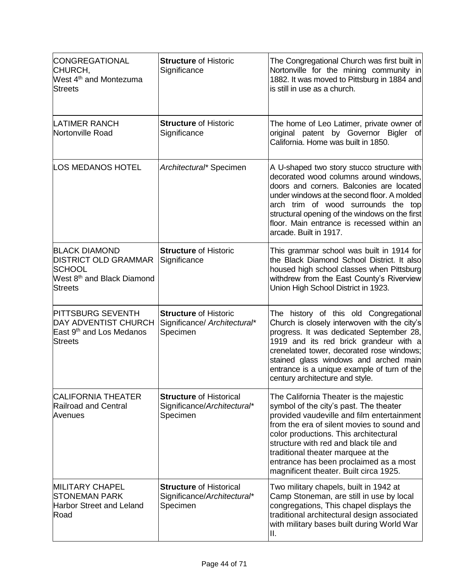| CONGREGATIONAL<br>CHURCH,<br>West 4 <sup>th</sup> and Montezuma<br>Streets                                                       | <b>Structure of Historic</b><br>Significance                              | The Congregational Church was first built in<br>Nortonville for the mining community in<br>1882. It was moved to Pittsburg in 1884 and<br>is still in use as a church.                                                                                                                                                                                                                   |
|----------------------------------------------------------------------------------------------------------------------------------|---------------------------------------------------------------------------|------------------------------------------------------------------------------------------------------------------------------------------------------------------------------------------------------------------------------------------------------------------------------------------------------------------------------------------------------------------------------------------|
| <b>LATIMER RANCH</b><br>Nortonville Road                                                                                         | <b>Structure of Historic</b><br>Significance                              | The home of Leo Latimer, private owner of<br>original patent by Governor Bigler<br>ofl<br>California. Home was built in 1850.                                                                                                                                                                                                                                                            |
| <b>LOS MEDANOS HOTEL</b>                                                                                                         | Architectural* Specimen                                                   | A U-shaped two story stucco structure with<br>decorated wood columns around windows,<br>doors and corners. Balconies are located<br>under windows at the second floor. A molded<br>arch trim of wood surrounds the top<br>structural opening of the windows on the first<br>floor. Main entrance is recessed within an<br>arcade. Built in 1917.                                         |
| <b>BLACK DIAMOND</b><br><b>DISTRICT OLD GRAMMAR</b><br><b>SCHOOL</b><br>West 8 <sup>th</sup> and Black Diamond<br><b>Streets</b> | <b>Structure of Historic</b><br>Significance                              | This grammar school was built in 1914 for<br>the Black Diamond School District. It also<br>housed high school classes when Pittsburg<br>withdrew from the East County's Riverview<br>Union High School District in 1923.                                                                                                                                                                 |
| <b>PITTSBURG SEVENTH</b><br><b>DAY ADVENTIST CHURCH</b><br>East 9 <sup>th</sup> and Los Medanos<br><b>Streets</b>                | <b>Structure of Historic</b><br>Significance/ Architectural*<br>Specimen  | The history of this old Congregational<br>Church is closely interwoven with the city's<br>progress. It was dedicated September 28,<br>1919 and its red brick grandeur with a<br>crenelated tower, decorated rose windows;<br>stained glass windows and arched main<br>entrance is a unique example of turn of the<br>century architecture and style.                                     |
| <b>CALIFORNIA THEATER</b><br>Railroad and Central<br>Avenues                                                                     | <b>Structure of Historical</b><br>Significance/Architectural*<br>Specimen | The California Theater is the majestic<br>symbol of the city's past. The theater<br>provided vaudeville and film entertainment<br>from the era of silent movies to sound and<br>color productions. This architectural<br>structure with red and black tile and<br>traditional theater marquee at the<br>entrance has been proclaimed as a most<br>magnificent theater. Built circa 1925. |
| <b>MILITARY CHAPEL</b><br><b>STONEMAN PARK</b><br>Harbor Street and Leland<br>Road                                               | <b>Structure of Historical</b><br>Significance/Architectural*<br>Specimen | Two military chapels, built in 1942 at<br>Camp Stoneman, are still in use by local<br>congregations, This chapel displays the<br>traditional architectural design associated<br>with military bases built during World War<br>Ш.                                                                                                                                                         |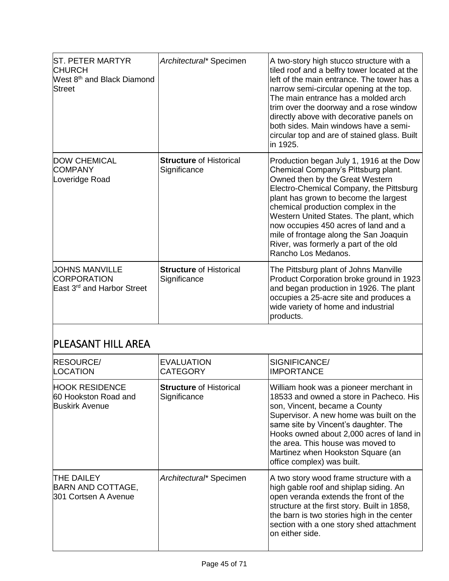| <b>ST. PETER MARTYR</b><br><b>CHURCH</b><br>West 8 <sup>th</sup> and Black Diamond<br>Street | Architectural* Specimen                        | A two-story high stucco structure with a<br>tiled roof and a belfry tower located at the<br>left of the main entrance. The tower has a<br>narrow semi-circular opening at the top.<br>The main entrance has a molded arch<br>trim over the doorway and a rose window<br>directly above with decorative panels on<br>both sides. Main windows have a semi-<br>circular top and are of stained glass. Built<br>in 1925.                     |
|----------------------------------------------------------------------------------------------|------------------------------------------------|-------------------------------------------------------------------------------------------------------------------------------------------------------------------------------------------------------------------------------------------------------------------------------------------------------------------------------------------------------------------------------------------------------------------------------------------|
| <b>DOW CHEMICAL</b><br><b>COMPANY</b><br>Loveridge Road                                      | <b>Structure of Historical</b><br>Significance | Production began July 1, 1916 at the Dow<br>Chemical Company's Pittsburg plant.<br>Owned then by the Great Western<br>Electro-Chemical Company, the Pittsburg<br>plant has grown to become the largest<br>chemical production complex in the<br>Western United States. The plant, which<br>now occupies 450 acres of land and a<br>mile of frontage along the San Joaquin<br>River, was formerly a part of the old<br>Rancho Los Medanos. |
| UOHNS MANVILLE<br><b>CORPORATION</b><br>East 3 <sup>rd</sup> and Harbor Street               | <b>Structure of Historical</b><br>Significance | The Pittsburg plant of Johns Manville<br>Product Corporation broke ground in 1923<br>and began production in 1926. The plant<br>occupies a 25-acre site and produces a<br>wide variety of home and industrial<br>products.                                                                                                                                                                                                                |

## PLEASANT HILL AREA

| <b>RESOURCE/</b><br>LOCATION                                           | <b>EVALUATION</b><br><b>CATEGORY</b>           | SIGNIFICANCE/<br><b>IMPORTANCE</b>                                                                                                                                                                                                                                                                                                                        |
|------------------------------------------------------------------------|------------------------------------------------|-----------------------------------------------------------------------------------------------------------------------------------------------------------------------------------------------------------------------------------------------------------------------------------------------------------------------------------------------------------|
| <b>HOOK RESIDENCE</b><br>60 Hookston Road and<br><b>Buskirk Avenue</b> | <b>Structure of Historical</b><br>Significance | William hook was a pioneer merchant in<br>18533 and owned a store in Pacheco. His<br>son, Vincent, became a County<br>Supervisor. A new home was built on the<br>same site by Vincent's daughter. The<br>Hooks owned about 2,000 acres of land in<br>the area. This house was moved to<br>Martinez when Hookston Square (an<br>office complex) was built. |
| <b>THE DAILEY</b><br><b>BARN AND COTTAGE,</b><br>301 Cortsen A Avenue  | Architectural* Specimen                        | A two story wood frame structure with a<br>high gable roof and shiplap siding. An<br>open veranda extends the front of the<br>structure at the first story. Built in 1858,<br>the barn is two stories high in the center<br>section with a one story shed attachment<br>on either side.                                                                   |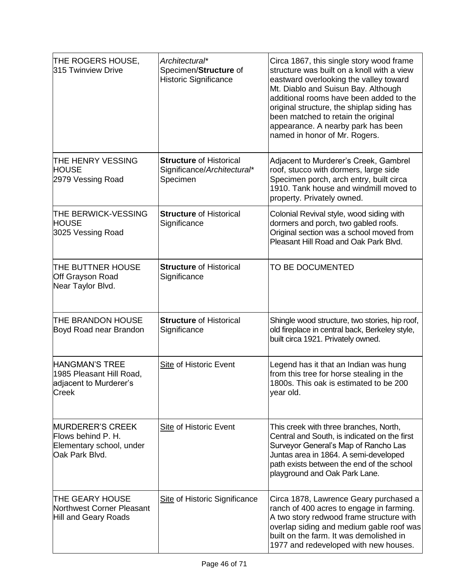| THE ROGERS HOUSE,<br>315 Twinview Drive                                                     | Architectural*<br>Specimen/Structure of<br><b>Historic Significance</b>   | Circa 1867, this single story wood frame<br>structure was built on a knoll with a view<br>eastward overlooking the valley toward<br>Mt. Diablo and Suisun Bay. Although<br>additional rooms have been added to the<br>original structure, the shiplap siding has<br>been matched to retain the original<br>appearance. A nearby park has been<br>named in honor of Mr. Rogers. |
|---------------------------------------------------------------------------------------------|---------------------------------------------------------------------------|--------------------------------------------------------------------------------------------------------------------------------------------------------------------------------------------------------------------------------------------------------------------------------------------------------------------------------------------------------------------------------|
| <b>THE HENRY VESSING</b><br><b>HOUSE</b><br>2979 Vessing Road                               | <b>Structure of Historical</b><br>Significance/Architectural*<br>Specimen | Adjacent to Murderer's Creek, Gambrel<br>roof, stucco with dormers, large side<br>Specimen porch, arch entry, built circa<br>1910. Tank house and windmill moved to<br>property. Privately owned.                                                                                                                                                                              |
| <b>THE BERWICK-VESSING</b><br><b>HOUSE</b><br>3025 Vessing Road                             | <b>Structure of Historical</b><br>Significance                            | Colonial Revival style, wood siding with<br>dormers and porch, two gabled roofs.<br>Original section was a school moved from<br>Pleasant Hill Road and Oak Park Blvd.                                                                                                                                                                                                          |
| <b>THE BUTTNER HOUSE</b><br>Off Grayson Road<br>Near Taylor Blvd.                           | <b>Structure of Historical</b><br>Significance                            | TO BE DOCUMENTED                                                                                                                                                                                                                                                                                                                                                               |
| <b>THE BRANDON HOUSE</b><br>Boyd Road near Brandon                                          | <b>Structure of Historical</b><br>Significance                            | Shingle wood structure, two stories, hip roof,<br>old fireplace in central back, Berkeley style,<br>built circa 1921. Privately owned.                                                                                                                                                                                                                                         |
| <b>HANGMAN'S TREE</b><br>1985 Pleasant Hill Road,<br>adjacent to Murderer's<br>Creek        | Site of Historic Event                                                    | Legend has it that an Indian was hung<br>from this tree for horse stealing in the<br>1800s. This oak is estimated to be 200<br>year old.                                                                                                                                                                                                                                       |
| <b>MURDERER'S CREEK</b><br>Flows behind P. H.<br>Elementary school, under<br>Oak Park Blvd. | <b>Site of Historic Event</b>                                             | This creek with three branches, North,<br>Central and South, is indicated on the first<br>Surveyor General's Map of Rancho Las<br>Juntas area in 1864. A semi-developed<br>path exists between the end of the school<br>playground and Oak Park Lane.                                                                                                                          |
| THE GEARY HOUSE<br>Northwest Corner Pleasant<br>Hill and Geary Roads                        | <b>Site of Historic Significance</b>                                      | Circa 1878, Lawrence Geary purchased a<br>ranch of 400 acres to engage in farming.<br>A two story redwood frame structure with<br>overlap siding and medium gable roof was<br>built on the farm. It was demolished in<br>1977 and redeveloped with new houses.                                                                                                                 |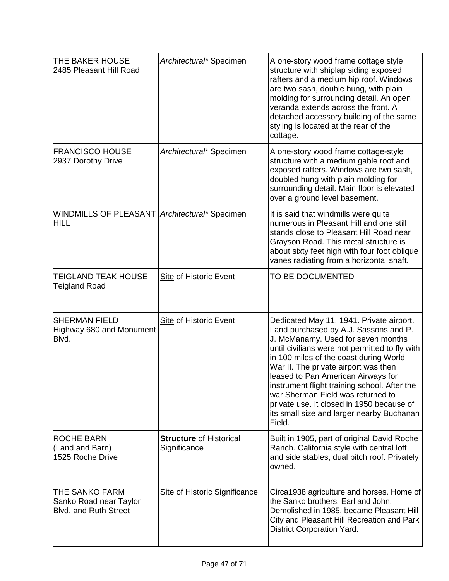| THE BAKER HOUSE<br>2485 Pleasant Hill Road                                      | Architectural* Specimen                        | A one-story wood frame cottage style<br>structure with shiplap siding exposed<br>rafters and a medium hip roof. Windows<br>are two sash, double hung, with plain<br>molding for surrounding detail. An open<br>veranda extends across the front. A<br>detached accessory building of the same<br>styling is located at the rear of the<br>cottage.                                                                                                                                         |
|---------------------------------------------------------------------------------|------------------------------------------------|--------------------------------------------------------------------------------------------------------------------------------------------------------------------------------------------------------------------------------------------------------------------------------------------------------------------------------------------------------------------------------------------------------------------------------------------------------------------------------------------|
| <b>FRANCISCO HOUSE</b><br>2937 Dorothy Drive                                    | Architectural* Specimen                        | A one-story wood frame cottage-style<br>structure with a medium gable roof and<br>exposed rafters. Windows are two sash,<br>doubled hung with plain molding for<br>surrounding detail. Main floor is elevated<br>over a ground level basement.                                                                                                                                                                                                                                             |
| <b>WINDMILLS OF PLEASANT Architectural* Specimen</b><br><b>HILL</b>             |                                                | It is said that windmills were quite<br>numerous in Pleasant Hill and one still<br>stands close to Pleasant Hill Road near<br>Grayson Road. This metal structure is<br>about sixty feet high with four foot oblique<br>vanes radiating from a horizontal shaft.                                                                                                                                                                                                                            |
| ITEIGLAND TEAK HOUSE<br>Teigland Road                                           | <b>Site of Historic Event</b>                  | TO BE DOCUMENTED                                                                                                                                                                                                                                                                                                                                                                                                                                                                           |
| <b>SHERMAN FIELD</b><br>Highway 680 and Monument<br>Blvd.                       | <b>Site of Historic Event</b>                  | Dedicated May 11, 1941. Private airport.<br>Land purchased by A.J. Sassons and P.<br>J. McManamy. Used for seven months<br>until civilians were not permitted to fly with<br>in 100 miles of the coast during World<br>War II. The private airport was then<br>leased to Pan American Airways for<br>instrument flight training school. After the<br>war Sherman Field was returned to<br>private use. It closed in 1950 because of<br>its small size and larger nearby Buchanan<br>Field. |
| <b>ROCHE BARN</b><br>(Land and Barn)<br>1525 Roche Drive                        | <b>Structure of Historical</b><br>Significance | Built in 1905, part of original David Roche<br>Ranch. California style with central loft<br>and side stables, dual pitch roof. Privately<br>owned.                                                                                                                                                                                                                                                                                                                                         |
| <b>THE SANKO FARM</b><br>Sanko Road near Taylor<br><b>Blvd. and Ruth Street</b> | Site of Historic Significance                  | Circa1938 agriculture and horses. Home of<br>the Sanko brothers, Earl and John.<br>Demolished in 1985, became Pleasant Hill<br>City and Pleasant Hill Recreation and Park<br><b>District Corporation Yard.</b>                                                                                                                                                                                                                                                                             |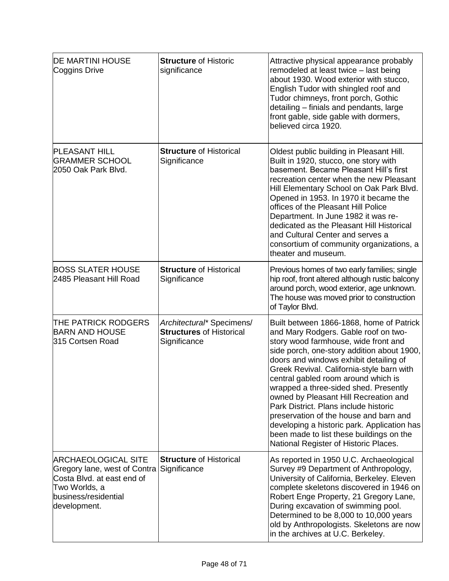| <b>DE MARTINI HOUSE</b><br>Coggins Drive                                                                                                          | <b>Structure of Historic</b><br>significance                                 | Attractive physical appearance probably<br>remodeled at least twice - last being<br>about 1930. Wood exterior with stucco,<br>English Tudor with shingled roof and<br>Tudor chimneys, front porch, Gothic<br>detailing - finials and pendants, large<br>front gable, side gable with dormers,<br>believed circa 1920.                                                                                                                                                                                                                                                                                         |
|---------------------------------------------------------------------------------------------------------------------------------------------------|------------------------------------------------------------------------------|---------------------------------------------------------------------------------------------------------------------------------------------------------------------------------------------------------------------------------------------------------------------------------------------------------------------------------------------------------------------------------------------------------------------------------------------------------------------------------------------------------------------------------------------------------------------------------------------------------------|
| <b>PLEASANT HILL</b><br><b>GRAMMER SCHOOL</b><br>2050 Oak Park Blvd.                                                                              | <b>Structure of Historical</b><br>Significance                               | Oldest public building in Pleasant Hill.<br>Built in 1920, stucco, one story with<br>basement. Became Pleasant Hill's first<br>recreation center when the new Pleasant<br>Hill Elementary School on Oak Park Blvd.<br>Opened in 1953. In 1970 it became the<br>offices of the Pleasant Hill Police<br>Department. In June 1982 it was re-<br>dedicated as the Pleasant Hill Historical<br>and Cultural Center and serves a<br>consortium of community organizations, a<br>theater and museum.                                                                                                                 |
| <b>BOSS SLATER HOUSE</b><br>2485 Pleasant Hill Road                                                                                               | <b>Structure of Historical</b><br>Significance                               | Previous homes of two early families; single<br>hip roof, front altered although rustic balcony<br>around porch, wood exterior, age unknown.<br>The house was moved prior to construction<br>of Taylor Blvd.                                                                                                                                                                                                                                                                                                                                                                                                  |
| THE PATRICK RODGERS<br><b>BARN AND HOUSE</b><br>315 Cortsen Road                                                                                  | Architectural* Specimens/<br><b>Structures of Historical</b><br>Significance | Built between 1866-1868, home of Patrick<br>and Mary Rodgers. Gable roof on two-<br>story wood farmhouse, wide front and<br>side porch, one-story addition about 1900,<br>doors and windows exhibit detailing of<br>Greek Revival. California-style barn with<br>central gabled room around which is<br>wrapped a three-sided shed. Presently<br>owned by Pleasant Hill Recreation and<br>Park District. Plans include historic<br>preservation of the house and barn and<br>developing a historic park. Application has<br>been made to list these buildings on the<br>National Register of Historic Places. |
| <b>ARCHAEOLOGICAL SITE</b><br>Gregory lane, west of Contra<br>Costa Blvd. at east end of<br>Two Worlds, a<br>business/residential<br>development. | <b>Structure of Historical</b><br>Significance                               | As reported in 1950 U.C. Archaeological<br>Survey #9 Department of Anthropology,<br>University of California, Berkeley. Eleven<br>complete skeletons discovered in 1946 on<br>Robert Enge Property, 21 Gregory Lane,<br>During excavation of swimming pool.<br>Determined to be 8,000 to 10,000 years<br>old by Anthropologists. Skeletons are now<br>in the archives at U.C. Berkeley.                                                                                                                                                                                                                       |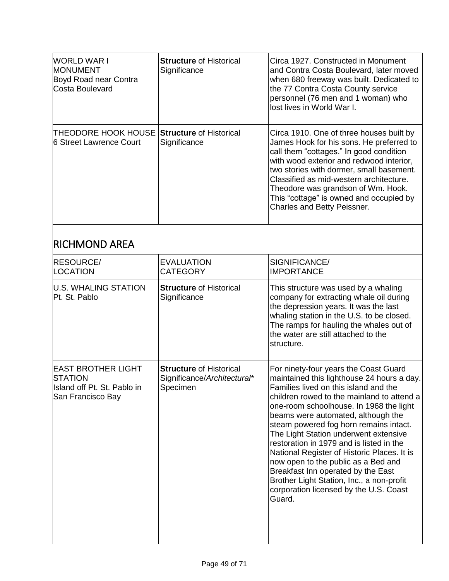| <b>WORLD WAR I</b><br><b>MONUMENT</b><br>Boyd Road near Contra<br>Costa Boulevard | <b>Structure of Historical</b><br>Significance | Circa 1927. Constructed in Monument<br>and Contra Costa Boulevard, later moved<br>when 680 freeway was built. Dedicated to<br>the 77 Contra Costa County service<br>personnel (76 men and 1 woman) who<br>lost lives in World War I.                                                                                                                                                                                   |
|-----------------------------------------------------------------------------------|------------------------------------------------|------------------------------------------------------------------------------------------------------------------------------------------------------------------------------------------------------------------------------------------------------------------------------------------------------------------------------------------------------------------------------------------------------------------------|
| THEODORE HOOK HOUSE<br>6 Street Lawrence Court                                    | <b>Structure of Historical</b><br>Significance | Circa 1910. One of three houses built by<br>James Hook for his sons. He preferred to<br>call them "cottages." In good condition<br>with wood exterior and redwood interior,<br>two stories with dormer, small basement.<br>Classified as mid-western architecture.<br>Theodore was grandson of Wm. Hook.<br>This "cottage" is owned and occupied by<br>Charles and Betty Peissner.                                     |
| <b>RICHMOND AREA</b>                                                              |                                                |                                                                                                                                                                                                                                                                                                                                                                                                                        |
| <b>DEAAUDAE</b>                                                                   | <b>- \ / \ \ \ \ \ \ - \ \ ^ \</b>             | $\mathbf{A} \mathbf{A} \mathbf{A} \mathbf{B} \mathbf{B} \mathbf{A} \mathbf{A} \mathbf{A} \mathbf{A} \mathbf{B} \mathbf{A} \mathbf{B} \mathbf{A} \mathbf{B} \mathbf{B} \mathbf{A} \mathbf{B} \mathbf{A} \mathbf{B} \mathbf{A} \mathbf{B} \mathbf{B} \mathbf{A} \mathbf{B} \mathbf{A} \mathbf{B} \mathbf{A} \mathbf{B} \mathbf{A} \mathbf{B} \mathbf{A} \mathbf{B} \mathbf{A} \mathbf{B} \mathbf{A} \mathbf{B} \mathbf{$ |

| <b>RESOURCE/</b><br>LOCATION                                                                    | <b>EVALUATION</b><br><b>CATEGORY</b>                                      | SIGNIFICANCE/<br><b>IMPORTANCE</b>                                                                                                                                                                                                                                                                                                                                                                                                                                                                                                                                                                                      |
|-------------------------------------------------------------------------------------------------|---------------------------------------------------------------------------|-------------------------------------------------------------------------------------------------------------------------------------------------------------------------------------------------------------------------------------------------------------------------------------------------------------------------------------------------------------------------------------------------------------------------------------------------------------------------------------------------------------------------------------------------------------------------------------------------------------------------|
| <b>U.S. WHALING STATION</b><br>Pt. St. Pablo                                                    | <b>Structure of Historical</b><br>Significance                            | This structure was used by a whaling<br>company for extracting whale oil during<br>the depression years. It was the last<br>whaling station in the U.S. to be closed.<br>The ramps for hauling the whales out of<br>the water are still attached to the<br>structure.                                                                                                                                                                                                                                                                                                                                                   |
| <b>EAST BROTHER LIGHT</b><br><b>STATION</b><br>Island off Pt. St. Pablo in<br>San Francisco Bay | <b>Structure of Historical</b><br>Significance/Architectural*<br>Specimen | For ninety-four years the Coast Guard<br>maintained this lighthouse 24 hours a day.<br>Families lived on this island and the<br>children rowed to the mainland to attend a<br>one-room schoolhouse. In 1968 the light<br>beams were automated, although the<br>steam powered fog horn remains intact.<br>The Light Station underwent extensive<br>restoration in 1979 and is listed in the<br>National Register of Historic Places. It is<br>now open to the public as a Bed and<br>Breakfast Inn operated by the East<br>Brother Light Station, Inc., a non-profit<br>corporation licensed by the U.S. Coast<br>Guard. |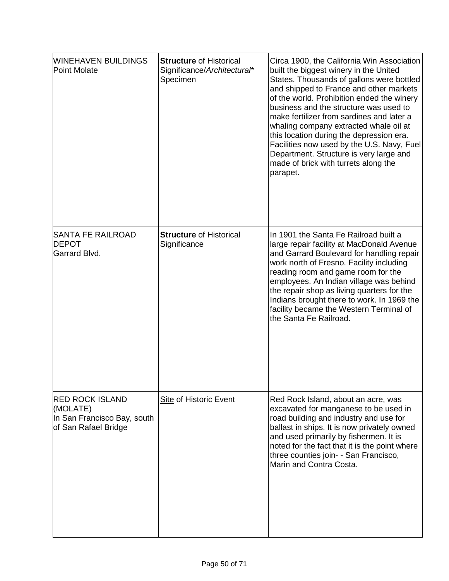| <b>WINEHAVEN BUILDINGS</b><br>Point Molate                                                | <b>Structure of Historical</b><br>Significance/Architectural*<br>Specimen | Circa 1900, the California Win Association<br>built the biggest winery in the United<br>States. Thousands of gallons were bottled<br>and shipped to France and other markets<br>of the world. Prohibition ended the winery<br>business and the structure was used to<br>make fertilizer from sardines and later a<br>whaling company extracted whale oil at<br>this location during the depression era.<br>Facilities now used by the U.S. Navy, Fuel<br>Department. Structure is very large and<br>made of brick with turrets along the<br>parapet. |
|-------------------------------------------------------------------------------------------|---------------------------------------------------------------------------|------------------------------------------------------------------------------------------------------------------------------------------------------------------------------------------------------------------------------------------------------------------------------------------------------------------------------------------------------------------------------------------------------------------------------------------------------------------------------------------------------------------------------------------------------|
| SANTA FE RAILROAD<br><b>DEPOT</b><br>Garrard Blvd.                                        | <b>Structure of Historical</b><br>Significance                            | In 1901 the Santa Fe Railroad built a<br>large repair facility at MacDonald Avenue<br>and Garrard Boulevard for handling repair<br>work north of Fresno. Facility including<br>reading room and game room for the<br>employees. An Indian village was behind<br>the repair shop as living quarters for the<br>Indians brought there to work. In 1969 the<br>facility became the Western Terminal of<br>the Santa Fe Railroad.                                                                                                                        |
| <b>RED ROCK ISLAND</b><br>(MOLATE)<br>In San Francisco Bay, south<br>of San Rafael Bridge | <b>Site of Historic Event</b>                                             | Red Rock Island, about an acre, was<br>excavated for manganese to be used in<br>road building and industry and use for<br>ballast in ships. It is now privately owned<br>and used primarily by fishermen. It is<br>noted for the fact that it is the point where<br>three counties join- - San Francisco,<br>Marin and Contra Costa.                                                                                                                                                                                                                 |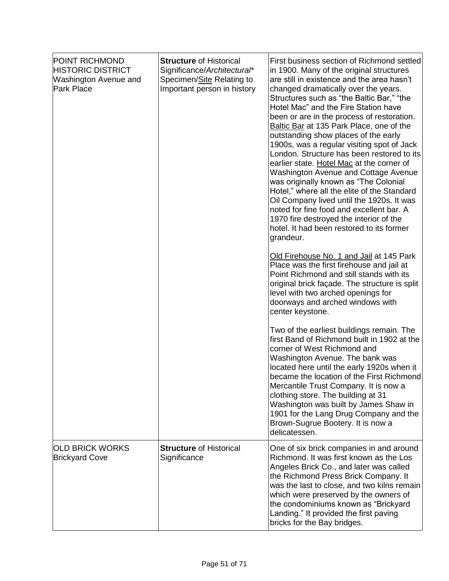| <b>POINT RICHMOND</b><br><b>HISTORIC DISTRICT</b><br><b>Washington Avenue and</b><br><b>Park Place</b> | <b>Structure of Historical</b><br>Significance/Architectural*<br>Specimen/Site Relating to<br>Important person in history | First business section of Richmond settled<br>in 1900. Many of the original structures<br>are still in existence and the area hasn't<br>changed dramatically over the years.<br>Structures such as "the Baltic Bar," "the<br>Hotel Mac" and the Fire Station have<br>been or are in the process of restoration.<br>Baltic Bar at 135 Park Place, one of the<br>outstanding show places of the early<br>1900s, was a regular visiting spot of Jack<br>London. Structure has been restored to its<br>earlier state. Hotel Mac at the corner of<br>Washington Avenue and Cottage Avenue<br>was originally known as "The Colonial<br>Hotel," where all the elite of the Standard<br>Oil Company lived until the 1920s. It was<br>noted for fine food and excellent bar. A<br>1970 fire destroyed the interior of the<br>hotel. It had been restored to its former<br>grandeur. |
|--------------------------------------------------------------------------------------------------------|---------------------------------------------------------------------------------------------------------------------------|----------------------------------------------------------------------------------------------------------------------------------------------------------------------------------------------------------------------------------------------------------------------------------------------------------------------------------------------------------------------------------------------------------------------------------------------------------------------------------------------------------------------------------------------------------------------------------------------------------------------------------------------------------------------------------------------------------------------------------------------------------------------------------------------------------------------------------------------------------------------------|
|                                                                                                        |                                                                                                                           | Old Firehouse No. 1 and Jail at 145 Park<br>Place was the first firehouse and jail at<br>Point Richmond and still stands with its<br>original brick façade. The structure is split<br>level with two arched openings for<br>doorways and arched windows with<br>center keystone.                                                                                                                                                                                                                                                                                                                                                                                                                                                                                                                                                                                           |
|                                                                                                        |                                                                                                                           | Two of the earliest buildings remain. The<br>first Band of Richmond built in 1902 at the<br>corner of West Richmond and<br>Washington Avenue. The bank was<br>located here until the early 1920s when it<br>became the location of the First Richmond<br>Mercantile Trust Company. It is now a<br>clothing store. The building at 31<br>Washington was built by James Shaw in<br>1901 for the Lang Drug Company and the<br>Brown-Sugrue Bootery. It is now a<br>delicatessen.                                                                                                                                                                                                                                                                                                                                                                                              |
| OLD BRICK WORKS<br><b>Brickyard Cove</b>                                                               | <b>Structure of Historical</b><br>Significance                                                                            | One of six brick companies in and around<br>Richmond. It was first known as the Los<br>Angeles Brick Co., and later was called<br>the Richmond Press Brick Company. It<br>was the last to close, and two kilns remain<br>which were preserved by the owners of<br>the condominiums known as "Brickyard<br>Landing." It provided the first paving<br>bricks for the Bay bridges.                                                                                                                                                                                                                                                                                                                                                                                                                                                                                            |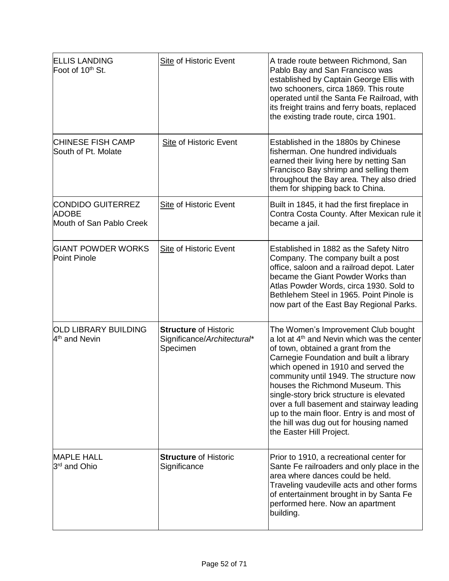| <b>ELLIS LANDING</b><br>Foot of 10 <sup>th</sup> St.                 | <b>Site of Historic Event</b>                                           | A trade route between Richmond, San<br>Pablo Bay and San Francisco was<br>established by Captain George Ellis with<br>two schooners, circa 1869. This route<br>operated until the Santa Fe Railroad, with<br>its freight trains and ferry boats, replaced<br>the existing trade route, circa 1901.                                                                                                                                                                                                                 |
|----------------------------------------------------------------------|-------------------------------------------------------------------------|--------------------------------------------------------------------------------------------------------------------------------------------------------------------------------------------------------------------------------------------------------------------------------------------------------------------------------------------------------------------------------------------------------------------------------------------------------------------------------------------------------------------|
| <b>CHINESE FISH CAMP</b><br>South of Pt. Molate                      | <b>Site of Historic Event</b>                                           | Established in the 1880s by Chinese<br>fisherman. One hundred individuals<br>earned their living here by netting San<br>Francisco Bay shrimp and selling them<br>throughout the Bay area. They also dried<br>them for shipping back to China.                                                                                                                                                                                                                                                                      |
| <b>CONDIDO GUITERREZ</b><br><b>ADOBE</b><br>Mouth of San Pablo Creek | <b>Site of Historic Event</b>                                           | Built in 1845, it had the first fireplace in<br>Contra Costa County. After Mexican rule it<br>became a jail.                                                                                                                                                                                                                                                                                                                                                                                                       |
| <b>GIANT POWDER WORKS</b><br>Point Pinole                            | <b>Site of Historic Event</b>                                           | Established in 1882 as the Safety Nitro<br>Company. The company built a post<br>office, saloon and a railroad depot. Later<br>became the Giant Powder Works than<br>Atlas Powder Words, circa 1930. Sold to<br>Bethlehem Steel in 1965. Point Pinole is<br>now part of the East Bay Regional Parks.                                                                                                                                                                                                                |
| OLD LIBRARY BUILDING<br>4 <sup>th</sup> and Nevin                    | <b>Structure of Historic</b><br>Significance/Architectural*<br>Specimen | The Women's Improvement Club bought<br>a lot at 4 <sup>th</sup> and Nevin which was the center<br>of town, obtained a grant from the<br>Carnegie Foundation and built a library<br>which opened in 1910 and served the<br>community until 1949. The structure now<br>houses the Richmond Museum. This<br>single-story brick structure is elevated<br>over a full basement and stairway leading<br>up to the main floor. Entry is and most of<br>the hill was dug out for housing named<br>the Easter Hill Project. |
| <b>MAPLE HALL</b><br>3 <sup>rd</sup> and Ohio                        | <b>Structure of Historic</b><br>Significance                            | Prior to 1910, a recreational center for<br>Sante Fe railroaders and only place in the<br>area where dances could be held.<br>Traveling vaudeville acts and other forms<br>of entertainment brought in by Santa Fe<br>performed here. Now an apartment<br>building.                                                                                                                                                                                                                                                |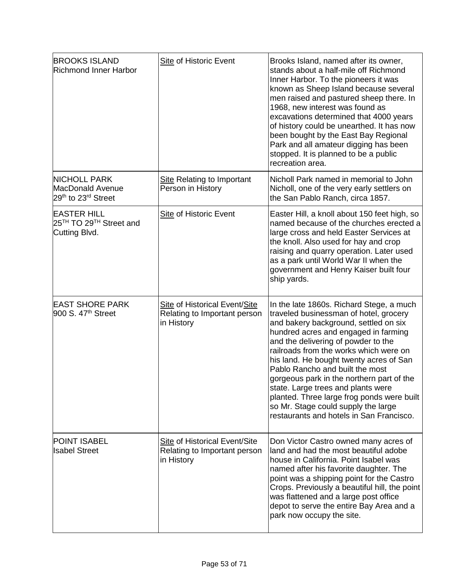| <b>BROOKS ISLAND</b><br><b>Richmond Inner Harbor</b>                                   | <b>Site of Historic Event</b>                                                      | Brooks Island, named after its owner,<br>stands about a half-mile off Richmond<br>Inner Harbor. To the pioneers it was<br>known as Sheep Island because several<br>men raised and pastured sheep there. In<br>1968, new interest was found as<br>excavations determined that 4000 years<br>of history could be unearthed. It has now<br>been bought by the East Bay Regional<br>Park and all amateur digging has been<br>stopped. It is planned to be a public<br>recreation area.                                                                     |
|----------------------------------------------------------------------------------------|------------------------------------------------------------------------------------|--------------------------------------------------------------------------------------------------------------------------------------------------------------------------------------------------------------------------------------------------------------------------------------------------------------------------------------------------------------------------------------------------------------------------------------------------------------------------------------------------------------------------------------------------------|
| <b>NICHOLL PARK</b><br><b>MacDonald Avenue</b><br>29th to 23rd Street                  | <b>Site Relating to Important</b><br>Person in History                             | Nicholl Park named in memorial to John<br>Nicholl, one of the very early settlers on<br>the San Pablo Ranch, circa 1857.                                                                                                                                                                                                                                                                                                                                                                                                                               |
| <b>EASTER HILL</b><br>25 <sup>TH</sup> TO 29 <sup>TH</sup> Street and<br>Cutting Blvd. | Site of Historic Event                                                             | Easter Hill, a knoll about 150 feet high, so<br>named because of the churches erected a<br>large cross and held Easter Services at<br>the knoll. Also used for hay and crop<br>raising and quarry operation. Later used<br>as a park until World War II when the<br>government and Henry Kaiser built four<br>ship yards.                                                                                                                                                                                                                              |
| <b>EAST SHORE PARK</b><br>900 S. 47 <sup>th</sup> Street                               | <b>Site of Historical Event/Site</b><br>Relating to Important person<br>in History | In the late 1860s. Richard Stege, a much<br>traveled businessman of hotel, grocery<br>and bakery background, settled on six<br>hundred acres and engaged in farming<br>and the delivering of powder to the<br>railroads from the works which were on<br>his land. He bought twenty acres of San<br>Pablo Rancho and built the most<br>gorgeous park in the northern part of the<br>state. Large trees and plants were<br>planted. Three large frog ponds were built<br>so Mr. Stage could supply the large<br>restaurants and hotels in San Francisco. |
| <b>POINT ISABEL</b><br><b>Isabel Street</b>                                            | Site of Historical Event/Site<br>Relating to Important person<br>in History        | Don Victor Castro owned many acres of<br>land and had the most beautiful adobe<br>house in California. Point Isabel was<br>named after his favorite daughter. The<br>point was a shipping point for the Castro<br>Crops. Previously a beautiful hill, the point<br>was flattened and a large post office<br>depot to serve the entire Bay Area and a<br>park now occupy the site.                                                                                                                                                                      |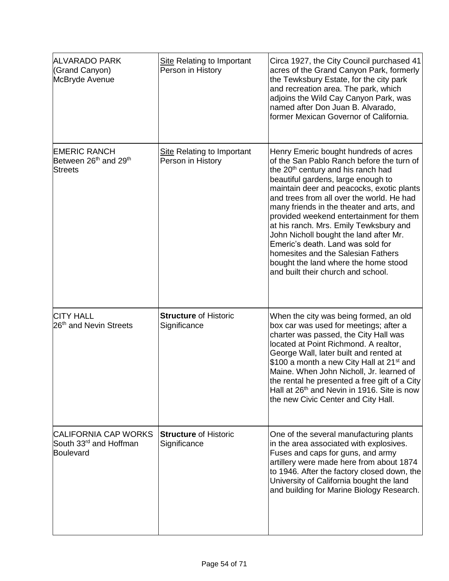| <b>ALVARADO PARK</b><br>(Grand Canyon)<br>McBryde Avenue                               | <b>Site Relating to Important</b><br>Person in History | Circa 1927, the City Council purchased 41<br>acres of the Grand Canyon Park, formerly<br>the Tewksbury Estate, for the city park<br>and recreation area. The park, which<br>adjoins the Wild Cay Canyon Park, was<br>named after Don Juan B. Alvarado,<br>former Mexican Governor of California.                                                                                                                                                                                                                                                                                                          |
|----------------------------------------------------------------------------------------|--------------------------------------------------------|-----------------------------------------------------------------------------------------------------------------------------------------------------------------------------------------------------------------------------------------------------------------------------------------------------------------------------------------------------------------------------------------------------------------------------------------------------------------------------------------------------------------------------------------------------------------------------------------------------------|
| <b>EMERIC RANCH</b><br>Between 26 <sup>th</sup> and 29 <sup>th</sup><br><b>Streets</b> | <b>Site Relating to Important</b><br>Person in History | Henry Emeric bought hundreds of acres<br>of the San Pablo Ranch before the turn of<br>the 20 <sup>th</sup> century and his ranch had<br>beautiful gardens, large enough to<br>maintain deer and peacocks, exotic plants<br>and trees from all over the world. He had<br>many friends in the theater and arts, and<br>provided weekend entertainment for them<br>at his ranch. Mrs. Emily Tewksbury and<br>John Nicholl bought the land after Mr.<br>Emeric's death. Land was sold for<br>homesites and the Salesian Fathers<br>bought the land where the home stood<br>and built their church and school. |
| <b>CITY HALL</b><br>26 <sup>th</sup> and Nevin Streets                                 | <b>Structure of Historic</b><br>Significance           | When the city was being formed, an old<br>box car was used for meetings; after a<br>charter was passed, the City Hall was<br>located at Point Richmond. A realtor,<br>George Wall, later built and rented at<br>\$100 a month a new City Hall at 21 <sup>st</sup> and<br>Maine. When John Nicholl, Jr. learned of<br>the rental he presented a free gift of a City<br>Hall at 26 <sup>th</sup> and Nevin in 1916. Site is now<br>the new Civic Center and City Hall.                                                                                                                                      |
| <b>CALIFORNIA CAP WORKS</b><br>South 33 <sup>rd</sup> and Hoffman<br>Boulevard         | <b>Structure of Historic</b><br>Significance           | One of the several manufacturing plants<br>in the area associated with explosives.<br>Fuses and caps for guns, and army<br>artillery were made here from about 1874<br>to 1946. After the factory closed down, the<br>University of California bought the land<br>and building for Marine Biology Research.                                                                                                                                                                                                                                                                                               |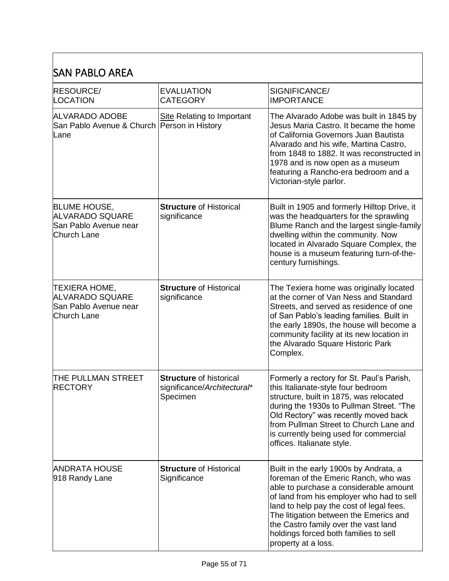#### SAN PABLO AREA

| RESOURCE/<br><b>LOCATION</b>                                                          | <b>EVALUATION</b><br><b>CATEGORY</b>                                      | SIGNIFICANCE/<br><b>IMPORTANCE</b>                                                                                                                                                                                                                                                                                                                                  |
|---------------------------------------------------------------------------------------|---------------------------------------------------------------------------|---------------------------------------------------------------------------------------------------------------------------------------------------------------------------------------------------------------------------------------------------------------------------------------------------------------------------------------------------------------------|
| <b>ALVARADO ADOBE</b><br>San Pablo Avenue & Church   Person in History<br>Lane        | <b>Site Relating to Important</b>                                         | The Alvarado Adobe was built in 1845 by<br>Jesus Maria Castro. It became the home<br>of California Governors Juan Bautista<br>Alvarado and his wife, Martina Castro,<br>from 1848 to 1882. It was reconstructed in<br>1978 and is now open as a museum<br>featuring a Rancho-era bedroom and a<br>Victorian-style parlor.                                           |
| <b>BLUME HOUSE,</b><br><b>ALVARADO SQUARE</b><br>San Pablo Avenue near<br>Church Lane | <b>Structure of Historical</b><br>significance                            | Built in 1905 and formerly Hilltop Drive, it<br>was the headquarters for the sprawling<br>Blume Ranch and the largest single-family<br>dwelling within the community. Now<br>located in Alvarado Square Complex, the<br>house is a museum featuring turn-of-the-<br>century furnishings.                                                                            |
| TEXIERA HOME,<br>ALVARADO SQUARE<br>San Pablo Avenue near<br><b>Church Lane</b>       | <b>Structure of Historical</b><br>significance                            | The Texiera home was originally located<br>at the corner of Van Ness and Standard<br>Streets, and served as residence of one<br>of San Pablo's leading families. Built in<br>the early 1890s, the house will become a<br>community facility at its new location in<br>the Alvarado Square Historic Park<br>Complex.                                                 |
| THE PULLMAN STREET<br><b>RECTORY</b>                                                  | <b>Structure of historical</b><br>significance/Architectural*<br>Specimen | Formerly a rectory for St. Paul's Parish,<br>this Italianate-style four bedroom<br>structure, built in 1875, was relocated<br>during the 1930s to Pullman Street. "The<br>Old Rectory" was recently moved back<br>from Pullman Street to Church Lane and<br>is currently being used for commercial<br>offices. Italianate style.                                    |
| <b>ANDRATA HOUSE</b><br>918 Randy Lane                                                | <b>Structure of Historical</b><br>Significance                            | Built in the early 1900s by Andrata, a<br>foreman of the Emeric Ranch, who was<br>able to purchase a considerable amount<br>of land from his employer who had to sell<br>land to help pay the cost of legal fees.<br>The litigation between the Emerics and<br>the Castro family over the vast land<br>holdings forced both families to sell<br>property at a loss. |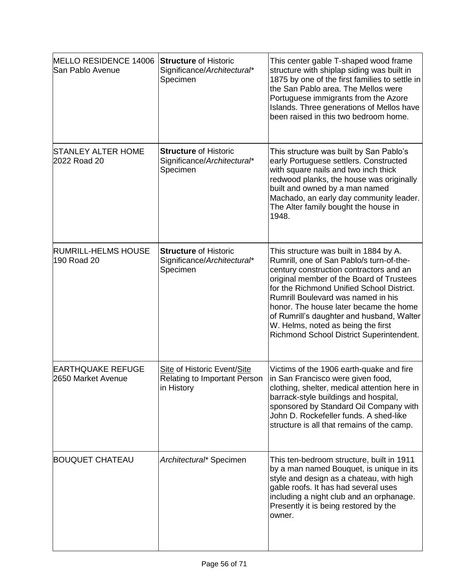| MELLO RESIDENCE 14006<br>San Pablo Avenue      | <b>Structure of Historic</b><br>Significance/Architectural*<br>Specimen          | This center gable T-shaped wood frame<br>structure with shiplap siding was built in<br>1875 by one of the first families to settle in<br>the San Pablo area. The Mellos were<br>Portuguese immigrants from the Azore<br>Islands. Three generations of Mellos have<br>been raised in this two bedroom home.                                                                                                                            |
|------------------------------------------------|----------------------------------------------------------------------------------|---------------------------------------------------------------------------------------------------------------------------------------------------------------------------------------------------------------------------------------------------------------------------------------------------------------------------------------------------------------------------------------------------------------------------------------|
| <b>STANLEY ALTER HOME</b><br>2022 Road 20      | <b>Structure of Historic</b><br>Significance/Architectural*<br>Specimen          | This structure was built by San Pablo's<br>early Portuguese settlers. Constructed<br>with square nails and two inch thick<br>redwood planks, the house was originally<br>built and owned by a man named<br>Machado, an early day community leader.<br>The Alter family bought the house in<br>1948.                                                                                                                                   |
| <b>RUMRILL-HELMS HOUSE</b><br>190 Road 20      | <b>Structure of Historic</b><br>Significance/Architectural*<br>Specimen          | This structure was built in 1884 by A.<br>Rumrill, one of San Pablo/s turn-of-the-<br>century construction contractors and an<br>original member of the Board of Trustees<br>for the Richmond Unified School District.<br>Rumrill Boulevard was named in his<br>honor. The house later became the home<br>of Rumrill's daughter and husband, Walter<br>W. Helms, noted as being the first<br>Richmond School District Superintendent. |
| <b>EARTHQUAKE REFUGE</b><br>2650 Market Avenue | Site of Historic Event/Site<br><b>Relating to Important Person</b><br>in History | Victims of the 1906 earth-quake and fire<br>in San Francisco were given food,<br>clothing, shelter, medical attention here in<br>barrack-style buildings and hospital,<br>sponsored by Standard Oil Company with<br>John D. Rockefeller funds. A shed-like<br>structure is all that remains of the camp.                                                                                                                              |
| <b>BOUQUET CHATEAU</b>                         | Architectural* Specimen                                                          | This ten-bedroom structure, built in 1911<br>by a man named Bouquet, is unique in its<br>style and design as a chateau, with high<br>gable roofs. It has had several uses<br>including a night club and an orphanage.<br>Presently it is being restored by the<br>owner.                                                                                                                                                              |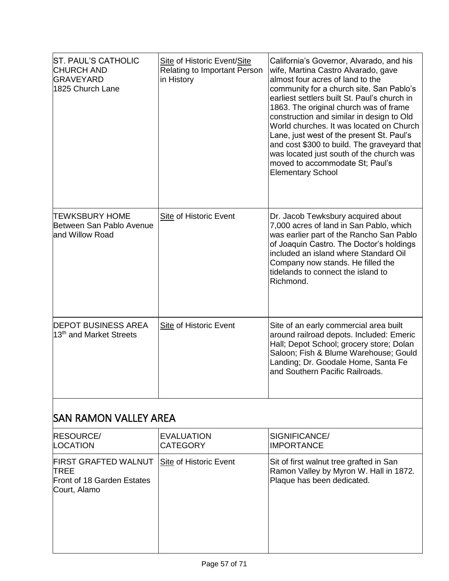| <b>ST. PAUL'S CATHOLIC</b><br><b>CHURCH AND</b><br><b>GRAVEYARD</b><br>1825 Church Lane | Site of Historic Event/Site<br><b>Relating to Important Person</b><br>in History | California's Governor, Alvarado, and his<br>wife, Martina Castro Alvarado, gave<br>almost four acres of land to the<br>community for a church site. San Pablo's<br>earliest settlers built St. Paul's church in<br>1863. The original church was of frame<br>construction and similar in design to Old<br>World churches. It was located on Church<br>Lane, just west of the present St. Paul's<br>and cost \$300 to build. The graveyard that<br>was located just south of the church was<br>moved to accommodate St; Paul's<br><b>Elementary School</b> |
|-----------------------------------------------------------------------------------------|----------------------------------------------------------------------------------|-----------------------------------------------------------------------------------------------------------------------------------------------------------------------------------------------------------------------------------------------------------------------------------------------------------------------------------------------------------------------------------------------------------------------------------------------------------------------------------------------------------------------------------------------------------|
| <b>TEWKSBURY HOME</b><br>Between San Pablo Avenue<br>and Willow Road                    | <b>Site of Historic Event</b>                                                    | Dr. Jacob Tewksbury acquired about<br>7,000 acres of land in San Pablo, which<br>was earlier part of the Rancho San Pablo<br>of Joaquin Castro. The Doctor's holdings<br>included an island where Standard Oil<br>Company now stands. He filled the<br>tidelands to connect the island to<br>Richmond.                                                                                                                                                                                                                                                    |
| <b>DEPOT BUSINESS AREA</b><br>13 <sup>th</sup> and Market Streets                       | <b>Site of Historic Event</b>                                                    | Site of an early commercial area built<br>around railroad depots. Included: Emeric<br>Hall; Depot School; grocery store; Dolan<br>Saloon; Fish & Blume Warehouse; Gould<br>Landing; Dr. Goodale Home, Santa Fe<br>and Southern Pacific Railroads.                                                                                                                                                                                                                                                                                                         |

# SAN RAMON VALLEY AREA

| <b>RESOURCE/</b><br><b>LOCATION</b>                                                      | <b>EVALUATION</b><br><b>CATEGORY</b> | SIGNIFICANCE/<br><b>IMPORTANCE</b>                                                                              |
|------------------------------------------------------------------------------------------|--------------------------------------|-----------------------------------------------------------------------------------------------------------------|
| <b>FIRST GRAFTED WALNUT</b><br><b>TREE</b><br>Front of 18 Garden Estates<br>Court, Alamo | Site of Historic Event               | Sit of first walnut tree grafted in San<br>Ramon Valley by Myron W. Hall in 1872.<br>Plaque has been dedicated. |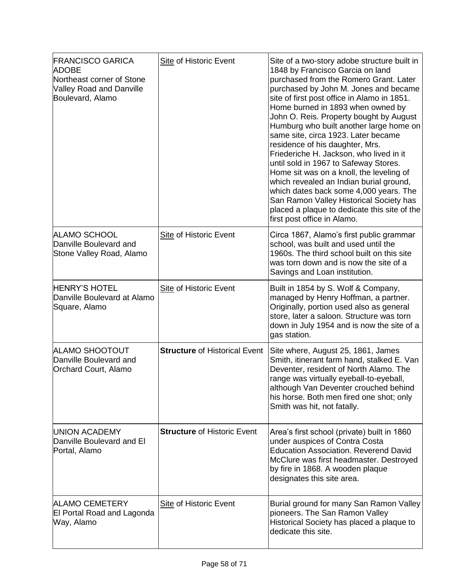| <b>FRANCISCO GARICA</b><br><b>ADOBE</b><br>Northeast corner of Stone<br><b>Valley Road and Danville</b><br>Boulevard, Alamo | <b>Site of Historic Event</b>        | Site of a two-story adobe structure built in<br>1848 by Francisco Garcia on land<br>purchased from the Romero Grant. Later<br>purchased by John M. Jones and became<br>site of first post office in Alamo in 1851.<br>Home burned in 1893 when owned by<br>John O. Reis. Property bought by August<br>Humburg who built another large home on<br>same site, circa 1923. Later became<br>residence of his daughter, Mrs.<br>Friederiche H. Jackson, who lived in it<br>until sold in 1967 to Safeway Stores.<br>Home sit was on a knoll, the leveling of<br>which revealed an Indian burial ground,<br>which dates back some 4,000 years. The<br>San Ramon Valley Historical Society has<br>placed a plaque to dedicate this site of the<br>first post office in Alamo. |
|-----------------------------------------------------------------------------------------------------------------------------|--------------------------------------|------------------------------------------------------------------------------------------------------------------------------------------------------------------------------------------------------------------------------------------------------------------------------------------------------------------------------------------------------------------------------------------------------------------------------------------------------------------------------------------------------------------------------------------------------------------------------------------------------------------------------------------------------------------------------------------------------------------------------------------------------------------------|
| ALAMO SCHOOL<br>Danville Boulevard and<br>Stone Valley Road, Alamo                                                          | Site of Historic Event               | Circa 1867, Alamo's first public grammar<br>school, was built and used until the<br>1960s. The third school built on this site<br>was torn down and is now the site of a<br>Savings and Loan institution.                                                                                                                                                                                                                                                                                                                                                                                                                                                                                                                                                              |
| <b>HENRY'S HOTEL</b><br>Danville Boulevard at Alamo<br>Square, Alamo                                                        | Site of Historic Event               | Built in 1854 by S. Wolf & Company,<br>managed by Henry Hoffman, a partner.<br>Originally, portion used also as general<br>store, later a saloon. Structure was torn<br>down in July 1954 and is now the site of a<br>gas station.                                                                                                                                                                                                                                                                                                                                                                                                                                                                                                                                     |
| ALAMO SHOOTOUT<br>Danville Boulevard and<br>Orchard Court, Alamo                                                            | <b>Structure of Historical Event</b> | Site where, August 25, 1861, James<br>Smith, itinerant farm hand, stalked E. Van<br>Deventer, resident of North Alamo. The<br>range was virtually eyeball-to-eyeball,<br>although Van Deventer crouched behind<br>his horse. Both men fired one shot; only<br>Smith was hit, not fatally.                                                                                                                                                                                                                                                                                                                                                                                                                                                                              |
| <b>UNION ACADEMY</b><br>Danville Boulevard and El<br>Portal, Alamo                                                          | <b>Structure of Historic Event</b>   | Area's first school (private) built in 1860<br>under auspices of Contra Costa<br><b>Education Association. Reverend David</b><br>McClure was first headmaster. Destroyed<br>by fire in 1868. A wooden plaque<br>designates this site area.                                                                                                                                                                                                                                                                                                                                                                                                                                                                                                                             |
| <b>ALAMO CEMETERY</b><br>El Portal Road and Lagonda<br>Way, Alamo                                                           | <b>Site of Historic Event</b>        | Burial ground for many San Ramon Valley<br>pioneers. The San Ramon Valley<br>Historical Society has placed a plaque to<br>dedicate this site.                                                                                                                                                                                                                                                                                                                                                                                                                                                                                                                                                                                                                          |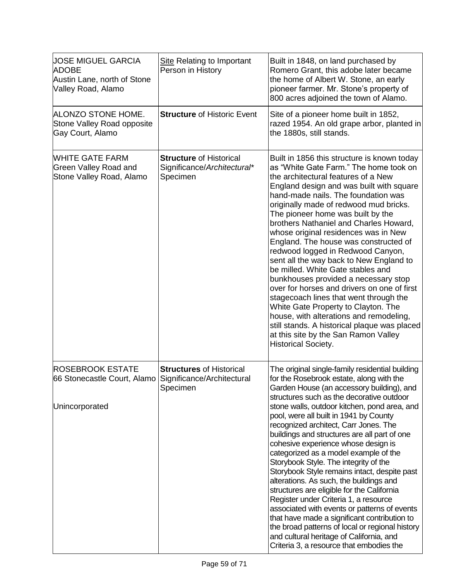| <b>JOSE MIGUEL GARCIA</b><br><b>ADOBE</b><br>Austin Lane, north of Stone<br>Valley Road, Alamo      | Site Relating to Important<br>Person in History                           | Built in 1848, on land purchased by<br>Romero Grant, this adobe later became<br>the home of Albert W. Stone, an early<br>pioneer farmer. Mr. Stone's property of<br>800 acres adjoined the town of Alamo.                                                                                                                                                                                                                                                                                                                                                                                                                                                                                                                                                                                                                                                                                                                      |
|-----------------------------------------------------------------------------------------------------|---------------------------------------------------------------------------|--------------------------------------------------------------------------------------------------------------------------------------------------------------------------------------------------------------------------------------------------------------------------------------------------------------------------------------------------------------------------------------------------------------------------------------------------------------------------------------------------------------------------------------------------------------------------------------------------------------------------------------------------------------------------------------------------------------------------------------------------------------------------------------------------------------------------------------------------------------------------------------------------------------------------------|
| ALONZO STONE HOME.<br>Stone Valley Road opposite<br>Gay Court, Alamo                                | <b>Structure of Historic Event</b>                                        | Site of a pioneer home built in 1852,<br>razed 1954. An old grape arbor, planted in<br>the 1880s, still stands.                                                                                                                                                                                                                                                                                                                                                                                                                                                                                                                                                                                                                                                                                                                                                                                                                |
| <b>WHITE GATE FARM</b><br>Green Valley Road and<br>Stone Valley Road, Alamo                         | <b>Structure of Historical</b><br>Significance/Architectural*<br>Specimen | Built in 1856 this structure is known today<br>as "White Gate Farm." The home took on<br>the architectural features of a New<br>England design and was built with square<br>hand-made nails. The foundation was<br>originally made of redwood mud bricks.<br>The pioneer home was built by the<br>brothers Nathaniel and Charles Howard,<br>whose original residences was in New<br>England. The house was constructed of<br>redwood logged in Redwood Canyon,<br>sent all the way back to New England to<br>be milled. White Gate stables and<br>bunkhouses provided a necessary stop<br>over for horses and drivers on one of first<br>stagecoach lines that went through the<br>White Gate Property to Clayton. The<br>house, with alterations and remodeling,<br>still stands. A historical plaque was placed<br>at this site by the San Ramon Valley<br><b>Historical Society.</b>                                        |
| <b>ROSEBROOK ESTATE</b><br>66 Stonecastle Court, Alamo Significance/Architectural<br>Unincorporated | <b>Structures of Historical</b><br>Specimen                               | The original single-family residential building<br>for the Rosebrook estate, along with the<br>Garden House (an accessory building), and<br>structures such as the decorative outdoor<br>stone walls, outdoor kitchen, pond area, and<br>pool, were all built in 1941 by County<br>recognized architect, Carr Jones. The<br>buildings and structures are all part of one<br>cohesive experience whose design is<br>categorized as a model example of the<br>Storybook Style. The integrity of the<br>Storybook Style remains intact, despite past<br>alterations. As such, the buildings and<br>structures are eligible for the California<br>Register under Criteria 1, a resource<br>associated with events or patterns of events<br>that have made a significant contribution to<br>the broad patterns of local or regional history<br>and cultural heritage of California, and<br>Criteria 3, a resource that embodies the |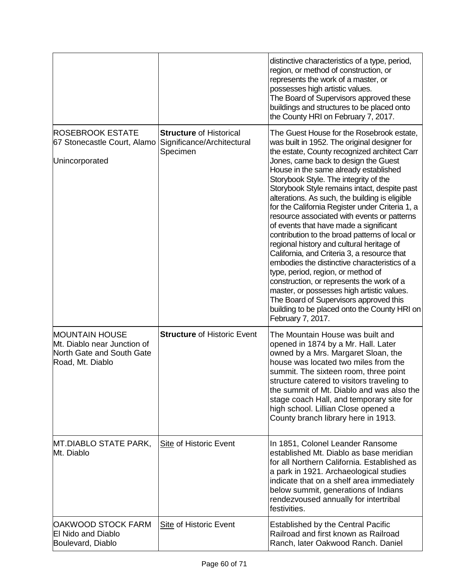|                                                                                                       |                                                                          | distinctive characteristics of a type, period,<br>region, or method of construction, or<br>represents the work of a master, or<br>possesses high artistic values.<br>The Board of Supervisors approved these<br>buildings and structures to be placed onto<br>the County HRI on February 7, 2017.                                                                                                                                                                                                                                                                                                                                                                                                                                                                                                                                                                                                                                                                |
|-------------------------------------------------------------------------------------------------------|--------------------------------------------------------------------------|------------------------------------------------------------------------------------------------------------------------------------------------------------------------------------------------------------------------------------------------------------------------------------------------------------------------------------------------------------------------------------------------------------------------------------------------------------------------------------------------------------------------------------------------------------------------------------------------------------------------------------------------------------------------------------------------------------------------------------------------------------------------------------------------------------------------------------------------------------------------------------------------------------------------------------------------------------------|
| <b>ROSEBROOK ESTATE</b><br>67 Stonecastle Court, Alamo<br>Unincorporated                              | <b>Structure of Historical</b><br>Significance/Architectural<br>Specimen | The Guest House for the Rosebrook estate,<br>was built in 1952. The original designer for<br>the estate, County recognized architect Carr<br>Jones, came back to design the Guest<br>House in the same already established<br>Storybook Style. The integrity of the<br>Storybook Style remains intact, despite past<br>alterations. As such, the building is eligible<br>for the California Register under Criteria 1, a<br>resource associated with events or patterns<br>of events that have made a significant<br>contribution to the broad patterns of local or<br>regional history and cultural heritage of<br>California, and Criteria 3, a resource that<br>embodies the distinctive characteristics of a<br>type, period, region, or method of<br>construction, or represents the work of a<br>master, or possesses high artistic values.<br>The Board of Supervisors approved this<br>building to be placed onto the County HRI on<br>February 7, 2017. |
| <b>MOUNTAIN HOUSE</b><br>Mt. Diablo near Junction of<br>North Gate and South Gate<br>Road, Mt. Diablo | <b>Structure of Historic Event</b>                                       | The Mountain House was built and<br>opened in 1874 by a Mr. Hall. Later<br>owned by a Mrs. Margaret Sloan, the<br>house was located two miles from the<br>summit. The sixteen room, three point<br>structure catered to visitors traveling to<br>the summit of Mt. Diablo and was also the<br>stage coach Hall, and temporary site for<br>high school. Lillian Close opened a<br>County branch library here in 1913.                                                                                                                                                                                                                                                                                                                                                                                                                                                                                                                                             |
| MT.DIABLO STATE PARK,<br>Mt. Diablo                                                                   | Site of Historic Event                                                   | In 1851, Colonel Leander Ransome<br>established Mt. Diablo as base meridian<br>for all Northern California. Established as<br>a park in 1921. Archaeological studies<br>indicate that on a shelf area immediately<br>below summit, generations of Indians<br>rendezvoused annually for intertribal<br>festivities.                                                                                                                                                                                                                                                                                                                                                                                                                                                                                                                                                                                                                                               |
| OAKWOOD STOCK FARM<br><b>El Nido and Diablo</b><br>Boulevard, Diablo                                  | <b>Site of Historic Event</b>                                            | <b>Established by the Central Pacific</b><br>Railroad and first known as Railroad<br>Ranch, later Oakwood Ranch. Daniel                                                                                                                                                                                                                                                                                                                                                                                                                                                                                                                                                                                                                                                                                                                                                                                                                                          |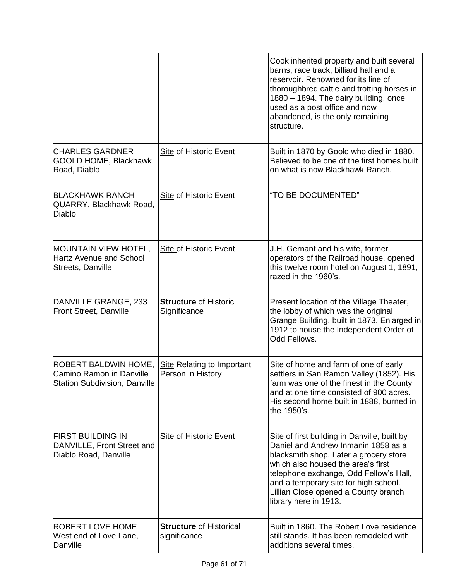|                                                                                          |                                                        | Cook inherited property and built several<br>barns, race track, billiard hall and a<br>reservoir. Renowned for its line of<br>thoroughbred cattle and trotting horses in<br>1880 - 1894. The dairy building, once<br>used as a post office and now<br>abandoned, is the only remaining<br>structure.                    |
|------------------------------------------------------------------------------------------|--------------------------------------------------------|-------------------------------------------------------------------------------------------------------------------------------------------------------------------------------------------------------------------------------------------------------------------------------------------------------------------------|
| <b>CHARLES GARDNER</b><br><b>GOOLD HOME, Blackhawk</b><br>Road, Diablo                   | Site of Historic Event                                 | Built in 1870 by Goold who died in 1880.<br>Believed to be one of the first homes built<br>on what is now Blackhawk Ranch.                                                                                                                                                                                              |
| <b>BLACKHAWK RANCH</b><br>QUARRY, Blackhawk Road,<br><b>Diablo</b>                       | Site of Historic Event                                 | "TO BE DOCUMENTED"                                                                                                                                                                                                                                                                                                      |
| <b>MOUNTAIN VIEW HOTEL,</b><br>Hartz Avenue and School<br>Streets, Danville              | <b>Site of Historic Event</b>                          | J.H. Gernant and his wife, former<br>operators of the Railroad house, opened<br>this twelve room hotel on August 1, 1891,<br>razed in the 1960's.                                                                                                                                                                       |
| DANVILLE GRANGE, 233<br>Front Street, Danville                                           | <b>Structure of Historic</b><br>Significance           | Present location of the Village Theater,<br>the lobby of which was the original<br>Grange Building, built in 1873. Enlarged in<br>1912 to house the Independent Order of<br>Odd Fellows.                                                                                                                                |
| <b>ROBERT BALDWIN HOME,</b><br>Camino Ramon in Danville<br>Station Subdivision, Danville | <b>Site Relating to Important</b><br>Person in History | Site of home and farm of one of early<br>settlers in San Ramon Valley (1852). His<br>farm was one of the finest in the County<br>and at one time consisted of 900 acres.<br>His second home built in 1888, burned in<br>the 1950's.                                                                                     |
| <b>FIRST BUILDING IN</b><br>DANVILLE, Front Street and<br>Diablo Road, Danville          | <b>Site of Historic Event</b>                          | Site of first building in Danville, built by<br>Daniel and Andrew Inmanin 1858 as a<br>blacksmith shop. Later a grocery store<br>which also housed the area's first<br>telephone exchange, Odd Fellow's Hall,<br>and a temporary site for high school.<br>Lillian Close opened a County branch<br>library here in 1913. |
| <b>ROBERT LOVE HOME</b><br>West end of Love Lane,<br>Danville                            | <b>Structure of Historical</b><br>significance         | Built in 1860. The Robert Love residence<br>still stands. It has been remodeled with<br>additions several times.                                                                                                                                                                                                        |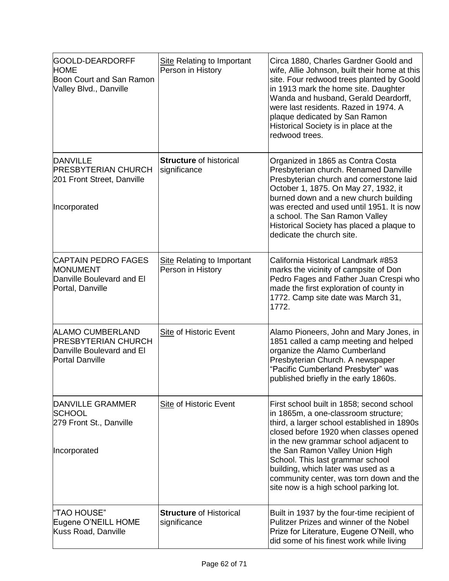| GOOLD-DEARDORFF<br><b>HOME</b><br>Boon Court and San Ramon<br>Valley Blvd., Danville                  | Site Relating to Important<br>Person in History        | Circa 1880, Charles Gardner Goold and<br>wife, Allie Johnson, built their home at this<br>site. Four redwood trees planted by Goold<br>in 1913 mark the home site. Daughter<br>Wanda and husband, Gerald Deardorff,<br>were last residents. Razed in 1974. A<br>plaque dedicated by San Ramon<br>Historical Society is in place at the<br>redwood trees.                                                               |
|-------------------------------------------------------------------------------------------------------|--------------------------------------------------------|------------------------------------------------------------------------------------------------------------------------------------------------------------------------------------------------------------------------------------------------------------------------------------------------------------------------------------------------------------------------------------------------------------------------|
| <b>DANVILLE</b><br><b>PRESBYTERIAN CHURCH</b><br>201 Front Street, Danville<br>Incorporated           | <b>Structure of historical</b><br>significance         | Organized in 1865 as Contra Costa<br>Presbyterian church. Renamed Danville<br>Presbyterian church and cornerstone laid<br>October 1, 1875. On May 27, 1932, it<br>burned down and a new church building<br>was erected and used until 1951. It is now<br>a school. The San Ramon Valley<br>Historical Society has placed a plaque to<br>dedicate the church site.                                                      |
| <b>CAPTAIN PEDRO FAGES</b><br><b>MONUMENT</b><br>Danville Boulevard and El<br>Portal, Danville        | <b>Site Relating to Important</b><br>Person in History | California Historical Landmark #853<br>marks the vicinity of campsite of Don<br>Pedro Fages and Father Juan Crespi who<br>made the first exploration of county in<br>1772. Camp site date was March 31,<br>1772.                                                                                                                                                                                                       |
| ALAMO CUMBERLAND<br><b>PRESBYTERIAN CHURCH</b><br>Danville Boulevard and El<br><b>Portal Danville</b> | <b>Site of Historic Event</b>                          | Alamo Pioneers, John and Mary Jones, in<br>1851 called a camp meeting and helped<br>organize the Alamo Cumberland<br>Presbyterian Church. A newspaper<br>"Pacific Cumberland Presbyter" was<br>published briefly in the early 1860s.                                                                                                                                                                                   |
| DANVILLE GRAMMER<br><b>SCHOOL</b><br>279 Front St., Danville<br>Incorporated                          | Site of Historic Event                                 | First school built in 1858; second school<br>in 1865m, a one-classroom structure;<br>third, a larger school established in 1890s<br>closed before 1920 when classes opened<br>in the new grammar school adjacent to<br>the San Ramon Valley Union High<br>School. This last grammar school<br>building, which later was used as a<br>community center, was torn down and the<br>site now is a high school parking lot. |
| "TAO HOUSE"<br>Eugene O'NEILL HOME<br>Kuss Road, Danville                                             | <b>Structure of Historical</b><br>significance         | Built in 1937 by the four-time recipient of<br>Pulitzer Prizes and winner of the Nobel<br>Prize for Literature, Eugene O'Neill, who<br>did some of his finest work while living                                                                                                                                                                                                                                        |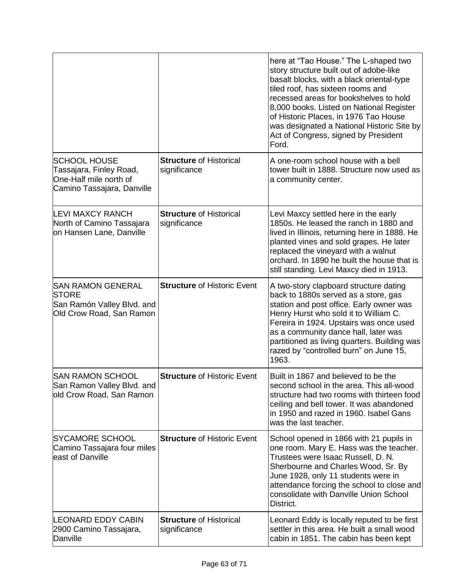|                                                                                                        |                                                | here at "Tao House." The L-shaped two<br>story structure built out of adobe-like<br>basalt blocks, with a black oriental-type<br>tiled roof, has sixteen rooms and<br>recessed areas for bookshelves to hold<br>8,000 books. Listed on National Register<br>of Historic Places, in 1976 Tao House<br>was designated a National Historic Site by<br>Act of Congress, signed by President<br>Ford. |
|--------------------------------------------------------------------------------------------------------|------------------------------------------------|--------------------------------------------------------------------------------------------------------------------------------------------------------------------------------------------------------------------------------------------------------------------------------------------------------------------------------------------------------------------------------------------------|
| <b>SCHOOL HOUSE</b><br>Tassajara, Finley Road,<br>One-Half mile north of<br>Camino Tassajara, Danville | <b>Structure of Historical</b><br>significance | A one-room school house with a bell<br>tower built in 1888. Structure now used as<br>a community center.                                                                                                                                                                                                                                                                                         |
| <b>LEVI MAXCY RANCH</b><br>North of Camino Tassajara<br>on Hansen Lane, Danville                       | <b>Structure of Historical</b><br>significance | Levi Maxcy settled here in the early<br>1850s. He leased the ranch in 1880 and<br>lived in Illinois, returning here in 1888. He<br>planted vines and sold grapes. He later<br>replaced the vineyard with a walnut<br>orchard. In 1890 he built the house that is<br>still standing. Levi Maxcy died in 1913.                                                                                     |
| <b>SAN RAMON GENERAL</b><br><b>STORE</b><br>San Ramón Valley Blvd. and<br>Old Crow Road, San Ramon     | <b>Structure of Historic Event</b>             | A two-story clapboard structure dating<br>back to 1880s served as a store, gas<br>station and post office. Early owner was<br>Henry Hurst who sold it to William C.<br>Fereira in 1924. Upstairs was once used<br>as a community dance hall, later was<br>partitioned as living quarters. Building was<br>razed by "controlled burn" on June 15,<br>1963.                                        |
| <b>SAN RAMON SCHOOL</b><br>San Ramon Valley Blvd. and<br>old Crow Road, San Ramon                      | <b>Structure of Historic Event</b>             | Built in 1867 and believed to be the<br>second school in the area. This all-wood<br>structure had two rooms with thirteen food<br>ceiling and bell tower. It was abandoned<br>in 1950 and razed in 1960. Isabel Gans<br>was the last teacher.                                                                                                                                                    |
| <b>SYCAMORE SCHOOL</b><br>Camino Tassajara four miles<br>east of Danville                              | <b>Structure of Historic Event</b>             | School opened in 1866 with 21 pupils in<br>one room. Mary E. Hass was the teacher.<br>Trustees were Isaac Russell, D. N.<br>Sherbourne and Charles Wood, Sr. By<br>June 1928, only 11 students were in<br>attendance forcing the school to close and<br>consolidate with Danville Union School<br>District.                                                                                      |
| <b>LEONARD EDDY CABIN</b><br>2900 Camino Tassajara,<br>Danville                                        | <b>Structure of Historical</b><br>significance | Leonard Eddy is locally reputed to be first<br>settler in this area. He built a small wood<br>cabin in 1851. The cabin has been kept                                                                                                                                                                                                                                                             |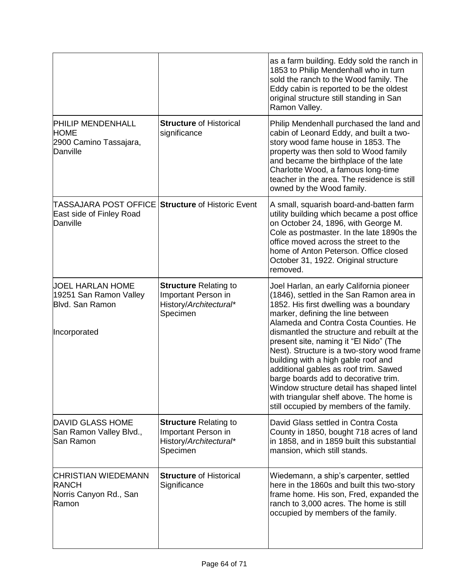|                                                                                      |                                                                                           | as a farm building. Eddy sold the ranch in<br>1853 to Philip Mendenhall who in turn<br>sold the ranch to the Wood family. The<br>Eddy cabin is reported to be the oldest<br>original structure still standing in San<br>Ramon Valley.                                                                                                                                                                                                                                                                                                                                                                             |
|--------------------------------------------------------------------------------------|-------------------------------------------------------------------------------------------|-------------------------------------------------------------------------------------------------------------------------------------------------------------------------------------------------------------------------------------------------------------------------------------------------------------------------------------------------------------------------------------------------------------------------------------------------------------------------------------------------------------------------------------------------------------------------------------------------------------------|
| <b>PHILIP MENDENHALL</b><br><b>HOME</b><br>2900 Camino Tassajara,<br>Danville        | <b>Structure of Historical</b><br>significance                                            | Philip Mendenhall purchased the land and<br>cabin of Leonard Eddy, and built a two-<br>story wood fame house in 1853. The<br>property was then sold to Wood family<br>and became the birthplace of the late<br>Charlotte Wood, a famous long-time<br>teacher in the area. The residence is still<br>owned by the Wood family.                                                                                                                                                                                                                                                                                     |
| ITASSAJARA POST OFFICE<br>East side of Finley Road<br>Danville                       | <b>Structure of Historic Event</b>                                                        | A small, squarish board-and-batten farm<br>utility building which became a post office<br>on October 24, 1896, with George M.<br>Cole as postmaster. In the late 1890s the<br>office moved across the street to the<br>home of Anton Peterson. Office closed<br>October 31, 1922. Original structure<br>removed.                                                                                                                                                                                                                                                                                                  |
| JOEL HARLAN HOME<br>19251 San Ramon Valley<br><b>Blvd. San Ramon</b><br>Incorporated | <b>Structure Relating to</b><br>Important Person in<br>History/Architectural*<br>Specimen | Joel Harlan, an early California pioneer<br>(1846), settled in the San Ramon area in<br>1852. His first dwelling was a boundary<br>marker, defining the line between<br>Alameda and Contra Costa Counties. He<br>dismantled the structure and rebuilt at the<br>present site, naming it "El Nido" (The<br>Nest). Structure is a two-story wood frame<br>building with a high gable roof and<br>additional gables as roof trim. Sawed<br>barge boards add to decorative trim.<br>Window structure detail has shaped lintel<br>with triangular shelf above. The home is<br>still occupied by members of the family. |
| <b>DAVID GLASS HOME</b><br>San Ramon Valley Blvd.,<br>San Ramon                      | <b>Structure Relating to</b><br>Important Person in<br>History/Architectural*<br>Specimen | David Glass settled in Contra Costa<br>County in 1850, bought 718 acres of land<br>in 1858, and in 1859 built this substantial<br>mansion, which still stands.                                                                                                                                                                                                                                                                                                                                                                                                                                                    |
| CHRISTIAN WIEDEMANN<br><b>RANCH</b><br>Norris Canyon Rd., San<br>Ramon               | <b>Structure of Historical</b><br>Significance                                            | Wiedemann, a ship's carpenter, settled<br>here in the 1860s and built this two-story<br>frame home. His son, Fred, expanded the<br>ranch to 3,000 acres. The home is still<br>occupied by members of the family.                                                                                                                                                                                                                                                                                                                                                                                                  |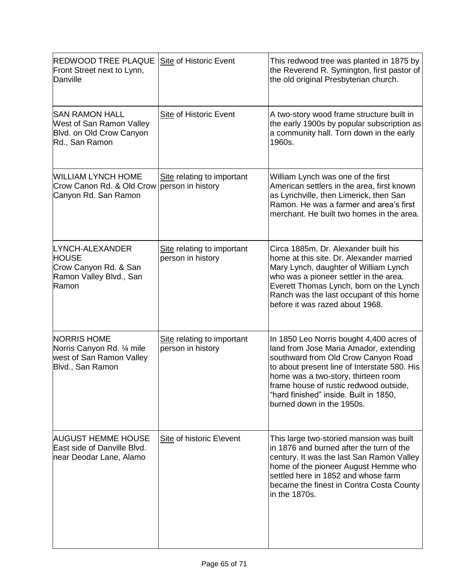| <b>REDWOOD TREE PLAQUE</b><br>Front Street next to Lynn,<br>Danville                             | Site of Historic Event                          | This redwood tree was planted in 1875 by<br>the Reverend R. Symington, first pastor of<br>the old original Presbyterian church.                                                                                                                                                                                                   |
|--------------------------------------------------------------------------------------------------|-------------------------------------------------|-----------------------------------------------------------------------------------------------------------------------------------------------------------------------------------------------------------------------------------------------------------------------------------------------------------------------------------|
| <b>SAN RAMON HALL</b><br>West of San Ramon Valley<br>Blvd. on Old Crow Canyon<br>Rd., San Ramon  | <b>Site of Historic Event</b>                   | A two-story wood frame structure built in<br>the early 1900s by popular subscription as<br>a community hall. Torn down in the early<br>1960s.                                                                                                                                                                                     |
| <b>WILLIAM LYNCH HOME</b><br>Crow Canon Rd. & Old Crow<br>Canyon Rd. San Ramon                   | Site relating to important<br>person in history | William Lynch was one of the first<br>American settlers in the area, first known<br>as Lynchville, then Limerick, then San<br>Ramon. He was a farmer and area's first<br>merchant. He built two homes in the area.                                                                                                                |
| LYNCH-ALEXANDER<br><b>HOUSE</b><br>Crow Canyon Rd. & San<br>Ramon Valley Blvd., San<br>Ramon     | Site relating to important<br>person in history | Circa 1885m, Dr. Alexander built his<br>home at this site. Dr. Alexander married<br>Mary Lynch, daughter of William Lynch<br>who was a pioneer settler in the area.<br>Everett Thomas Lynch, born on the Lynch<br>Ranch was the last occupant of this home<br>before it was razed about 1968.                                     |
| <b>NORRIS HOME</b><br>Norris Canyon Rd. 1/4 mile<br>west of San Ramon Valley<br>Blvd., San Ramon | Site relating to important<br>person in history | In 1850 Leo Norris bought 4,400 acres of<br>land from Jose Maria Amador, extending<br>southward from Old Crow Canyon Road<br>to about present line of Interstate 580. His<br>home was a two-story, thirteen room<br>frame house of rustic redwood outside,<br>"hard finished" inside. Built in 1850,<br>burned down in the 1950s. |
| <b>AUGUST HEMME HOUSE</b><br>East side of Danville Blvd.<br>near Deodar Lane, Alamo              | Site of historic E\event                        | This large two-storied mansion was built<br>in 1876 and burned after the turn of the<br>century. It was the last San Ramon Valley<br>home of the pioneer August Hemme who<br>settled here in 1852 and whose farm<br>became the finest in Contra Costa County<br>in the 1870s.                                                     |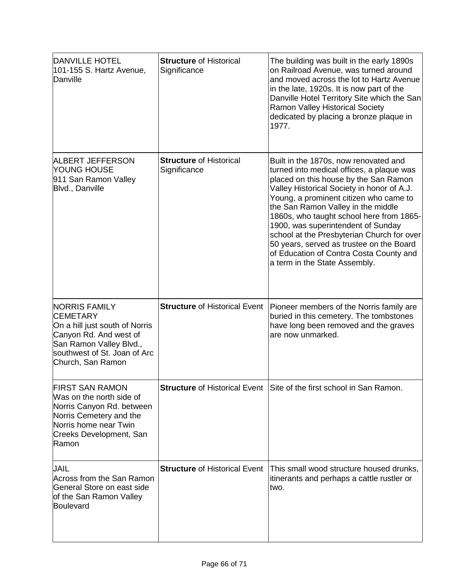| <b>DANVILLE HOTEL</b><br>101-155 S. Hartz Avenue,<br>Danville                                                                                                                       | <b>Structure of Historical</b><br>Significance | The building was built in the early 1890s<br>on Railroad Avenue, was turned around<br>and moved across the lot to Hartz Avenue<br>in the late, 1920s. It is now part of the<br>Danville Hotel Territory Site which the San<br>Ramon Valley Historical Society<br>dedicated by placing a bronze plaque in<br>1977.                                                                                                                                                                                                 |
|-------------------------------------------------------------------------------------------------------------------------------------------------------------------------------------|------------------------------------------------|-------------------------------------------------------------------------------------------------------------------------------------------------------------------------------------------------------------------------------------------------------------------------------------------------------------------------------------------------------------------------------------------------------------------------------------------------------------------------------------------------------------------|
| <b>ALBERT JEFFERSON</b><br><b>YOUNG HOUSE</b><br>911 San Ramon Valley<br>Blvd., Danville                                                                                            | <b>Structure of Historical</b><br>Significance | Built in the 1870s, now renovated and<br>turned into medical offices, a plaque was<br>placed on this house by the San Ramon<br>Valley Historical Society in honor of A.J.<br>Young, a prominent citizen who came to<br>the San Ramon Valley in the middle<br>1860s, who taught school here from 1865-<br>1900, was superintendent of Sunday<br>school at the Presbyterian Church for over<br>50 years, served as trustee on the Board<br>of Education of Contra Costa County and<br>a term in the State Assembly. |
| <b>NORRIS FAMILY</b><br><b>CEMETARY</b><br>On a hill just south of Norris<br>Canyon Rd. And west of<br>San Ramon Valley Blvd.,<br>southwest of St. Joan of Arc<br>Church, San Ramon | <b>Structure of Historical Event</b>           | Pioneer members of the Norris family are<br>buried in this cemetery. The tombstones<br>have long been removed and the graves<br>are now unmarked.                                                                                                                                                                                                                                                                                                                                                                 |
| <b>FIRST SAN RAMON</b><br>Was on the north side of<br>Norris Canyon Rd. between<br>Norris Cemetery and the<br>Norris home near Twin<br>Creeks Development, San<br>Ramon             | <b>Structure of Historical Event</b>           | Site of the first school in San Ramon.                                                                                                                                                                                                                                                                                                                                                                                                                                                                            |
| <b>JAIL</b><br>Across from the San Ramon<br>General Store on east side<br>of the San Ramon Valley<br><b>Boulevard</b>                                                               | <b>Structure of Historical Event</b>           | This small wood structure housed drunks,<br>itinerants and perhaps a cattle rustler or<br>two.                                                                                                                                                                                                                                                                                                                                                                                                                    |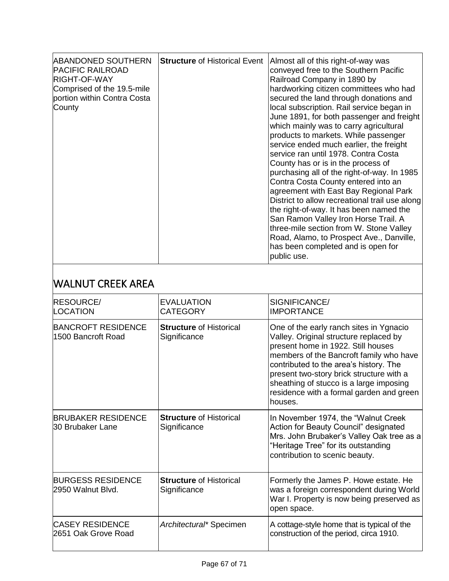| <b>ABANDONED SOUTHERN</b><br><b>PACIFIC RAILROAD</b><br><b>RIGHT-OF-WAY</b><br>Comprised of the 19.5-mile<br>portion within Contra Costa<br>County | <b>Structure of Historical Event</b> | Almost all of this right-of-way was<br>conveyed free to the Southern Pacific<br>Railroad Company in 1890 by<br>hardworking citizen committees who had<br>secured the land through donations and<br>local subscription. Rail service began in<br>June 1891, for both passenger and freight<br>which mainly was to carry agricultural<br>products to markets. While passenger<br>service ended much earlier, the freight<br>service ran until 1978. Contra Costa<br>County has or is in the process of<br>purchasing all of the right-of-way. In 1985<br>Contra Costa County entered into an<br>agreement with East Bay Regional Park<br>District to allow recreational trail use along<br>the right-of-way. It has been named the<br>San Ramon Valley Iron Horse Trail. A<br>three-mile section from W. Stone Valley<br>Road, Alamo, to Prospect Ave., Danville,<br>has been completed and is open for<br>public use. |
|----------------------------------------------------------------------------------------------------------------------------------------------------|--------------------------------------|----------------------------------------------------------------------------------------------------------------------------------------------------------------------------------------------------------------------------------------------------------------------------------------------------------------------------------------------------------------------------------------------------------------------------------------------------------------------------------------------------------------------------------------------------------------------------------------------------------------------------------------------------------------------------------------------------------------------------------------------------------------------------------------------------------------------------------------------------------------------------------------------------------------------|
|----------------------------------------------------------------------------------------------------------------------------------------------------|--------------------------------------|----------------------------------------------------------------------------------------------------------------------------------------------------------------------------------------------------------------------------------------------------------------------------------------------------------------------------------------------------------------------------------------------------------------------------------------------------------------------------------------------------------------------------------------------------------------------------------------------------------------------------------------------------------------------------------------------------------------------------------------------------------------------------------------------------------------------------------------------------------------------------------------------------------------------|

#### WALNUT CREEK AREA

| <b>RESOURCE/</b><br>LOCATION                    | <b>EVALUATION</b><br><b>CATEGORY</b>           | SIGNIFICANCE/<br><b>IMPORTANCE</b>                                                                                                                                                                                                                                                                                                                         |
|-------------------------------------------------|------------------------------------------------|------------------------------------------------------------------------------------------------------------------------------------------------------------------------------------------------------------------------------------------------------------------------------------------------------------------------------------------------------------|
| <b>BANCROFT RESIDENCE</b><br>1500 Bancroft Road | <b>Structure of Historical</b><br>Significance | One of the early ranch sites in Ygnacio<br>Valley. Original structure replaced by<br>present home in 1922. Still houses<br>members of the Bancroft family who have<br>contributed to the area's history. The<br>present two-story brick structure with a<br>sheathing of stucco is a large imposing<br>residence with a formal garden and green<br>houses. |
| <b>BRUBAKER RESIDENCE</b><br>l30 Brubaker Lane  | <b>Structure of Historical</b><br>Significance | In November 1974, the "Walnut Creek"<br>Action for Beauty Council" designated<br>Mrs. John Brubaker's Valley Oak tree as a<br>"Heritage Tree" for its outstanding<br>contribution to scenic beauty.                                                                                                                                                        |
| <b>BURGESS RESIDENCE</b><br>2950 Walnut Blvd.   | <b>Structure of Historical</b><br>Significance | Formerly the James P. Howe estate. He<br>was a foreign correspondent during World<br>War I. Property is now being preserved as<br>open space.                                                                                                                                                                                                              |
| <b>CASEY RESIDENCE</b><br>2651 Oak Grove Road   | Architectural* Specimen                        | A cottage-style home that is typical of the<br>construction of the period, circa 1910.                                                                                                                                                                                                                                                                     |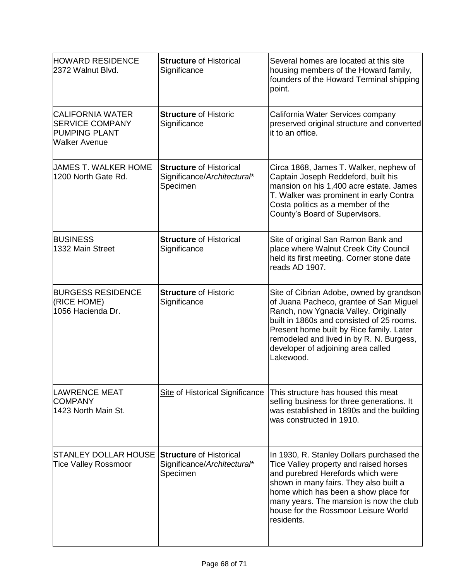| <b>HOWARD RESIDENCE</b><br>2372 Walnut Blvd.                                                      | <b>Structure of Historical</b><br>Significance                            | Several homes are located at this site<br>housing members of the Howard family,<br>founders of the Howard Terminal shipping<br>point.                                                                                                                                                                                |
|---------------------------------------------------------------------------------------------------|---------------------------------------------------------------------------|----------------------------------------------------------------------------------------------------------------------------------------------------------------------------------------------------------------------------------------------------------------------------------------------------------------------|
| <b>CALIFORNIA WATER</b><br><b>SERVICE COMPANY</b><br><b>PUMPING PLANT</b><br><b>Walker Avenue</b> | <b>Structure of Historic</b><br>Significance                              | California Water Services company<br>preserved original structure and converted<br>it to an office.                                                                                                                                                                                                                  |
| UAMES T. WALKER HOME<br>1200 North Gate Rd.                                                       | <b>Structure of Historical</b><br>Significance/Architectural*<br>Specimen | Circa 1868, James T. Walker, nephew of<br>Captain Joseph Reddeford, built his<br>mansion on his 1,400 acre estate. James<br>T. Walker was prominent in early Contra<br>Costa politics as a member of the<br>County's Board of Supervisors.                                                                           |
| <b>BUSINESS</b><br>1332 Main Street                                                               | <b>Structure of Historical</b><br>Significance                            | Site of original San Ramon Bank and<br>place where Walnut Creek City Council<br>held its first meeting. Corner stone date<br>reads AD 1907.                                                                                                                                                                          |
| <b>BURGESS RESIDENCE</b><br>(RICE HOME)<br>1056 Hacienda Dr.                                      | <b>Structure of Historic</b><br>Significance                              | Site of Cibrian Adobe, owned by grandson<br>of Juana Pacheco, grantee of San Miguel<br>Ranch, now Ygnacia Valley. Originally<br>built in 1860s and consisted of 25 rooms.<br>Present home built by Rice family. Later<br>remodeled and lived in by R. N. Burgess,<br>developer of adjoining area called<br>Lakewood. |
| <b>LAWRENCE MEAT</b><br><b>COMPANY</b><br>1423 North Main St.                                     | <b>Site of Historical Significance</b>                                    | This structure has housed this meat<br>selling business for three generations. It<br>was established in 1890s and the building<br>was constructed in 1910.                                                                                                                                                           |
| <b>STANLEY DOLLAR HOUSE</b><br><b>Tice Valley Rossmoor</b>                                        | <b>Structure of Historical</b><br>Significance/Architectural*<br>Specimen | In 1930, R. Stanley Dollars purchased the<br>Tice Valley property and raised horses<br>and purebred Herefords which were<br>shown in many fairs. They also built a<br>home which has been a show place for<br>many years. The mansion is now the club<br>house for the Rossmoor Leisure World<br>residents.          |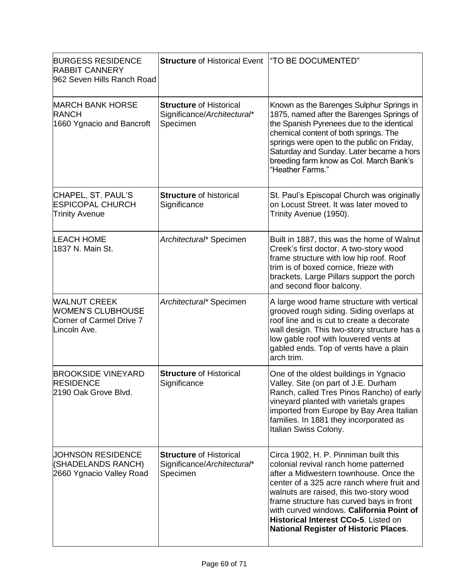| <b>BURGESS RESIDENCE</b><br><b>RABBIT CANNERY</b><br>962 Seven Hills Ranch Road             | <b>Structure of Historical Event</b>                                      | "TO BE DOCUMENTED"                                                                                                                                                                                                                                                                                                                                                                                |
|---------------------------------------------------------------------------------------------|---------------------------------------------------------------------------|---------------------------------------------------------------------------------------------------------------------------------------------------------------------------------------------------------------------------------------------------------------------------------------------------------------------------------------------------------------------------------------------------|
| <b>MARCH BANK HORSE</b><br><b>RANCH</b><br>1660 Ygnacio and Bancroft                        | <b>Structure of Historical</b><br>Significance/Architectural*<br>Specimen | Known as the Barenges Sulphur Springs in<br>1875, named after the Barenges Springs of<br>the Spanish Pyrenees due to the identical<br>chemical content of both springs. The<br>springs were open to the public on Friday,<br>Saturday and Sunday. Later became a hors<br>breeding farm know as Col. March Bank's<br>"Heather Farms."                                                              |
| CHAPEL, ST. PAUL'S<br><b>ESPICOPAL CHURCH</b><br><b>Trinity Avenue</b>                      | <b>Structure of historical</b><br>Significance                            | St. Paul's Episcopal Church was originally<br>on Locust Street. It was later moved to<br>Trinity Avenue (1950).                                                                                                                                                                                                                                                                                   |
| <b>LEACH HOME</b><br>1837 N. Main St.                                                       | Architectural* Specimen                                                   | Built in 1887, this was the home of Walnut<br>Creek's first doctor. A two-story wood<br>frame structure with low hip roof. Roof<br>trim is of boxed cornice, frieze with<br>brackets. Large Pillars support the porch<br>and second floor balcony.                                                                                                                                                |
| <b>WALNUT CREEK</b><br><b>WOMEN'S CLUBHOUSE</b><br>Corner of Carmel Drive 7<br>Lincoln Ave. | Architectural* Specimen                                                   | A large wood frame structure with vertical<br>grooved rough siding. Siding overlaps at<br>roof line and is cut to create a decorate<br>wall design. This two-story structure has a<br>low gable roof with louvered vents at<br>gabled ends. Top of vents have a plain<br>arch trim.                                                                                                               |
| <b>BROOKSIDE VINEYARD</b><br><b>RESIDENCE</b><br>2190 Oak Grove Blvd.                       | <b>Structure of Historical</b><br>Significance                            | One of the oldest buildings in Ygnacio<br>Valley. Site (on part of J.E. Durham<br>Ranch, called Tres Pinos Rancho) of early<br>vineyard planted with varietals grapes<br>imported from Europe by Bay Area Italian<br>families. In 1881 they incorporated as<br>Italian Swiss Colony.                                                                                                              |
| UOHNSON RESIDENCE<br>(SHADELANDS RANCH)<br>2660 Ygnacio Valley Road                         | <b>Structure of Historical</b><br>Significance/Architectural*<br>Specimen | Circa 1902, H. P. Pinniman built this<br>colonial revival ranch home patterned<br>after a Midwestern townhouse. Once the<br>center of a 325 acre ranch where fruit and<br>walnuts are raised, this two-story wood<br>frame structure has curved bays in front<br>with curved windows. California Point of<br>Historical Interest CCo-5. Listed on<br><b>National Register of Historic Places.</b> |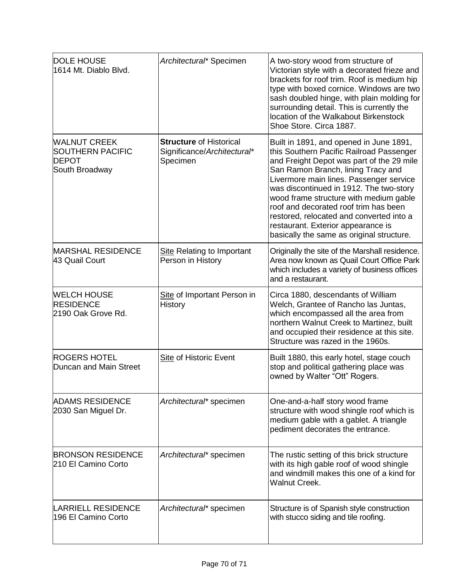| <b>DOLE HOUSE</b><br>1614 Mt. Diablo Blvd.                                       | Architectural* Specimen                                                   | A two-story wood from structure of<br>Victorian style with a decorated frieze and<br>brackets for roof trim. Roof is medium hip<br>type with boxed cornice. Windows are two<br>sash doubled hinge, with plain molding for<br>surrounding detail. This is currently the<br>location of the Walkabout Birkenstock<br>Shoe Store. Circa 1887.                                                                                                                                     |
|----------------------------------------------------------------------------------|---------------------------------------------------------------------------|--------------------------------------------------------------------------------------------------------------------------------------------------------------------------------------------------------------------------------------------------------------------------------------------------------------------------------------------------------------------------------------------------------------------------------------------------------------------------------|
| <b>WALNUT CREEK</b><br><b>SOUTHERN PACIFIC</b><br><b>DEPOT</b><br>South Broadway | <b>Structure of Historical</b><br>Significance/Architectural*<br>Specimen | Built in 1891, and opened in June 1891,<br>this Southern Pacific Railroad Passenger<br>and Freight Depot was part of the 29 mile<br>San Ramon Branch, lining Tracy and<br>Livermore main lines. Passenger service<br>was discontinued in 1912. The two-story<br>wood frame structure with medium gable<br>roof and decorated roof trim has been<br>restored, relocated and converted into a<br>restaurant. Exterior appearance is<br>basically the same as original structure. |
| <b>MARSHAL RESIDENCE</b><br>43 Quail Court                                       | <b>Site Relating to Important</b><br>Person in History                    | Originally the site of the Marshall residence.<br>Area now known as Quail Court Office Park<br>which includes a variety of business offices<br>and a restaurant.                                                                                                                                                                                                                                                                                                               |
| <b>WELCH HOUSE</b><br><b>RESIDENCE</b><br>2190 Oak Grove Rd.                     | Site of Important Person in<br><b>History</b>                             | Circa 1880, descendants of William<br>Welch, Grantee of Rancho las Juntas,<br>which encompassed all the area from<br>northern Walnut Creek to Martinez, built<br>and occupied their residence at this site.<br>Structure was razed in the 1960s.                                                                                                                                                                                                                               |
| <b>ROGERS HOTEL</b><br>Duncan and Main Street                                    | Site of Historic Event                                                    | Built 1880, this early hotel, stage couch<br>stop and political gathering place was<br>owned by Walter "Ott" Rogers.                                                                                                                                                                                                                                                                                                                                                           |
| <b>ADAMS RESIDENCE</b><br>2030 San Miguel Dr.                                    | Architectural* specimen                                                   | One-and-a-half story wood frame<br>structure with wood shingle roof which is<br>medium gable with a gablet. A triangle<br>pediment decorates the entrance.                                                                                                                                                                                                                                                                                                                     |
| <b>BRONSON RESIDENCE</b><br>210 El Camino Corto                                  | Architectural* specimen                                                   | The rustic setting of this brick structure<br>with its high gable roof of wood shingle<br>and windmill makes this one of a kind for<br><b>Walnut Creek.</b>                                                                                                                                                                                                                                                                                                                    |
| <b>LARRIELL RESIDENCE</b><br>196 El Camino Corto                                 | Architectural* specimen                                                   | Structure is of Spanish style construction<br>with stucco siding and tile roofing.                                                                                                                                                                                                                                                                                                                                                                                             |